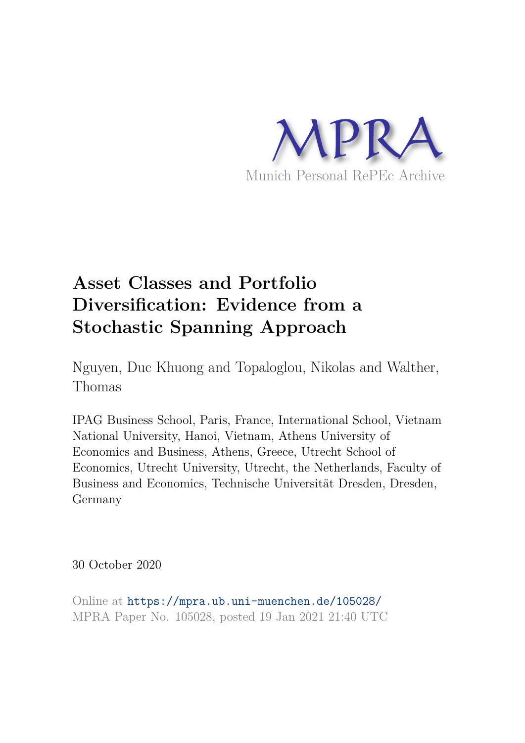

# **Asset Classes and Portfolio Diversification: Evidence from a Stochastic Spanning Approach**

Nguyen, Duc Khuong and Topaloglou, Nikolas and Walther, Thomas

IPAG Business School, Paris, France, International School, Vietnam National University, Hanoi, Vietnam, Athens University of Economics and Business, Athens, Greece, Utrecht School of Economics, Utrecht University, Utrecht, the Netherlands, Faculty of Business and Economics, Technische Universität Dresden, Dresden, Germany

30 October 2020

Online at https://mpra.ub.uni-muenchen.de/105028/ MPRA Paper No. 105028, posted 19 Jan 2021 21:40 UTC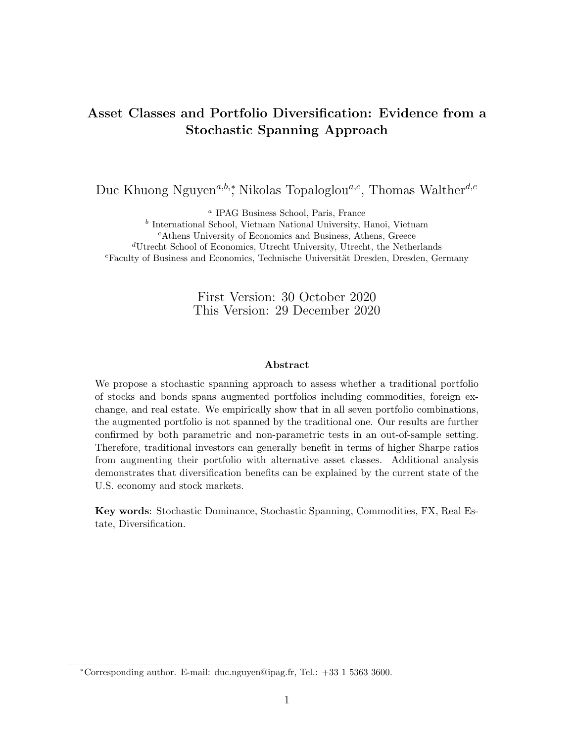## Asset Classes and Portfolio Diversification: Evidence from a Stochastic Spanning Approach

Duc Khuong Nguyen<sup>a,b,\*</sup>, Nikolas Topaloglou<sup>a,c</sup>, Thomas Walther<sup>d,e</sup>

a IPAG Business School, Paris, France

b International School, Vietnam National University, Hanoi, Vietnam

<sup>c</sup>Athens University of Economics and Business, Athens, Greece

<sup>d</sup>Utrecht School of Economics, Utrecht University, Utrecht, the Netherlands

 $e$ Faculty of Business and Economics, Technische Universität Dresden, Dresden, Germany

First Version: 30 October 2020 This Version: 29 December 2020

#### Abstract

We propose a stochastic spanning approach to assess whether a traditional portfolio of stocks and bonds spans augmented portfolios including commodities, foreign exchange, and real estate. We empirically show that in all seven portfolio combinations, the augmented portfolio is not spanned by the traditional one. Our results are further confirmed by both parametric and non-parametric tests in an out-of-sample setting. Therefore, traditional investors can generally benefit in terms of higher Sharpe ratios from augmenting their portfolio with alternative asset classes. Additional analysis demonstrates that diversification benefits can be explained by the current state of the U.S. economy and stock markets.

Key words: Stochastic Dominance, Stochastic Spanning, Commodities, FX, Real Estate, Diversification.

<sup>∗</sup>Corresponding author. E-mail: duc.nguyen@ipag.fr, Tel.: +33 1 5363 3600.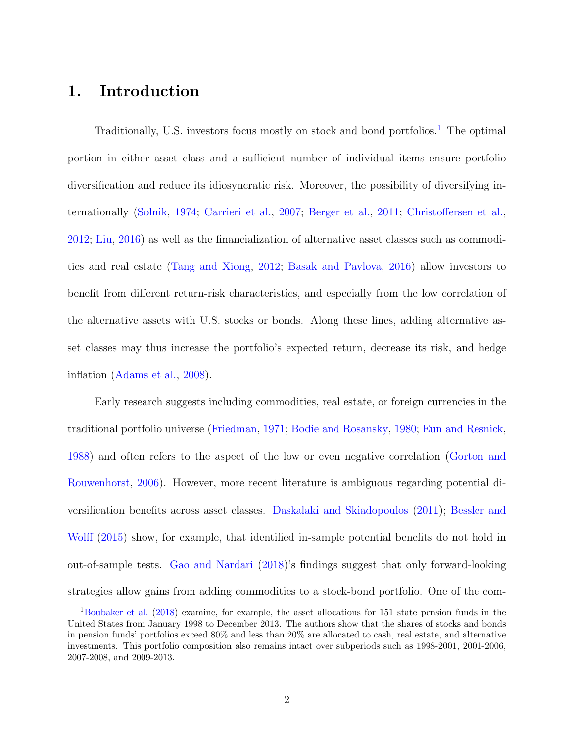## 1. Introduction

Traditionally, U.S. investors focus mostly on stock and bond portfolios.<sup>1</sup> The optimal portion in either asset class and a sufficient number of individual items ensure portfolio diversification and reduce its idiosyncratic risk. Moreover, the possibility of diversifying internationally (Solnik, 1974; Carrieri et al., 2007; Berger et al., 2011; Christoffersen et al., 2012; Liu, 2016) as well as the financialization of alternative asset classes such as commodities and real estate (Tang and Xiong, 2012; Basak and Pavlova, 2016) allow investors to benefit from different return-risk characteristics, and especially from the low correlation of the alternative assets with U.S. stocks or bonds. Along these lines, adding alternative asset classes may thus increase the portfolio's expected return, decrease its risk, and hedge inflation (Adams et al., 2008).

Early research suggests including commodities, real estate, or foreign currencies in the traditional portfolio universe (Friedman, 1971; Bodie and Rosansky, 1980; Eun and Resnick, 1988) and often refers to the aspect of the low or even negative correlation (Gorton and Rouwenhorst, 2006). However, more recent literature is ambiguous regarding potential diversification benefits across asset classes. Daskalaki and Skiadopoulos (2011); Bessler and Wolff (2015) show, for example, that identified in-sample potential benefits do not hold in out-of-sample tests. Gao and Nardari (2018)'s findings suggest that only forward-looking strategies allow gains from adding commodities to a stock-bond portfolio. One of the com-

<sup>1</sup>Boubaker et al. (2018) examine, for example, the asset allocations for 151 state pension funds in the United States from January 1998 to December 2013. The authors show that the shares of stocks and bonds in pension funds' portfolios exceed 80% and less than 20% are allocated to cash, real estate, and alternative investments. This portfolio composition also remains intact over subperiods such as 1998-2001, 2001-2006, 2007-2008, and 2009-2013.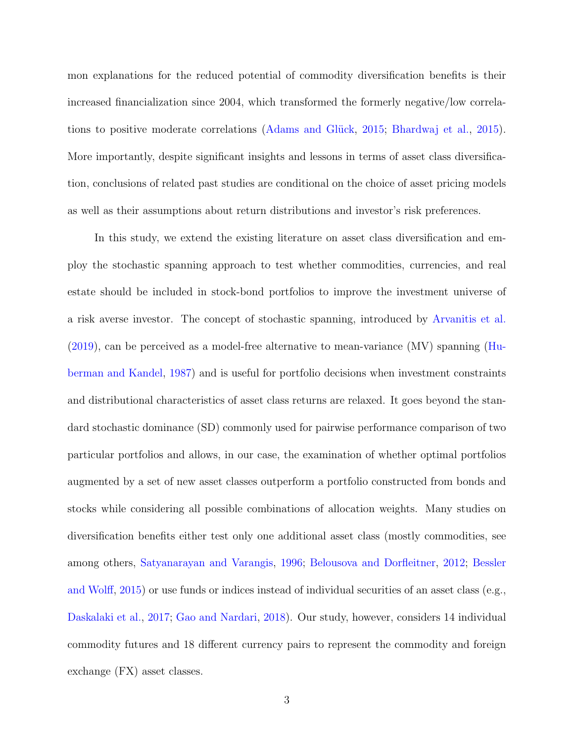mon explanations for the reduced potential of commodity diversification benefits is their increased financialization since 2004, which transformed the formerly negative/low correlations to positive moderate correlations (Adams and Glück, 2015; Bhardwaj et al., 2015). More importantly, despite significant insights and lessons in terms of asset class diversification, conclusions of related past studies are conditional on the choice of asset pricing models as well as their assumptions about return distributions and investor's risk preferences.

In this study, we extend the existing literature on asset class diversification and employ the stochastic spanning approach to test whether commodities, currencies, and real estate should be included in stock-bond portfolios to improve the investment universe of a risk averse investor. The concept of stochastic spanning, introduced by Arvanitis et al. (2019), can be perceived as a model-free alternative to mean-variance (MV) spanning (Huberman and Kandel, 1987) and is useful for portfolio decisions when investment constraints and distributional characteristics of asset class returns are relaxed. It goes beyond the standard stochastic dominance (SD) commonly used for pairwise performance comparison of two particular portfolios and allows, in our case, the examination of whether optimal portfolios augmented by a set of new asset classes outperform a portfolio constructed from bonds and stocks while considering all possible combinations of allocation weights. Many studies on diversification benefits either test only one additional asset class (mostly commodities, see among others, Satyanarayan and Varangis, 1996; Belousova and Dorfleitner, 2012; Bessler and Wolff, 2015) or use funds or indices instead of individual securities of an asset class (e.g., Daskalaki et al., 2017; Gao and Nardari, 2018). Our study, however, considers 14 individual commodity futures and 18 different currency pairs to represent the commodity and foreign exchange (FX) asset classes.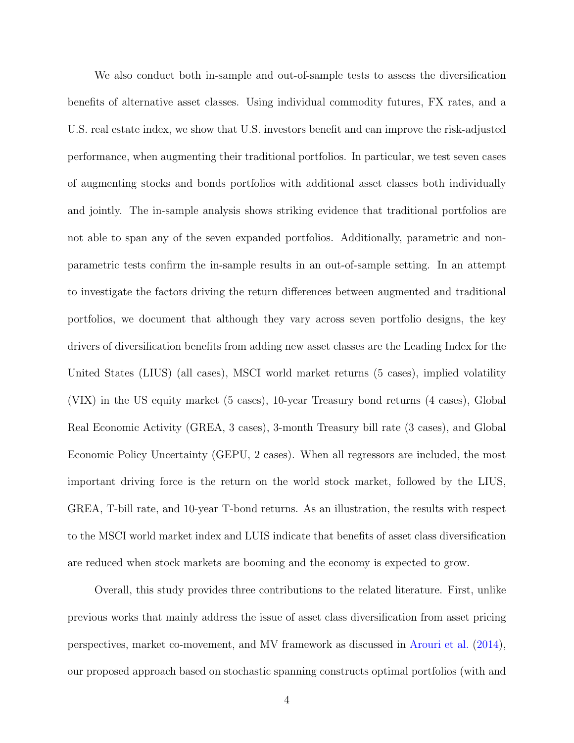We also conduct both in-sample and out-of-sample tests to assess the diversification benefits of alternative asset classes. Using individual commodity futures, FX rates, and a U.S. real estate index, we show that U.S. investors benefit and can improve the risk-adjusted performance, when augmenting their traditional portfolios. In particular, we test seven cases of augmenting stocks and bonds portfolios with additional asset classes both individually and jointly. The in-sample analysis shows striking evidence that traditional portfolios are not able to span any of the seven expanded portfolios. Additionally, parametric and nonparametric tests confirm the in-sample results in an out-of-sample setting. In an attempt to investigate the factors driving the return differences between augmented and traditional portfolios, we document that although they vary across seven portfolio designs, the key drivers of diversification benefits from adding new asset classes are the Leading Index for the United States (LIUS) (all cases), MSCI world market returns (5 cases), implied volatility (VIX) in the US equity market (5 cases), 10-year Treasury bond returns (4 cases), Global Real Economic Activity (GREA, 3 cases), 3-month Treasury bill rate (3 cases), and Global Economic Policy Uncertainty (GEPU, 2 cases). When all regressors are included, the most important driving force is the return on the world stock market, followed by the LIUS, GREA, T-bill rate, and 10-year T-bond returns. As an illustration, the results with respect to the MSCI world market index and LUIS indicate that benefits of asset class diversification are reduced when stock markets are booming and the economy is expected to grow.

Overall, this study provides three contributions to the related literature. First, unlike previous works that mainly address the issue of asset class diversification from asset pricing perspectives, market co-movement, and MV framework as discussed in Arouri et al. (2014), our proposed approach based on stochastic spanning constructs optimal portfolios (with and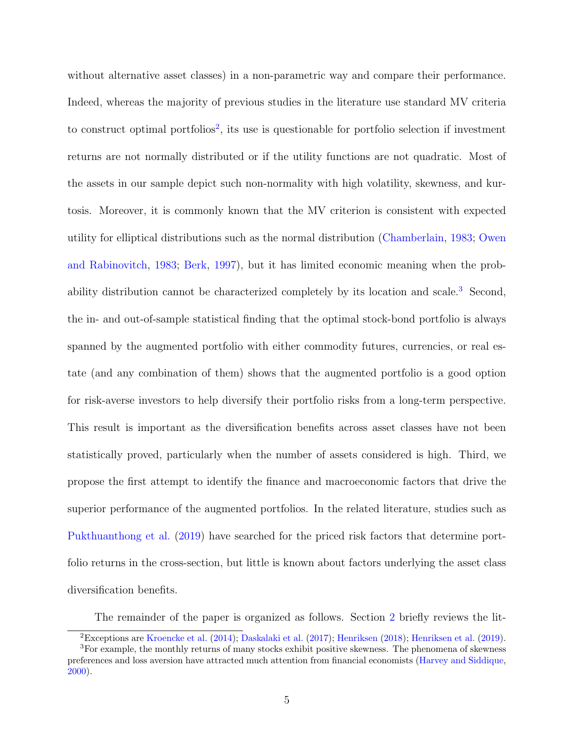without alternative asset classes) in a non-parametric way and compare their performance. Indeed, whereas the majority of previous studies in the literature use standard MV criteria to construct optimal portfolios<sup>2</sup>, its use is questionable for portfolio selection if investment returns are not normally distributed or if the utility functions are not quadratic. Most of the assets in our sample depict such non-normality with high volatility, skewness, and kurtosis. Moreover, it is commonly known that the MV criterion is consistent with expected utility for elliptical distributions such as the normal distribution (Chamberlain, 1983; Owen and Rabinovitch, 1983; Berk, 1997), but it has limited economic meaning when the probability distribution cannot be characterized completely by its location and scale.<sup>3</sup> Second, the in- and out-of-sample statistical finding that the optimal stock-bond portfolio is always spanned by the augmented portfolio with either commodity futures, currencies, or real estate (and any combination of them) shows that the augmented portfolio is a good option for risk-averse investors to help diversify their portfolio risks from a long-term perspective. This result is important as the diversification benefits across asset classes have not been statistically proved, particularly when the number of assets considered is high. Third, we propose the first attempt to identify the finance and macroeconomic factors that drive the superior performance of the augmented portfolios. In the related literature, studies such as Pukthuanthong et al. (2019) have searched for the priced risk factors that determine portfolio returns in the cross-section, but little is known about factors underlying the asset class diversification benefits.

The remainder of the paper is organized as follows. Section 2 briefly reviews the lit-

<sup>2</sup>Exceptions are Kroencke et al. (2014); Daskalaki et al. (2017); Henriksen (2018); Henriksen et al. (2019).

<sup>3</sup>For example, the monthly returns of many stocks exhibit positive skewness. The phenomena of skewness preferences and loss aversion have attracted much attention from financial economists (Harvey and Siddique, 2000).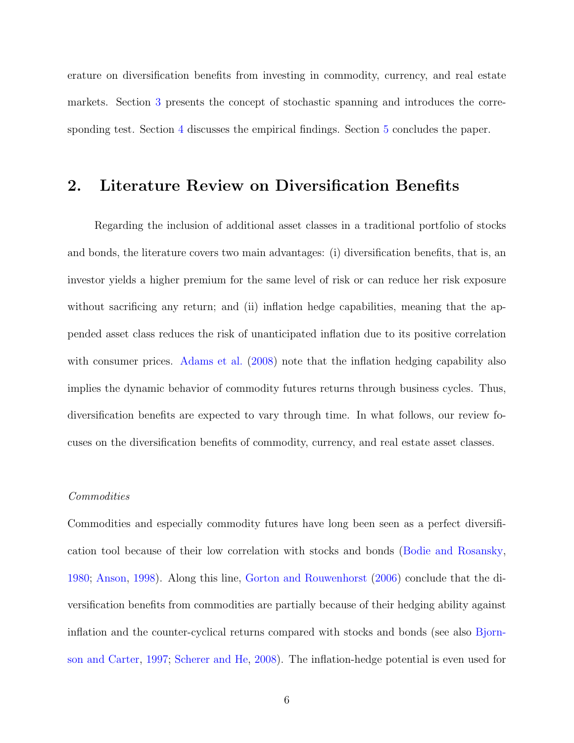erature on diversification benefits from investing in commodity, currency, and real estate markets. Section 3 presents the concept of stochastic spanning and introduces the corresponding test. Section 4 discusses the empirical findings. Section 5 concludes the paper.

## 2. Literature Review on Diversification Benefits

Regarding the inclusion of additional asset classes in a traditional portfolio of stocks and bonds, the literature covers two main advantages: (i) diversification benefits, that is, an investor yields a higher premium for the same level of risk or can reduce her risk exposure without sacrificing any return; and (ii) inflation hedge capabilities, meaning that the appended asset class reduces the risk of unanticipated inflation due to its positive correlation with consumer prices. Adams et al. (2008) note that the inflation hedging capability also implies the dynamic behavior of commodity futures returns through business cycles. Thus, diversification benefits are expected to vary through time. In what follows, our review focuses on the diversification benefits of commodity, currency, and real estate asset classes.

#### Commodities

Commodities and especially commodity futures have long been seen as a perfect diversification tool because of their low correlation with stocks and bonds (Bodie and Rosansky, 1980; Anson, 1998). Along this line, Gorton and Rouwenhorst (2006) conclude that the diversification benefits from commodities are partially because of their hedging ability against inflation and the counter-cyclical returns compared with stocks and bonds (see also Bjornson and Carter, 1997; Scherer and He, 2008). The inflation-hedge potential is even used for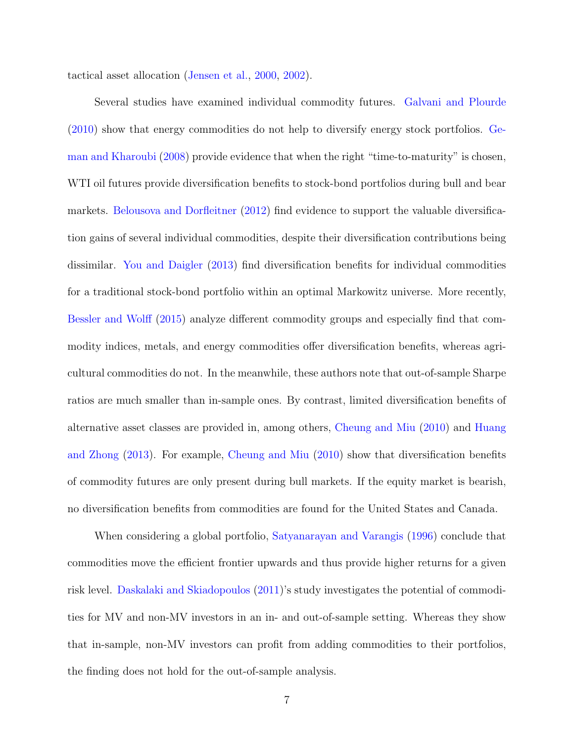tactical asset allocation (Jensen et al., 2000, 2002).

Several studies have examined individual commodity futures. Galvani and Plourde (2010) show that energy commodities do not help to diversify energy stock portfolios. Geman and Kharoubi (2008) provide evidence that when the right "time-to-maturity" is chosen, WTI oil futures provide diversification benefits to stock-bond portfolios during bull and bear markets. Belousova and Dorfleitner (2012) find evidence to support the valuable diversification gains of several individual commodities, despite their diversification contributions being dissimilar. You and Daigler (2013) find diversification benefits for individual commodities for a traditional stock-bond portfolio within an optimal Markowitz universe. More recently, Bessler and Wolff (2015) analyze different commodity groups and especially find that commodity indices, metals, and energy commodities offer diversification benefits, whereas agricultural commodities do not. In the meanwhile, these authors note that out-of-sample Sharpe ratios are much smaller than in-sample ones. By contrast, limited diversification benefits of alternative asset classes are provided in, among others, Cheung and Miu (2010) and Huang and Zhong (2013). For example, Cheung and Miu (2010) show that diversification benefits of commodity futures are only present during bull markets. If the equity market is bearish, no diversification benefits from commodities are found for the United States and Canada.

When considering a global portfolio, Satyanarayan and Varangis (1996) conclude that commodities move the efficient frontier upwards and thus provide higher returns for a given risk level. Daskalaki and Skiadopoulos (2011)'s study investigates the potential of commodities for MV and non-MV investors in an in- and out-of-sample setting. Whereas they show that in-sample, non-MV investors can profit from adding commodities to their portfolios, the finding does not hold for the out-of-sample analysis.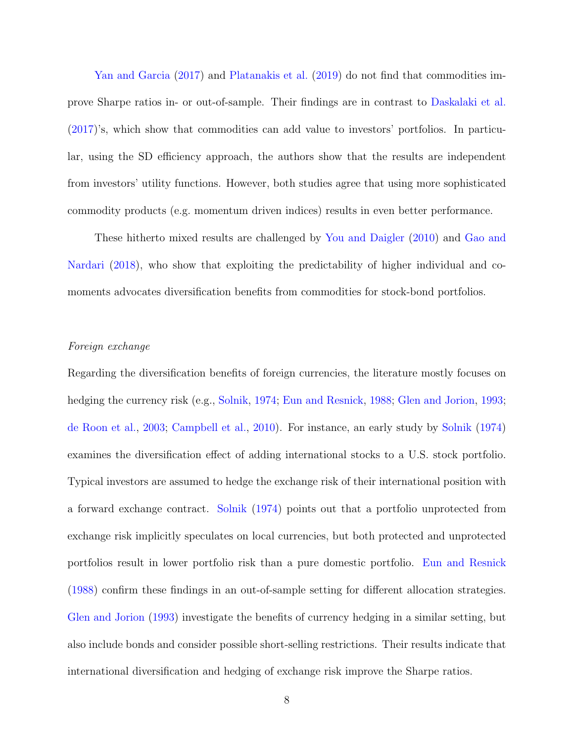Yan and Garcia (2017) and Platanakis et al. (2019) do not find that commodities improve Sharpe ratios in- or out-of-sample. Their findings are in contrast to Daskalaki et al. (2017)'s, which show that commodities can add value to investors' portfolios. In particular, using the SD efficiency approach, the authors show that the results are independent from investors' utility functions. However, both studies agree that using more sophisticated commodity products (e.g. momentum driven indices) results in even better performance.

These hitherto mixed results are challenged by You and Daigler (2010) and Gao and Nardari (2018), who show that exploiting the predictability of higher individual and comoments advocates diversification benefits from commodities for stock-bond portfolios.

#### Foreign exchange

Regarding the diversification benefits of foreign currencies, the literature mostly focuses on hedging the currency risk (e.g., Solnik, 1974; Eun and Resnick, 1988; Glen and Jorion, 1993; de Roon et al., 2003; Campbell et al., 2010). For instance, an early study by Solnik (1974) examines the diversification effect of adding international stocks to a U.S. stock portfolio. Typical investors are assumed to hedge the exchange risk of their international position with a forward exchange contract. Solnik (1974) points out that a portfolio unprotected from exchange risk implicitly speculates on local currencies, but both protected and unprotected portfolios result in lower portfolio risk than a pure domestic portfolio. Eun and Resnick (1988) confirm these findings in an out-of-sample setting for different allocation strategies. Glen and Jorion (1993) investigate the benefits of currency hedging in a similar setting, but also include bonds and consider possible short-selling restrictions. Their results indicate that international diversification and hedging of exchange risk improve the Sharpe ratios.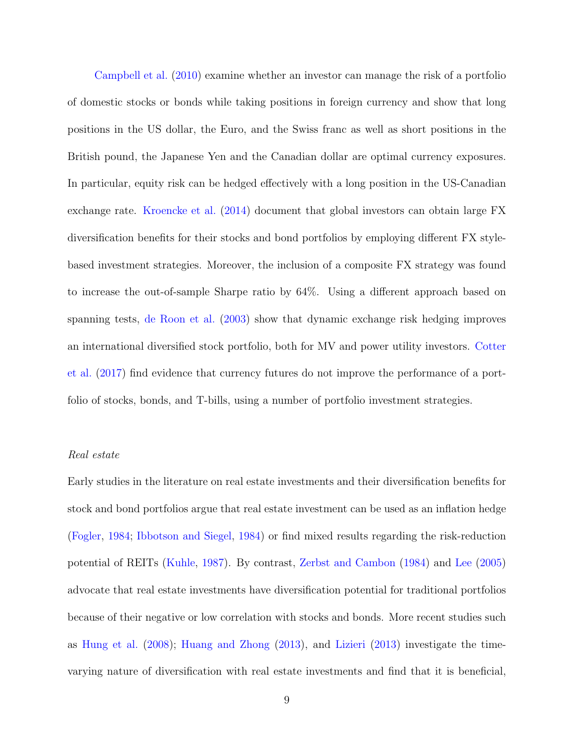Campbell et al. (2010) examine whether an investor can manage the risk of a portfolio of domestic stocks or bonds while taking positions in foreign currency and show that long positions in the US dollar, the Euro, and the Swiss franc as well as short positions in the British pound, the Japanese Yen and the Canadian dollar are optimal currency exposures. In particular, equity risk can be hedged effectively with a long position in the US-Canadian exchange rate. Kroencke et al. (2014) document that global investors can obtain large FX diversification benefits for their stocks and bond portfolios by employing different FX stylebased investment strategies. Moreover, the inclusion of a composite FX strategy was found to increase the out-of-sample Sharpe ratio by 64%. Using a different approach based on spanning tests, de Roon et al. (2003) show that dynamic exchange risk hedging improves an international diversified stock portfolio, both for MV and power utility investors. Cotter et al. (2017) find evidence that currency futures do not improve the performance of a portfolio of stocks, bonds, and T-bills, using a number of portfolio investment strategies.

### Real estate

Early studies in the literature on real estate investments and their diversification benefits for stock and bond portfolios argue that real estate investment can be used as an inflation hedge (Fogler, 1984; Ibbotson and Siegel, 1984) or find mixed results regarding the risk-reduction potential of REITs (Kuhle, 1987). By contrast, Zerbst and Cambon (1984) and Lee (2005) advocate that real estate investments have diversification potential for traditional portfolios because of their negative or low correlation with stocks and bonds. More recent studies such as Hung et al. (2008); Huang and Zhong (2013), and Lizieri (2013) investigate the timevarying nature of diversification with real estate investments and find that it is beneficial,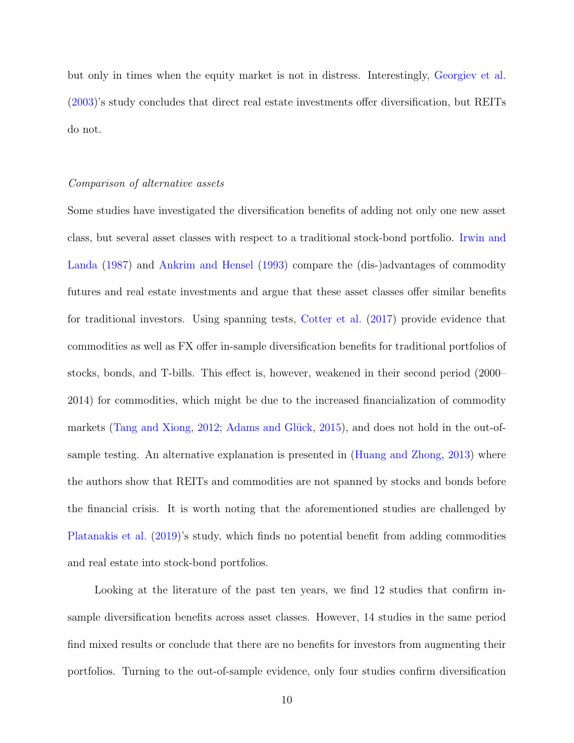but only in times when the equity market is not in distress. Interestingly, Georgiev et al. (2003)'s study concludes that direct real estate investments offer diversification, but REITs do not.

#### Comparison of alternative assets

Some studies have investigated the diversification benefits of adding not only one new asset class, but several asset classes with respect to a traditional stock-bond portfolio. Irwin and Landa (1987) and Ankrim and Hensel (1993) compare the (dis-)advantages of commodity futures and real estate investments and argue that these asset classes offer similar benefits for traditional investors. Using spanning tests, Cotter et al. (2017) provide evidence that commodities as well as FX offer in-sample diversification benefits for traditional portfolios of stocks, bonds, and T-bills. This effect is, however, weakened in their second period (2000– 2014) for commodities, which might be due to the increased financialization of commodity markets (Tang and Xiong, 2012; Adams and Glück, 2015), and does not hold in the out-ofsample testing. An alternative explanation is presented in (Huang and Zhong, 2013) where the authors show that REITs and commodities are not spanned by stocks and bonds before the financial crisis. It is worth noting that the aforementioned studies are challenged by Platanakis et al. (2019)'s study, which finds no potential benefit from adding commodities and real estate into stock-bond portfolios.

Looking at the literature of the past ten years, we find 12 studies that confirm insample diversification benefits across asset classes. However, 14 studies in the same period find mixed results or conclude that there are no benefits for investors from augmenting their portfolios. Turning to the out-of-sample evidence, only four studies confirm diversification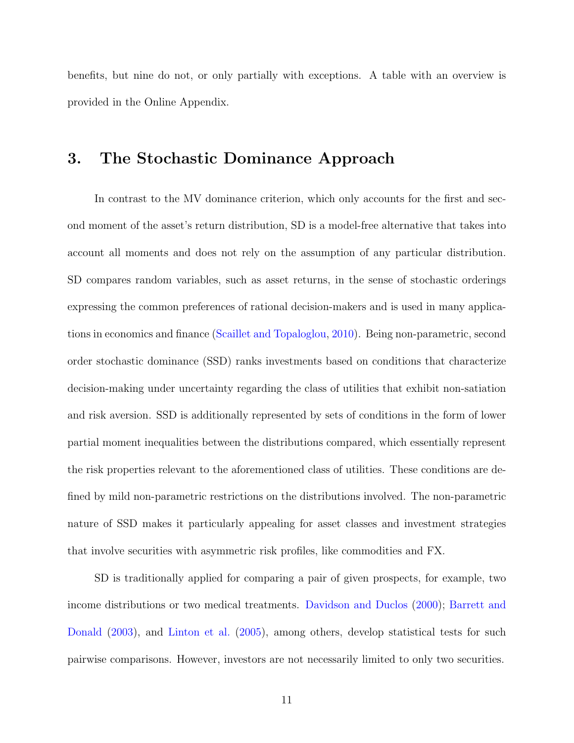benefits, but nine do not, or only partially with exceptions. A table with an overview is provided in the Online Appendix.

## 3. The Stochastic Dominance Approach

In contrast to the MV dominance criterion, which only accounts for the first and second moment of the asset's return distribution, SD is a model-free alternative that takes into account all moments and does not rely on the assumption of any particular distribution. SD compares random variables, such as asset returns, in the sense of stochastic orderings expressing the common preferences of rational decision-makers and is used in many applications in economics and finance (Scaillet and Topaloglou, 2010). Being non-parametric, second order stochastic dominance (SSD) ranks investments based on conditions that characterize decision-making under uncertainty regarding the class of utilities that exhibit non-satiation and risk aversion. SSD is additionally represented by sets of conditions in the form of lower partial moment inequalities between the distributions compared, which essentially represent the risk properties relevant to the aforementioned class of utilities. These conditions are defined by mild non-parametric restrictions on the distributions involved. The non-parametric nature of SSD makes it particularly appealing for asset classes and investment strategies that involve securities with asymmetric risk profiles, like commodities and FX.

SD is traditionally applied for comparing a pair of given prospects, for example, two income distributions or two medical treatments. Davidson and Duclos (2000); Barrett and Donald (2003), and Linton et al. (2005), among others, develop statistical tests for such pairwise comparisons. However, investors are not necessarily limited to only two securities.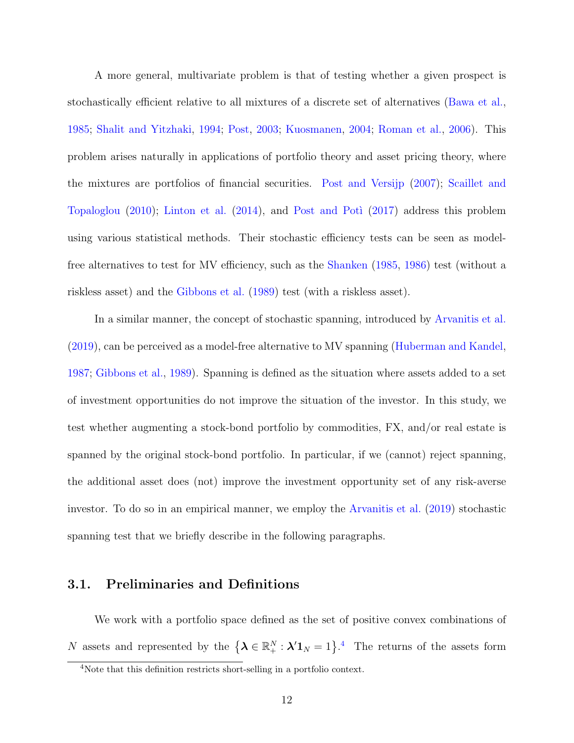A more general, multivariate problem is that of testing whether a given prospect is stochastically efficient relative to all mixtures of a discrete set of alternatives (Bawa et al., 1985; Shalit and Yitzhaki, 1994; Post, 2003; Kuosmanen, 2004; Roman et al., 2006). This problem arises naturally in applications of portfolio theory and asset pricing theory, where the mixtures are portfolios of financial securities. Post and Versijp (2007); Scaillet and Topaloglou  $(2010)$ ; Linton et al.  $(2014)$ , and Post and Poti  $(2017)$  address this problem using various statistical methods. Their stochastic efficiency tests can be seen as modelfree alternatives to test for MV efficiency, such as the Shanken (1985, 1986) test (without a riskless asset) and the Gibbons et al. (1989) test (with a riskless asset).

In a similar manner, the concept of stochastic spanning, introduced by Arvanitis et al. (2019), can be perceived as a model-free alternative to MV spanning (Huberman and Kandel, 1987; Gibbons et al., 1989). Spanning is defined as the situation where assets added to a set of investment opportunities do not improve the situation of the investor. In this study, we test whether augmenting a stock-bond portfolio by commodities, FX, and/or real estate is spanned by the original stock-bond portfolio. In particular, if we (cannot) reject spanning, the additional asset does (not) improve the investment opportunity set of any risk-averse investor. To do so in an empirical manner, we employ the Arvanitis et al. (2019) stochastic spanning test that we briefly describe in the following paragraphs.

## 3.1. Preliminaries and Definitions

We work with a portfolio space defined as the set of positive convex combinations of N assets and represented by the  $\{\lambda \in \mathbb{R}_+^N : \lambda' \mathbb{1}_N = 1\}$ .<sup>4</sup> The returns of the assets form

<sup>&</sup>lt;sup>4</sup>Note that this definition restricts short-selling in a portfolio context.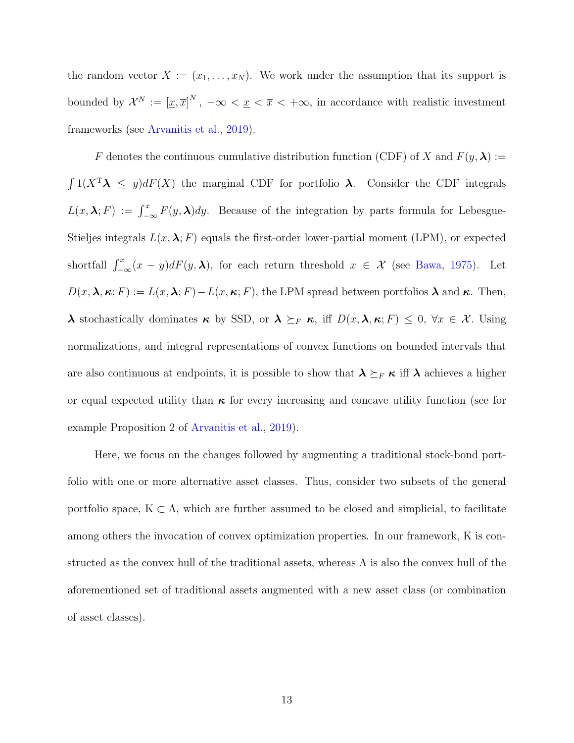the random vector  $X := (x_1, \ldots, x_N)$ . We work under the assumption that its support is bounded by  $\mathcal{X}^N := [\underline{x}, \overline{x}]^N$ ,  $-\infty < \underline{x} < \overline{x} < +\infty$ , in accordance with realistic investment frameworks (see Arvanitis et al., 2019).

F denotes the continuous cumulative distribution function (CDF) of X and  $F(y, \lambda)$  :=  $\int 1(X^T \lambda \leq y) dF(X)$  the marginal CDF for portfolio  $\lambda$ . Consider the CDF integrals  $L(x, \lambda; F) := \int_{-\infty}^{x} F(y, \lambda) dy$ . Because of the integration by parts formula for Lebesgue-Stieljes integrals  $L(x, \lambda; F)$  equals the first-order lower-partial moment (LPM), or expected shortfall  $\int_{-\infty}^{x} (x - y) dF(y, \lambda)$ , for each return threshold  $x \in \mathcal{X}$  (see Bawa, 1975). Let  $D(x, \lambda, \kappa; F) := L(x, \lambda; F) - L(x, \kappa; F)$ , the LPM spread between portfolios  $\lambda$  and  $\kappa$ . Then,  $λ$  stochastically dominates κ by SSD, or  $λ ≥_F κ$ , iff  $D(x, λ, κ; F) ≤ 0, ∀x ∈ X$ . Using normalizations, and integral representations of convex functions on bounded intervals that are also continuous at endpoints, it is possible to show that  $\lambda \succeq_F \kappa$  iff  $\lambda$  achieves a higher or equal expected utility than  $\kappa$  for every increasing and concave utility function (see for example Proposition 2 of Arvanitis et al., 2019).

Here, we focus on the changes followed by augmenting a traditional stock-bond portfolio with one or more alternative asset classes. Thus, consider two subsets of the general portfolio space,  $K \subset \Lambda$ , which are further assumed to be closed and simplicial, to facilitate among others the invocation of convex optimization properties. In our framework, K is constructed as the convex hull of the traditional assets, whereas  $\Lambda$  is also the convex hull of the aforementioned set of traditional assets augmented with a new asset class (or combination of asset classes).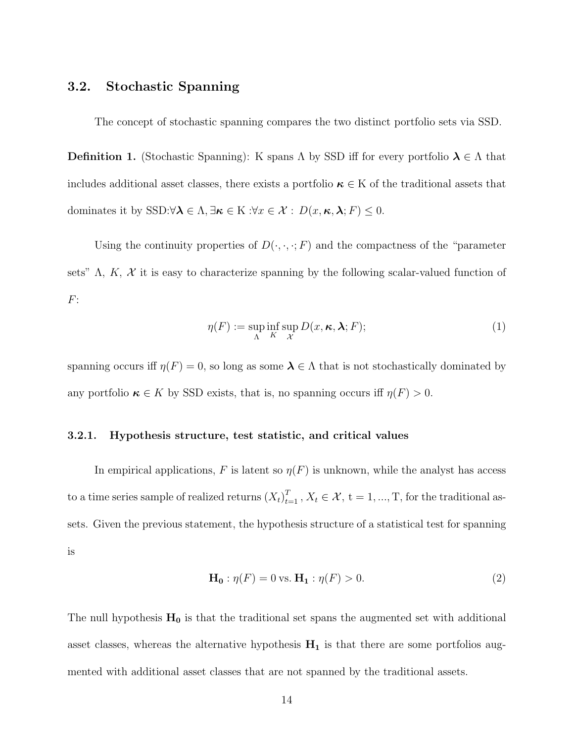## 3.2. Stochastic Spanning

The concept of stochastic spanning compares the two distinct portfolio sets via SSD.

**Definition 1.** (Stochastic Spanning): K spans  $\Lambda$  by SSD iff for every portfolio  $\lambda \in \Lambda$  that includes additional asset classes, there exists a portfolio  $\kappa \in K$  of the traditional assets that dominates it by SSD: $\forall \lambda \in \Lambda, \exists \kappa \in \mathcal{K} : \forall x \in \mathcal{X} : D(x, \kappa, \lambda; F) \leq 0.$ 

Using the continuity properties of  $D(\cdot, \cdot, \cdot; F)$  and the compactness of the "parameter" sets"  $\Lambda$ ,  $K$ ,  $\mathcal X$  it is easy to characterize spanning by the following scalar-valued function of  $F$ :

$$
\eta(F) := \sup_{\Lambda} \inf_{K} \sup_{\mathcal{X}} D(x, \kappa, \lambda; F); \tag{1}
$$

spanning occurs iff  $\eta(F) = 0$ , so long as some  $\lambda \in \Lambda$  that is not stochastically dominated by any portfolio  $\kappa \in K$  by SSD exists, that is, no spanning occurs iff  $\eta(F) > 0$ .

#### 3.2.1. Hypothesis structure, test statistic, and critical values

In empirical applications, F is latent so  $\eta(F)$  is unknown, while the analyst has access to a time series sample of realized returns  $(X_t)_{t=1}^T$ ,  $X_t \in \mathcal{X}$ ,  $t = 1, ..., T$ , for the traditional assets. Given the previous statement, the hypothesis structure of a statistical test for spanning is

$$
\mathbf{H_0} : \eta(F) = 0 \text{ vs. } \mathbf{H_1} : \eta(F) > 0. \tag{2}
$$

The null hypothesis  $H_0$  is that the traditional set spans the augmented set with additional asset classes, whereas the alternative hypothesis  $H_1$  is that there are some portfolios augmented with additional asset classes that are not spanned by the traditional assets.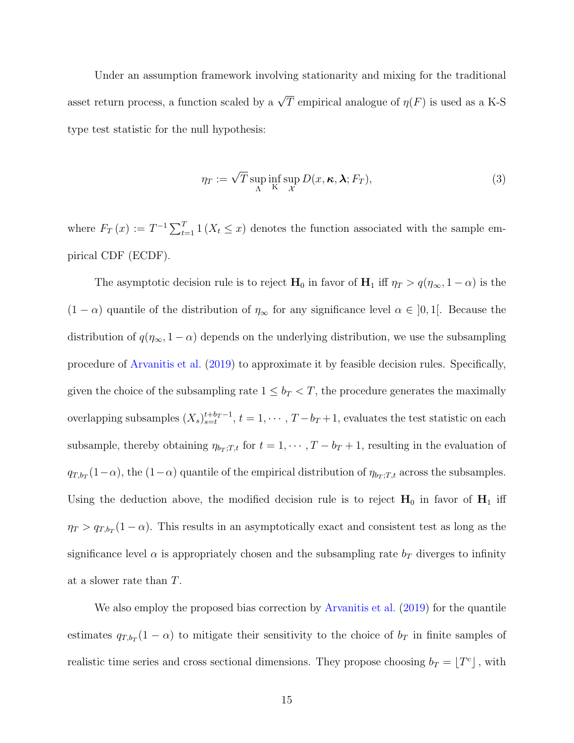Under an assumption framework involving stationarity and mixing for the traditional asset return process, a function scaled by a  $\sqrt{T}$  empirical analogue of  $\eta(F)$  is used as a K-S type test statistic for the null hypothesis:

$$
\eta_T := \sqrt{T} \sup_{\Lambda} \inf_{\mathbf{K}} \sup_{\mathcal{X}} D(x, \kappa, \lambda; F_T), \tag{3}
$$

where  $F_T(x) := T^{-1} \sum_{t=1}^T 1(X_t \leq x)$  denotes the function associated with the sample empirical CDF (ECDF).

The asymptotic decision rule is to reject  $H_0$  in favor of  $H_1$  iff  $\eta_T > q(\eta_\infty, 1 - \alpha)$  is the  $(1 - \alpha)$  quantile of the distribution of  $\eta_{\infty}$  for any significance level  $\alpha \in ]0,1[$ . Because the distribution of  $q(\eta_{\infty}, 1 - \alpha)$  depends on the underlying distribution, we use the subsampling procedure of Arvanitis et al. (2019) to approximate it by feasible decision rules. Specifically, given the choice of the subsampling rate  $1 \leq b_T < T$ , the procedure generates the maximally overlapping subsamples  $(X_s)_{s=t}^{t+b_T-1}$ ,  $t = 1, \cdots, T-b_T+1$ , evaluates the test statistic on each subsample, thereby obtaining  $\eta_{b_T;T,t}$  for  $t = 1, \dots, T - b_T + 1$ , resulting in the evaluation of  $q_{T,b_T}(1-\alpha)$ , the  $(1-\alpha)$  quantile of the empirical distribution of  $\eta_{b_T,T,t}$  across the subsamples. Using the deduction above, the modified decision rule is to reject  $H_0$  in favor of  $H_1$  iff  $\eta_T > q_{T,b_T}(1-\alpha)$ . This results in an asymptotically exact and consistent test as long as the significance level  $\alpha$  is appropriately chosen and the subsampling rate  $b_T$  diverges to infinity at a slower rate than T.

We also employ the proposed bias correction by Arvanitis et al. (2019) for the quantile estimates  $q_{T,b_T}(1-\alpha)$  to mitigate their sensitivity to the choice of  $b_T$  in finite samples of realistic time series and cross sectional dimensions. They propose choosing  $b_T = \lfloor T^c \rfloor$ , with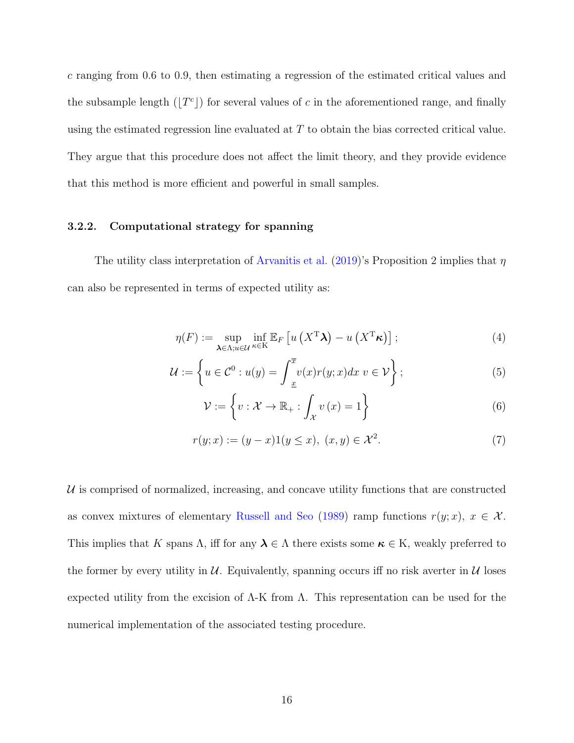c ranging from 0.6 to 0.9, then estimating a regression of the estimated critical values and the subsample length  $(\lfloor T^c \rfloor)$  for several values of c in the aforementioned range, and finally using the estimated regression line evaluated at T to obtain the bias corrected critical value. They argue that this procedure does not affect the limit theory, and they provide evidence that this method is more efficient and powerful in small samples.

### 3.2.2. Computational strategy for spanning

The utility class interpretation of Arvanitis et al. (2019)'s Proposition 2 implies that  $\eta$ can also be represented in terms of expected utility as:

$$
\eta(F) := \sup_{\mathbf{\lambda} \in \Lambda; u \in \mathcal{U}} \inf_{\kappa \in \mathcal{K}} \mathbb{E}_F \left[ u\left( X^{\mathrm{T}} \mathbf{\lambda} \right) - u\left( X^{\mathrm{T}} \kappa \right) \right];\tag{4}
$$

$$
\mathcal{U} := \left\{ u \in \mathcal{C}^0 : u(y) = \int_{\frac{x}{\mathcal{L}}}^{\overline{x}} v(x) r(y; x) dx \ v \in \mathcal{V} \right\};\tag{5}
$$

$$
\mathcal{V} := \left\{ v : \mathcal{X} \to \mathbb{R}_+ : \int_{\mathcal{X}} v(x) = 1 \right\}
$$
 (6)

$$
r(y; x) := (y - x)1(y \le x), \ (x, y) \in \mathcal{X}^2. \tag{7}
$$

 $U$  is comprised of normalized, increasing, and concave utility functions that are constructed as convex mixtures of elementary Russell and Seo (1989) ramp functions  $r(y; x)$ ,  $x \in \mathcal{X}$ . This implies that K spans  $\Lambda$ , iff for any  $\lambda \in \Lambda$  there exists some  $\kappa \in \mathcal{K}$ , weakly preferred to the former by every utility in  $\mathcal{U}$ . Equivalently, spanning occurs iff no risk averter in  $\mathcal{U}$  loses expected utility from the excision of  $\Lambda$ -K from  $\Lambda$ . This representation can be used for the numerical implementation of the associated testing procedure.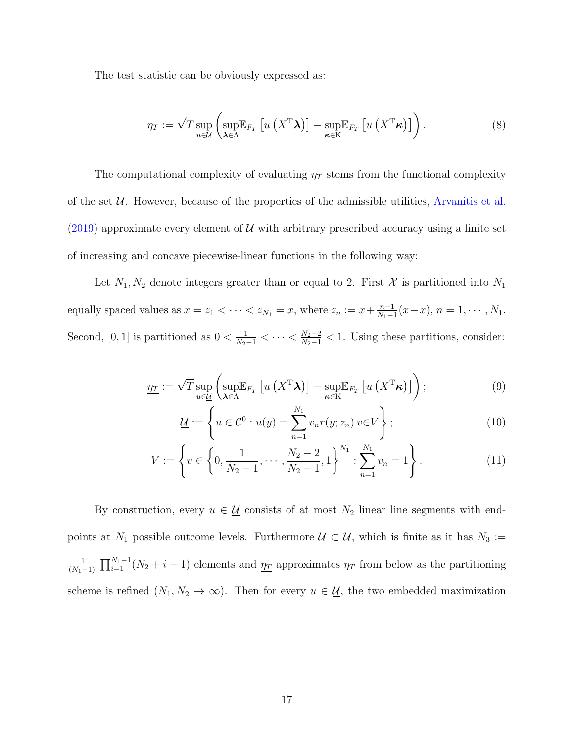The test statistic can be obviously expressed as:

$$
\eta_T := \sqrt{T} \sup_{u \in \mathcal{U}} \left( \sup_{\boldsymbol{\lambda} \in \Lambda} \mathbb{E}_{F_T} \left[ u \left( X^{\mathrm{T}} \boldsymbol{\lambda} \right) \right] - \sup_{\boldsymbol{\kappa} \in \mathrm{K}} \mathbb{E}_{F_T} \left[ u \left( X^{\mathrm{T}} \boldsymbol{\kappa} \right) \right] \right). \tag{8}
$$

The computational complexity of evaluating  $\eta_T$  stems from the functional complexity of the set  $U$ . However, because of the properties of the admissible utilities, Arvanitis et al. (2019) approximate every element of  $U$  with arbitrary prescribed accuracy using a finite set of increasing and concave piecewise-linear functions in the following way:

Let  $N_1, N_2$  denote integers greater than or equal to 2. First X is partitioned into  $N_1$ equally spaced values as  $\underline{x} = z_1 < \cdots < z_{N_1} = \overline{x}$ , where  $z_n := \underline{x} + \frac{n-1}{N_1-1}$  $\frac{n-1}{N_1-1}(\overline{x}-\underline{x}), n=1,\cdots,N_1.$ Second, [0, 1] is partitioned as  $0 < \frac{1}{N_2-1} < \cdots < \frac{N_2-2}{N_2-1} < 1$ . Using these partitions, consider:

$$
\underline{\eta_T} := \sqrt{T} \sup_{u \in \underline{\mathcal{U}}} \left( \sup_{\boldsymbol{\lambda} \in \Lambda} \mathbb{E}_{F_T} \left[ u \left( X^{\mathrm{T}} \boldsymbol{\lambda} \right) \right] - \sup_{\boldsymbol{\kappa} \in \mathrm{K}} \mathbb{E}_{F_T} \left[ u \left( X^{\mathrm{T}} \boldsymbol{\kappa} \right) \right] \right); \tag{9}
$$

$$
\underline{\mathcal{U}} := \left\{ u \in \mathcal{C}^0 : u(y) = \sum_{n=1}^{N_1} v_n r(y; z_n) \, v \in V \right\};\tag{10}
$$

$$
V := \left\{ v \in \left\{ 0, \frac{1}{N_2 - 1}, \dots, \frac{N_2 - 2}{N_2 - 1}, 1 \right\}^{N_1} : \sum_{n=1}^{N_1} v_n = 1 \right\}.
$$
 (11)

By construction, every  $u \in \underline{\mathcal{U}}$  consists of at most  $N_2$  linear line segments with endpoints at  $N_1$  possible outcome levels. Furthermore  $\underline{\mathcal{U}} \subset \mathcal{U}$ , which is finite as it has  $N_3 :=$  $\frac{1}{(N_1-1)!} \prod_{i=1}^{N_1-1} (N_2+i-1)$  elements and  $\eta_T$  approximates  $\eta_T$  from below as the partitioning scheme is refined  $(N_1, N_2 \to \infty)$ . Then for every  $u \in \underline{\mathcal{U}}$ , the two embedded maximization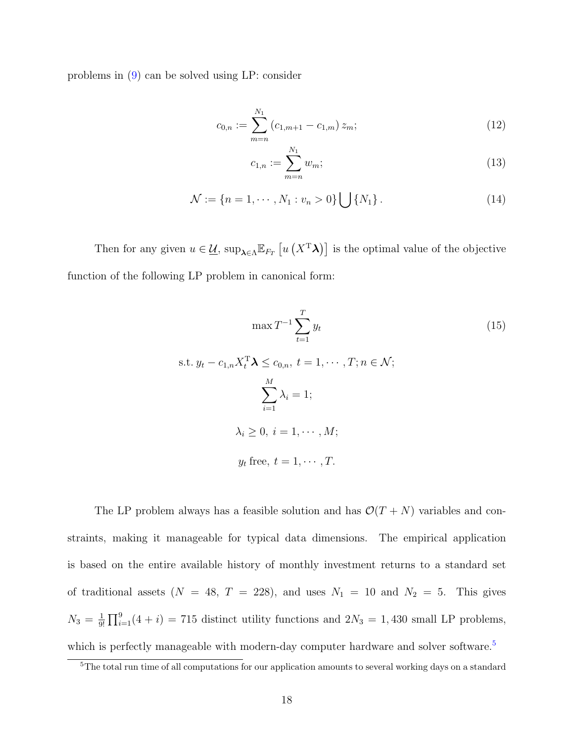problems in (9) can be solved using LP: consider

$$
c_{0,n} := \sum_{m=n}^{N_1} (c_{1,m+1} - c_{1,m}) z_m;
$$
\n(12)

$$
c_{1,n} := \sum_{m=n}^{N_1} w_m;
$$
\n(13)

$$
\mathcal{N} := \{ n = 1, \cdots, N_1 : v_n > 0 \} \bigcup \{ N_1 \}. \tag{14}
$$

Then for any given  $u \in \underline{\mathcal{U}}$ ,  $\sup_{\lambda \in \Lambda} \mathbb{E}_{F_T} \left[ u\left( X^T \lambda \right) \right]$  is the optimal value of the objective function of the following LP problem in canonical form:

$$
\max T^{-1} \sum_{t=1}^{T} y_t
$$
  
s.t.  $y_t - c_{1,n} X_t^{\mathrm{T}} \lambda \le c_{0,n}, t = 1, \dots, T; n \in \mathcal{N};$   

$$
\sum_{i=1}^{M} \lambda_i = 1;
$$
  

$$
\lambda_i \ge 0, i = 1, \dots, M;
$$
  

$$
y_t \text{ free}, t = 1, \dots, T.
$$

The LP problem always has a feasible solution and has  $\mathcal{O}(T+N)$  variables and constraints, making it manageable for typical data dimensions. The empirical application is based on the entire available history of monthly investment returns to a standard set of traditional assets  $(N = 48, T = 228)$ , and uses  $N_1 = 10$  and  $N_2 = 5$ . This gives  $N_3 = \frac{1}{9!}$  $\frac{1}{9!} \prod_{i=1}^{9} (4+i) = 715$  distinct utility functions and  $2N_3 = 1,430$  small LP problems, which is perfectly manageable with modern-day computer hardware and solver software.<sup>5</sup>

<sup>&</sup>lt;sup>5</sup>The total run time of all computations for our application amounts to several working days on a standard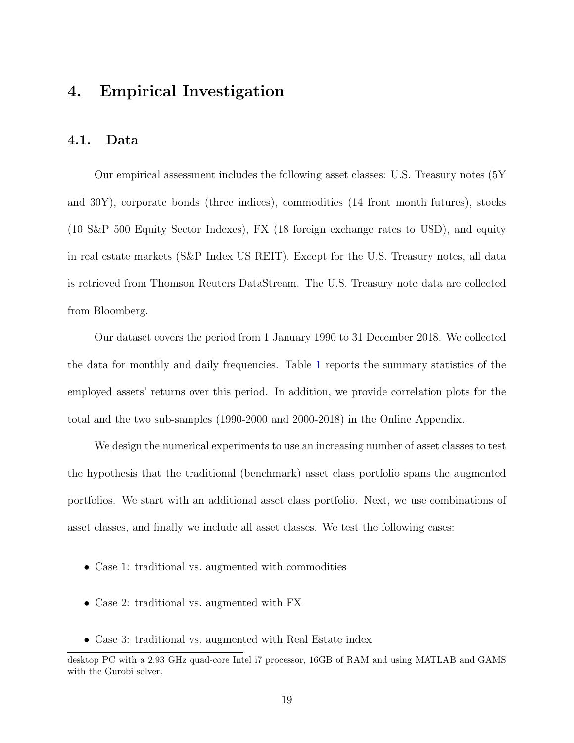## 4. Empirical Investigation

### 4.1. Data

Our empirical assessment includes the following asset classes: U.S. Treasury notes (5Y and 30Y), corporate bonds (three indices), commodities (14 front month futures), stocks (10 S&P 500 Equity Sector Indexes), FX (18 foreign exchange rates to USD), and equity in real estate markets (S&P Index US REIT). Except for the U.S. Treasury notes, all data is retrieved from Thomson Reuters DataStream. The U.S. Treasury note data are collected from Bloomberg.

Our dataset covers the period from 1 January 1990 to 31 December 2018. We collected the data for monthly and daily frequencies. Table 1 reports the summary statistics of the employed assets' returns over this period. In addition, we provide correlation plots for the total and the two sub-samples (1990-2000 and 2000-2018) in the Online Appendix.

We design the numerical experiments to use an increasing number of asset classes to test the hypothesis that the traditional (benchmark) asset class portfolio spans the augmented portfolios. We start with an additional asset class portfolio. Next, we use combinations of asset classes, and finally we include all asset classes. We test the following cases:

- Case 1: traditional vs. augmented with commodities
- Case 2: traditional vs. augmented with FX
- Case 3: traditional vs. augmented with Real Estate index

desktop PC with a 2.93 GHz quad-core Intel i7 processor, 16GB of RAM and using MATLAB and GAMS with the Gurobi solver.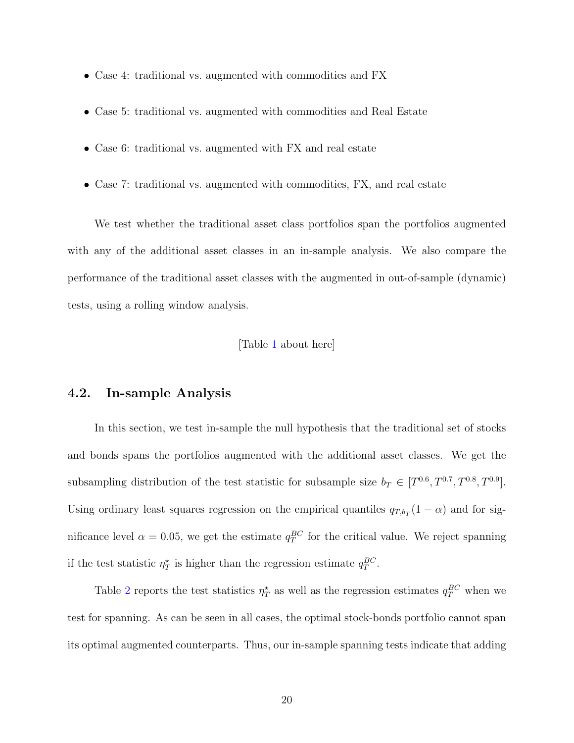- Case 4: traditional vs. augmented with commodities and FX
- Case 5: traditional vs. augmented with commodities and Real Estate
- Case 6: traditional vs. augmented with FX and real estate
- Case 7: traditional vs. augmented with commodities, FX, and real estate

We test whether the traditional asset class portfolios span the portfolios augmented with any of the additional asset classes in an in-sample analysis. We also compare the performance of the traditional asset classes with the augmented in out-of-sample (dynamic) tests, using a rolling window analysis.

### [Table 1 about here]

### 4.2. In-sample Analysis

In this section, we test in-sample the null hypothesis that the traditional set of stocks and bonds spans the portfolios augmented with the additional asset classes. We get the subsampling distribution of the test statistic for subsample size  $b_T \in [T^{0.6}, T^{0.7}, T^{0.8}, T^{0.9}].$ Using ordinary least squares regression on the empirical quantiles  $q_{T,b_T}(1-\alpha)$  and for significance level  $\alpha = 0.05$ , we get the estimate  $q_T^{BC}$  for the critical value. We reject spanning if the test statistic  $\eta_T^*$  is higher than the regression estimate  $q_T^{BC}$ .

Table 2 reports the test statistics  $\eta_T^*$  as well as the regression estimates  $q_T^{BC}$  when we test for spanning. As can be seen in all cases, the optimal stock-bonds portfolio cannot span its optimal augmented counterparts. Thus, our in-sample spanning tests indicate that adding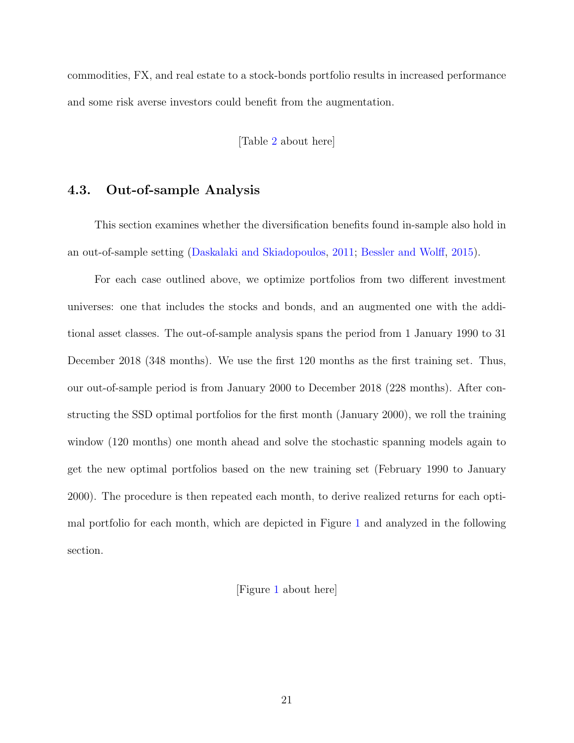commodities, FX, and real estate to a stock-bonds portfolio results in increased performance and some risk averse investors could benefit from the augmentation.

[Table 2 about here]

## 4.3. Out-of-sample Analysis

This section examines whether the diversification benefits found in-sample also hold in an out-of-sample setting (Daskalaki and Skiadopoulos, 2011; Bessler and Wolff, 2015).

For each case outlined above, we optimize portfolios from two different investment universes: one that includes the stocks and bonds, and an augmented one with the additional asset classes. The out-of-sample analysis spans the period from 1 January 1990 to 31 December 2018 (348 months). We use the first 120 months as the first training set. Thus, our out-of-sample period is from January 2000 to December 2018 (228 months). After constructing the SSD optimal portfolios for the first month (January 2000), we roll the training window (120 months) one month ahead and solve the stochastic spanning models again to get the new optimal portfolios based on the new training set (February 1990 to January 2000). The procedure is then repeated each month, to derive realized returns for each optimal portfolio for each month, which are depicted in Figure 1 and analyzed in the following section.

[Figure 1 about here]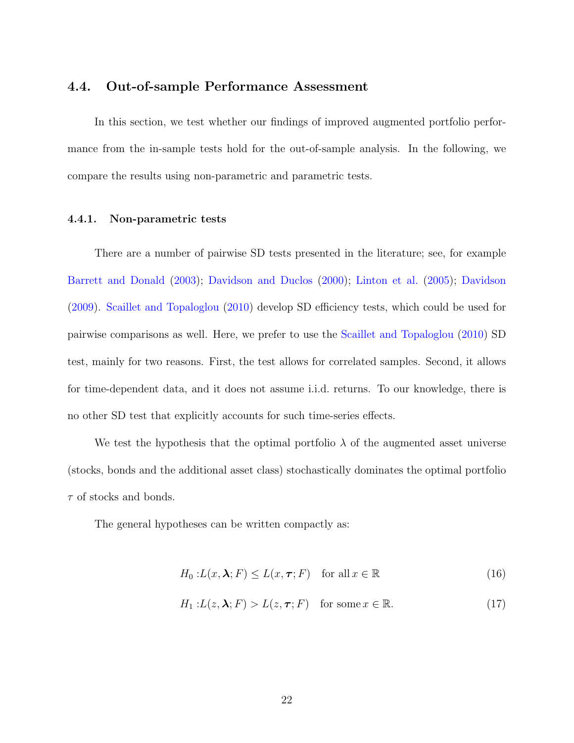### 4.4. Out-of-sample Performance Assessment

In this section, we test whether our findings of improved augmented portfolio performance from the in-sample tests hold for the out-of-sample analysis. In the following, we compare the results using non-parametric and parametric tests.

### 4.4.1. Non-parametric tests

There are a number of pairwise SD tests presented in the literature; see, for example Barrett and Donald (2003); Davidson and Duclos (2000); Linton et al. (2005); Davidson (2009). Scaillet and Topaloglou (2010) develop SD efficiency tests, which could be used for pairwise comparisons as well. Here, we prefer to use the Scaillet and Topaloglou (2010) SD test, mainly for two reasons. First, the test allows for correlated samples. Second, it allows for time-dependent data, and it does not assume i.i.d. returns. To our knowledge, there is no other SD test that explicitly accounts for such time-series effects.

We test the hypothesis that the optimal portfolio  $\lambda$  of the augmented asset universe (stocks, bonds and the additional asset class) stochastically dominates the optimal portfolio  $\tau$  of stocks and bonds.

The general hypotheses can be written compactly as:

$$
H_0: L(x, \lambda; F) \le L(x, \tau; F) \quad \text{for all } x \in \mathbb{R}
$$
 (16)

$$
H_1: L(z, \lambda; F) > L(z, \tau; F) \quad \text{for some } x \in \mathbb{R}.
$$
 (17)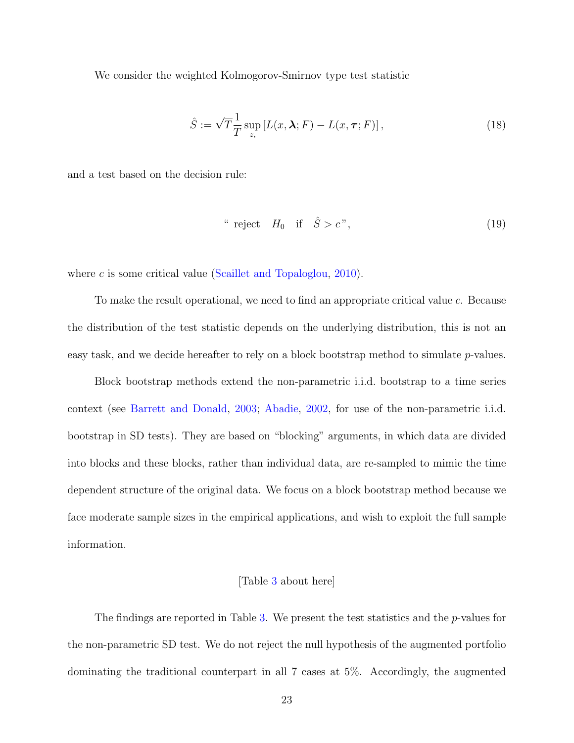We consider the weighted Kolmogorov-Smirnov type test statistic

$$
\hat{S} := \sqrt{T} \frac{1}{T} \sup_{z,} [L(x, \lambda; F) - L(x, \tau; F)], \qquad (18)
$$

and a test based on the decision rule:

" reject 
$$
H_0
$$
 if  $\hat{S} > c$ ", (19)

where c is some critical value (Scaillet and Topaloglou,  $2010$ ).

To make the result operational, we need to find an appropriate critical value c. Because the distribution of the test statistic depends on the underlying distribution, this is not an easy task, and we decide hereafter to rely on a block bootstrap method to simulate p-values.

Block bootstrap methods extend the non-parametric i.i.d. bootstrap to a time series context (see Barrett and Donald, 2003; Abadie, 2002, for use of the non-parametric i.i.d. bootstrap in SD tests). They are based on "blocking" arguments, in which data are divided into blocks and these blocks, rather than individual data, are re-sampled to mimic the time dependent structure of the original data. We focus on a block bootstrap method because we face moderate sample sizes in the empirical applications, and wish to exploit the full sample information.

#### [Table 3 about here]

The findings are reported in Table 3. We present the test statistics and the  $p$ -values for the non-parametric SD test. We do not reject the null hypothesis of the augmented portfolio dominating the traditional counterpart in all 7 cases at 5%. Accordingly, the augmented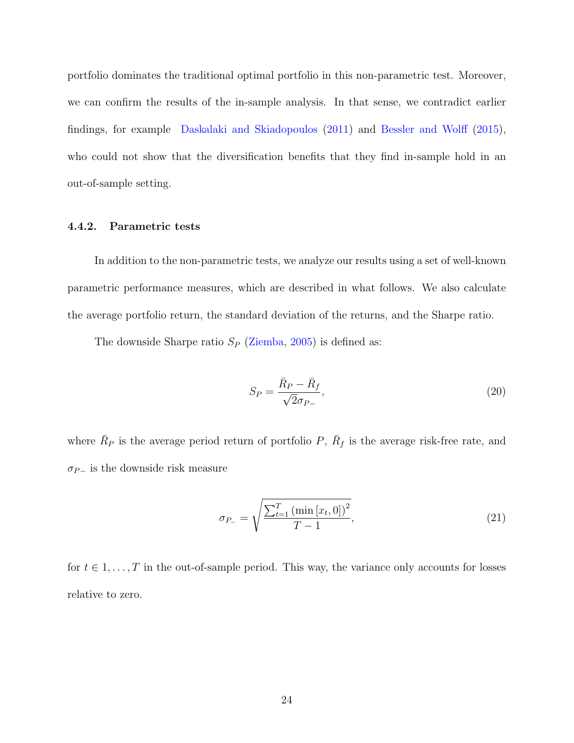portfolio dominates the traditional optimal portfolio in this non-parametric test. Moreover, we can confirm the results of the in-sample analysis. In that sense, we contradict earlier findings, for example Daskalaki and Skiadopoulos (2011) and Bessler and Wolff (2015), who could not show that the diversification benefits that they find in-sample hold in an out-of-sample setting.

### 4.4.2. Parametric tests

In addition to the non-parametric tests, we analyze our results using a set of well-known parametric performance measures, which are described in what follows. We also calculate the average portfolio return, the standard deviation of the returns, and the Sharpe ratio.

The downside Sharpe ratio  $S_P$  (Ziemba, 2005) is defined as:

$$
S_P = \frac{\bar{R}_P - \bar{R}_f}{\sqrt{2}\sigma_{P-}},\tag{20}
$$

where  $\bar{R}_P$  is the average period return of portfolio P,  $\bar{R}_f$  is the average risk-free rate, and  $\sigma_{P-}$  is the downside risk measure

$$
\sigma_{P_{-}} = \sqrt{\frac{\sum_{t=1}^{T} (\min [x_t, 0])^2}{T - 1}},
$$
\n(21)

for  $t \in 1, \ldots, T$  in the out-of-sample period. This way, the variance only accounts for losses relative to zero.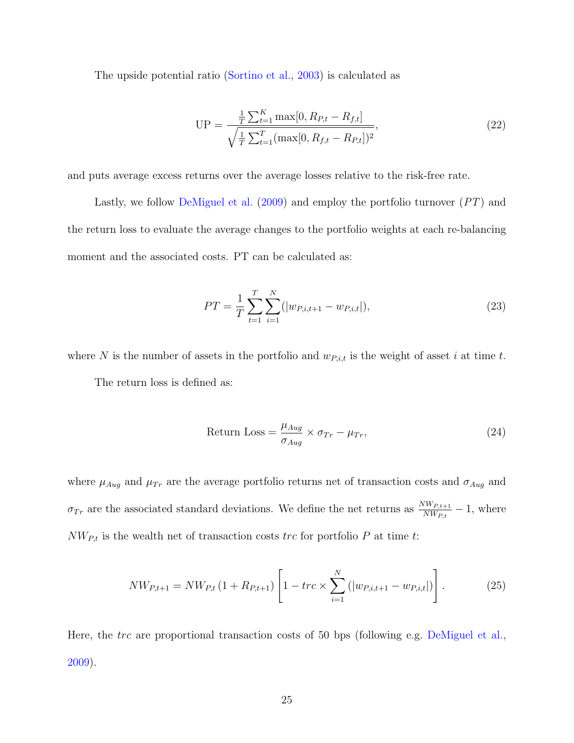The upside potential ratio (Sortino et al., 2003) is calculated as

$$
UP = \frac{\frac{1}{T} \sum_{t=1}^{K} \max[0, R_{P,t} - R_{f,t}]}{\sqrt{\frac{1}{T} \sum_{t=1}^{T} (\max[0, R_{f,t} - R_{P,t}])^2}},
$$
\n(22)

and puts average excess returns over the average losses relative to the risk-free rate.

Lastly, we follow DeMiguel et al. (2009) and employ the portfolio turnover (PT) and the return loss to evaluate the average changes to the portfolio weights at each re-balancing moment and the associated costs. PT can be calculated as:

$$
PT = \frac{1}{T} \sum_{t=1}^{T} \sum_{i=1}^{N} (|w_{P,i,t+1} - w_{P,i,t}|),
$$
\n(23)

where N is the number of assets in the portfolio and  $w_{P,i,t}$  is the weight of asset i at time t. The return loss is defined as:

Return Loss = 
$$
\frac{\mu_{Aug}}{\sigma_{Aug}} \times \sigma_{Tr} - \mu_{Tr},
$$
\n(24)

where  $\mu_{Aug}$  and  $\mu_{Tr}$  are the average portfolio returns net of transaction costs and  $\sigma_{Aug}$  and  $\sigma_{Tr}$  are the associated standard deviations. We define the net returns as  $\frac{NW_{P,t+1}}{NW_{P,t}}$  $\frac{W_{N}W_{P,t+1}}{NW_{P,t}} - 1$ , where  $NW_{P,t}$  is the wealth net of transaction costs trc for portfolio P at time t:

$$
NW_{P,t+1} = NW_{P,t} \left(1 + R_{P,t+1}\right) \left[1 - trc \times \sum_{i=1}^{N} \left(|w_{P,i,t+1} - w_{P,i,t}|\right)\right].
$$
 (25)

Here, the trc are proportional transaction costs of 50 bps (following e.g. DeMiguel et al., 2009).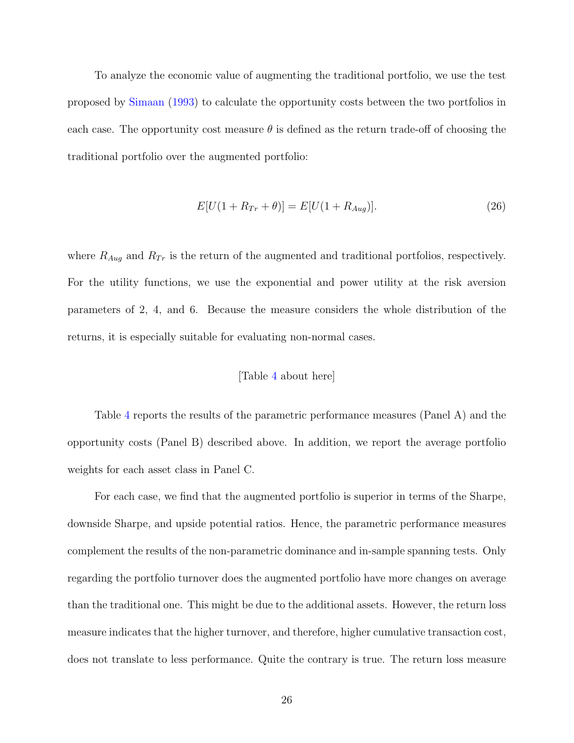To analyze the economic value of augmenting the traditional portfolio, we use the test proposed by Simaan (1993) to calculate the opportunity costs between the two portfolios in each case. The opportunity cost measure  $\theta$  is defined as the return trade-off of choosing the traditional portfolio over the augmented portfolio:

$$
E[U(1 + R_{Tr} + \theta)] = E[U(1 + R_{Aug})]. \tag{26}
$$

where  $R_{Aug}$  and  $R_{Tr}$  is the return of the augmented and traditional portfolios, respectively. For the utility functions, we use the exponential and power utility at the risk aversion parameters of 2, 4, and 6. Because the measure considers the whole distribution of the returns, it is especially suitable for evaluating non-normal cases.

### [Table 4 about here]

Table 4 reports the results of the parametric performance measures (Panel A) and the opportunity costs (Panel B) described above. In addition, we report the average portfolio weights for each asset class in Panel C.

For each case, we find that the augmented portfolio is superior in terms of the Sharpe, downside Sharpe, and upside potential ratios. Hence, the parametric performance measures complement the results of the non-parametric dominance and in-sample spanning tests. Only regarding the portfolio turnover does the augmented portfolio have more changes on average than the traditional one. This might be due to the additional assets. However, the return loss measure indicates that the higher turnover, and therefore, higher cumulative transaction cost, does not translate to less performance. Quite the contrary is true. The return loss measure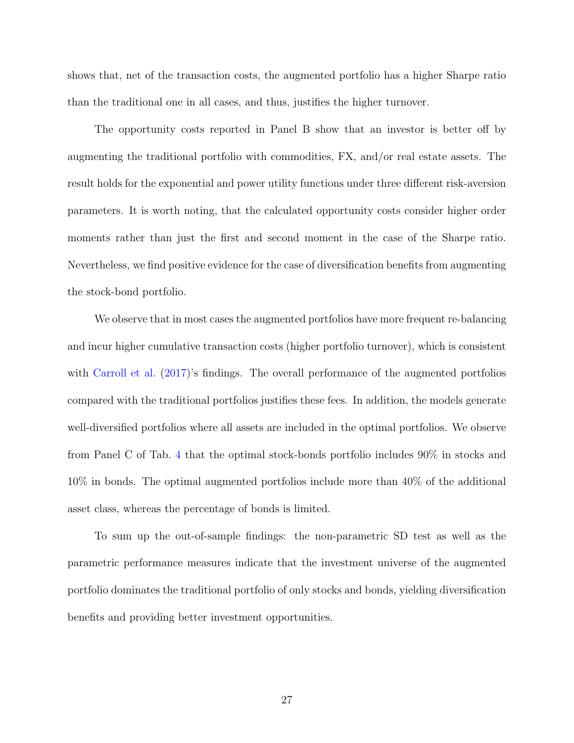shows that, net of the transaction costs, the augmented portfolio has a higher Sharpe ratio than the traditional one in all cases, and thus, justifies the higher turnover.

The opportunity costs reported in Panel B show that an investor is better off by augmenting the traditional portfolio with commodities, FX, and/or real estate assets. The result holds for the exponential and power utility functions under three different risk-aversion parameters. It is worth noting, that the calculated opportunity costs consider higher order moments rather than just the first and second moment in the case of the Sharpe ratio. Nevertheless, we find positive evidence for the case of diversification benefits from augmenting the stock-bond portfolio.

We observe that in most cases the augmented portfolios have more frequent re-balancing and incur higher cumulative transaction costs (higher portfolio turnover), which is consistent with Carroll et al. (2017)'s findings. The overall performance of the augmented portfolios compared with the traditional portfolios justifies these fees. In addition, the models generate well-diversified portfolios where all assets are included in the optimal portfolios. We observe from Panel C of Tab. 4 that the optimal stock-bonds portfolio includes 90% in stocks and 10% in bonds. The optimal augmented portfolios include more than 40% of the additional asset class, whereas the percentage of bonds is limited.

To sum up the out-of-sample findings: the non-parametric SD test as well as the parametric performance measures indicate that the investment universe of the augmented portfolio dominates the traditional portfolio of only stocks and bonds, yielding diversification benefits and providing better investment opportunities.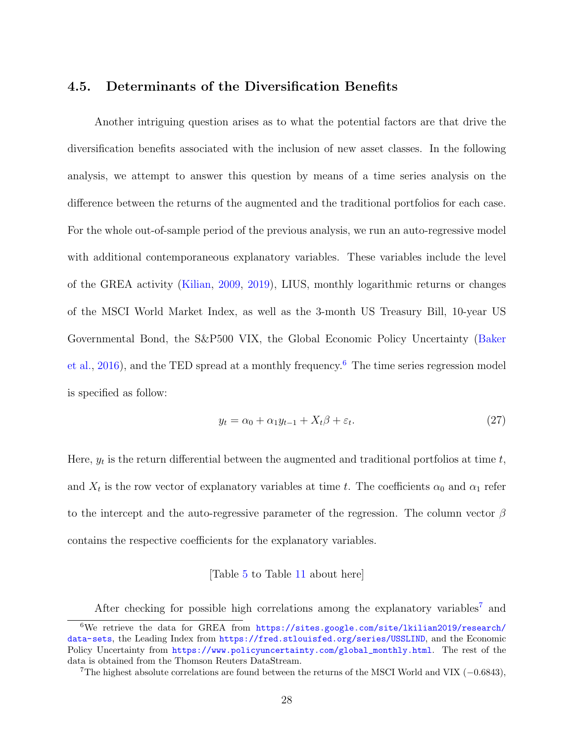## 4.5. Determinants of the Diversification Benefits

Another intriguing question arises as to what the potential factors are that drive the diversification benefits associated with the inclusion of new asset classes. In the following analysis, we attempt to answer this question by means of a time series analysis on the difference between the returns of the augmented and the traditional portfolios for each case. For the whole out-of-sample period of the previous analysis, we run an auto-regressive model with additional contemporaneous explanatory variables. These variables include the level of the GREA activity (Kilian, 2009, 2019), LIUS, monthly logarithmic returns or changes of the MSCI World Market Index, as well as the 3-month US Treasury Bill, 10-year US Governmental Bond, the S&P500 VIX, the Global Economic Policy Uncertainty (Baker et al., 2016), and the TED spread at a monthly frequency.<sup>6</sup> The time series regression model is specified as follow:

$$
y_t = \alpha_0 + \alpha_1 y_{t-1} + X_t \beta + \varepsilon_t. \tag{27}
$$

Here,  $y_t$  is the return differential between the augmented and traditional portfolios at time  $t$ , and  $X_t$  is the row vector of explanatory variables at time t. The coefficients  $\alpha_0$  and  $\alpha_1$  refer to the intercept and the auto-regressive parameter of the regression. The column vector  $\beta$ contains the respective coefficients for the explanatory variables.

### [Table 5 to Table 11 about here]

After checking for possible high correlations among the explanatory variables<sup>7</sup> and

<sup>6</sup>We retrieve the data for GREA from https://sites.google.com/site/lkilian2019/research/ data-sets, the Leading Index from https://fred.stlouisfed.org/series/USSLIND, and the Economic Policy Uncertainty from https://www.policyuncertainty.com/global\_monthly.html. The rest of the data is obtained from the Thomson Reuters DataStream.

<sup>&</sup>lt;sup>7</sup>The highest absolute correlations are found between the returns of the MSCI World and VIX  $(-0.6843)$ ,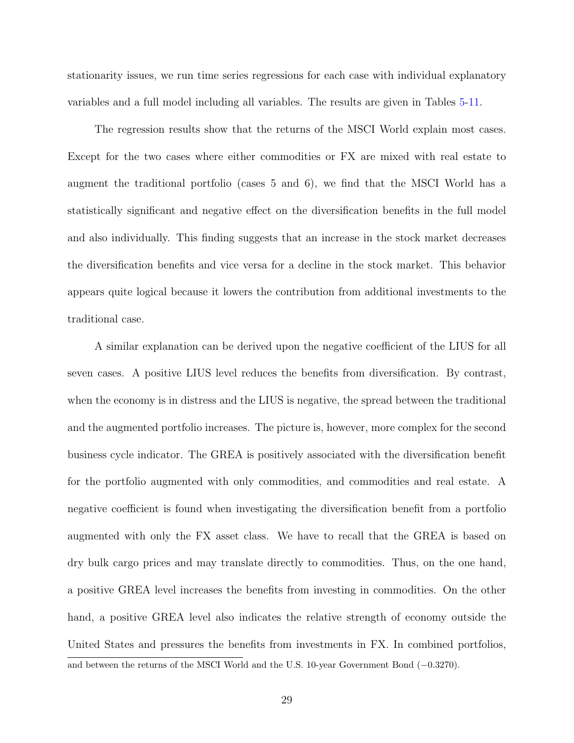stationarity issues, we run time series regressions for each case with individual explanatory variables and a full model including all variables. The results are given in Tables 5-11.

The regression results show that the returns of the MSCI World explain most cases. Except for the two cases where either commodities or FX are mixed with real estate to augment the traditional portfolio (cases 5 and 6), we find that the MSCI World has a statistically significant and negative effect on the diversification benefits in the full model and also individually. This finding suggests that an increase in the stock market decreases the diversification benefits and vice versa for a decline in the stock market. This behavior appears quite logical because it lowers the contribution from additional investments to the traditional case.

A similar explanation can be derived upon the negative coefficient of the LIUS for all seven cases. A positive LIUS level reduces the benefits from diversification. By contrast, when the economy is in distress and the LIUS is negative, the spread between the traditional and the augmented portfolio increases. The picture is, however, more complex for the second business cycle indicator. The GREA is positively associated with the diversification benefit for the portfolio augmented with only commodities, and commodities and real estate. A negative coefficient is found when investigating the diversification benefit from a portfolio augmented with only the FX asset class. We have to recall that the GREA is based on dry bulk cargo prices and may translate directly to commodities. Thus, on the one hand, a positive GREA level increases the benefits from investing in commodities. On the other hand, a positive GREA level also indicates the relative strength of economy outside the United States and pressures the benefits from investments in FX. In combined portfolios, and between the returns of the MSCI World and the U.S. 10-year Government Bond (−0.3270).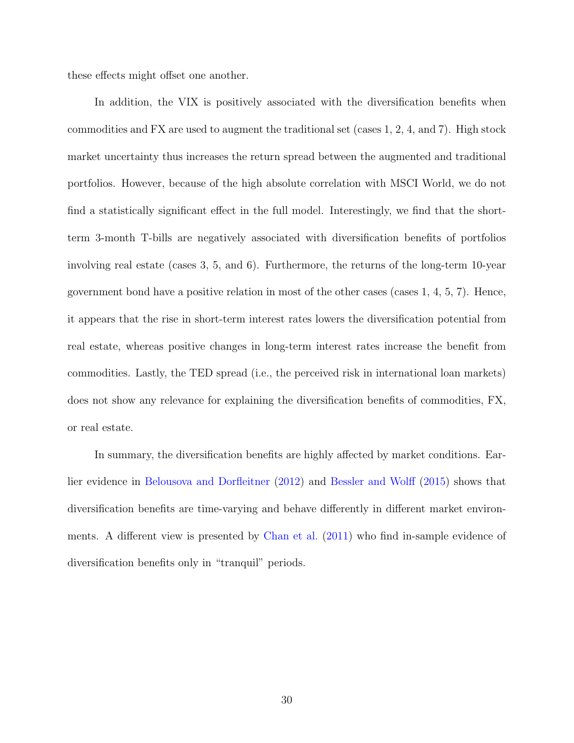these effects might offset one another.

In addition, the VIX is positively associated with the diversification benefits when commodities and FX are used to augment the traditional set (cases 1, 2, 4, and 7). High stock market uncertainty thus increases the return spread between the augmented and traditional portfolios. However, because of the high absolute correlation with MSCI World, we do not find a statistically significant effect in the full model. Interestingly, we find that the shortterm 3-month T-bills are negatively associated with diversification benefits of portfolios involving real estate (cases 3, 5, and 6). Furthermore, the returns of the long-term 10-year government bond have a positive relation in most of the other cases (cases  $1, 4, 5, 7$ ). Hence, it appears that the rise in short-term interest rates lowers the diversification potential from real estate, whereas positive changes in long-term interest rates increase the benefit from commodities. Lastly, the TED spread (i.e., the perceived risk in international loan markets) does not show any relevance for explaining the diversification benefits of commodities, FX, or real estate.

In summary, the diversification benefits are highly affected by market conditions. Earlier evidence in Belousova and Dorfleitner (2012) and Bessler and Wolff (2015) shows that diversification benefits are time-varying and behave differently in different market environments. A different view is presented by Chan et al. (2011) who find in-sample evidence of diversification benefits only in "tranquil" periods.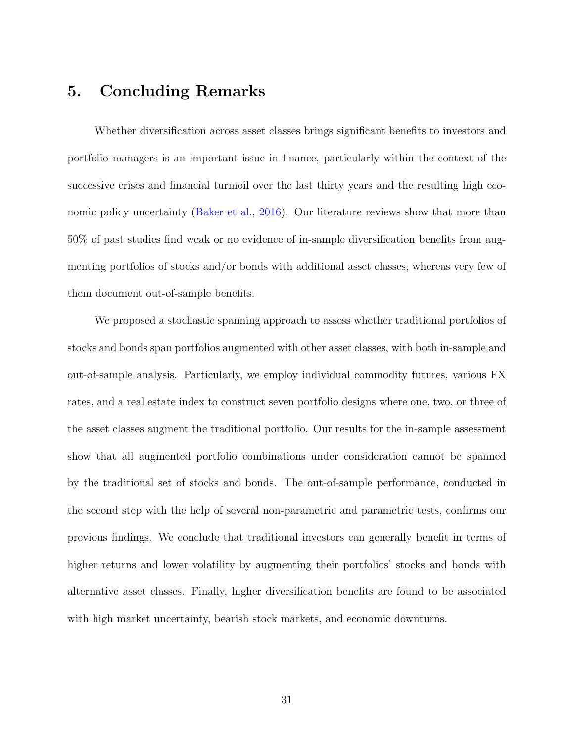## 5. Concluding Remarks

Whether diversification across asset classes brings significant benefits to investors and portfolio managers is an important issue in finance, particularly within the context of the successive crises and financial turmoil over the last thirty years and the resulting high economic policy uncertainty (Baker et al., 2016). Our literature reviews show that more than 50% of past studies find weak or no evidence of in-sample diversification benefits from augmenting portfolios of stocks and/or bonds with additional asset classes, whereas very few of them document out-of-sample benefits.

We proposed a stochastic spanning approach to assess whether traditional portfolios of stocks and bonds span portfolios augmented with other asset classes, with both in-sample and out-of-sample analysis. Particularly, we employ individual commodity futures, various FX rates, and a real estate index to construct seven portfolio designs where one, two, or three of the asset classes augment the traditional portfolio. Our results for the in-sample assessment show that all augmented portfolio combinations under consideration cannot be spanned by the traditional set of stocks and bonds. The out-of-sample performance, conducted in the second step with the help of several non-parametric and parametric tests, confirms our previous findings. We conclude that traditional investors can generally benefit in terms of higher returns and lower volatility by augmenting their portfolios' stocks and bonds with alternative asset classes. Finally, higher diversification benefits are found to be associated with high market uncertainty, bearish stock markets, and economic downturns.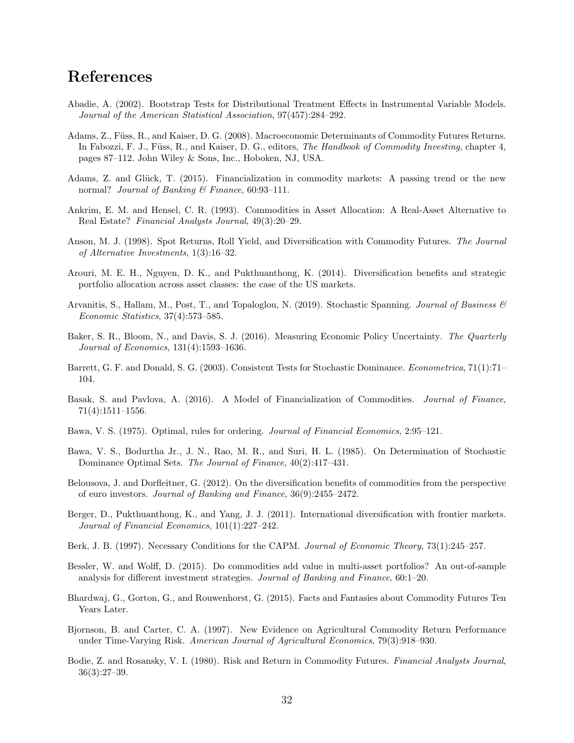## References

- Abadie, A. (2002). Bootstrap Tests for Distributional Treatment Effects in Instrumental Variable Models. Journal of the American Statistical Association, 97(457):284–292.
- Adams, Z., F¨uss, R., and Kaiser, D. G. (2008). Macroeconomic Determinants of Commodity Futures Returns. In Fabozzi, F. J., Füss, R., and Kaiser, D. G., editors, The Handbook of Commodity Investing, chapter 4, pages 87–112. John Wiley & Sons, Inc., Hoboken, NJ, USA.
- Adams, Z. and Glück, T. (2015). Financialization in commodity markets: A passing trend or the new normal? Journal of Banking  $\mathcal B$  Finance, 60:93-111.
- Ankrim, E. M. and Hensel, C. R. (1993). Commodities in Asset Allocation: A Real-Asset Alternative to Real Estate? Financial Analysts Journal, 49(3):20–29.
- Anson, M. J. (1998). Spot Returns, Roll Yield, and Diversification with Commodity Futures. The Journal of Alternative Investments, 1(3):16–32.
- Arouri, M. E. H., Nguyen, D. K., and Pukthuanthong, K. (2014). Diversification benefits and strategic portfolio allocation across asset classes: the case of the US markets.
- Arvanitis, S., Hallam, M., Post, T., and Topaloglou, N. (2019). Stochastic Spanning. Journal of Business  $\mathcal{B}$ Economic Statistics, 37(4):573–585.
- Baker, S. R., Bloom, N., and Davis, S. J. (2016). Measuring Economic Policy Uncertainty. The Quarterly Journal of Economics, 131(4):1593–1636.
- Barrett, G. F. and Donald, S. G. (2003). Consistent Tests for Stochastic Dominance. Econometrica, 71(1):71– 104.
- Basak, S. and Pavlova, A. (2016). A Model of Financialization of Commodities. Journal of Finance, 71(4):1511–1556.
- Bawa, V. S. (1975). Optimal, rules for ordering. Journal of Financial Economics, 2:95–121.
- Bawa, V. S., Bodurtha Jr., J. N., Rao, M. R., and Suri, H. L. (1985). On Determination of Stochastic Dominance Optimal Sets. The Journal of Finance, 40(2):417–431.
- Belousova, J. and Dorfleitner, G. (2012). On the diversification benefits of commodities from the perspective of euro investors. Journal of Banking and Finance, 36(9):2455–2472.
- Berger, D., Pukthuanthong, K., and Yang, J. J. (2011). International diversification with frontier markets. Journal of Financial Economics, 101(1):227–242.
- Berk, J. B. (1997). Necessary Conditions for the CAPM. Journal of Economic Theory, 73(1):245–257.
- Bessler, W. and Wolff, D. (2015). Do commodities add value in multi-asset portfolios? An out-of-sample analysis for different investment strategies. Journal of Banking and Finance, 60:1–20.
- Bhardwaj, G., Gorton, G., and Rouwenhorst, G. (2015). Facts and Fantasies about Commodity Futures Ten Years Later.
- Bjornson, B. and Carter, C. A. (1997). New Evidence on Agricultural Commodity Return Performance under Time-Varying Risk. American Journal of Agricultural Economics, 79(3):918–930.
- Bodie, Z. and Rosansky, V. I. (1980). Risk and Return in Commodity Futures. Financial Analysts Journal, 36(3):27–39.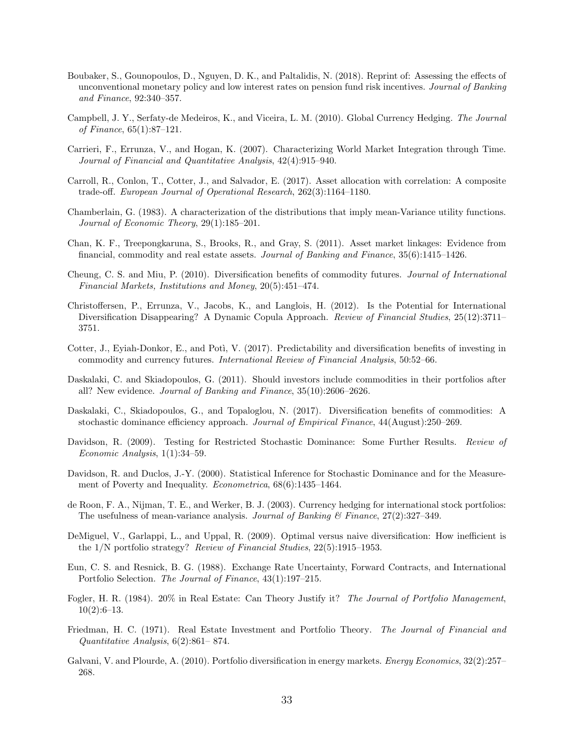- Boubaker, S., Gounopoulos, D., Nguyen, D. K., and Paltalidis, N. (2018). Reprint of: Assessing the effects of unconventional monetary policy and low interest rates on pension fund risk incentives. Journal of Banking and Finance, 92:340–357.
- Campbell, J. Y., Serfaty-de Medeiros, K., and Viceira, L. M. (2010). Global Currency Hedging. The Journal of Finance, 65(1):87–121.
- Carrieri, F., Errunza, V., and Hogan, K. (2007). Characterizing World Market Integration through Time. Journal of Financial and Quantitative Analysis, 42(4):915–940.
- Carroll, R., Conlon, T., Cotter, J., and Salvador, E. (2017). Asset allocation with correlation: A composite trade-off. European Journal of Operational Research, 262(3):1164–1180.
- Chamberlain, G. (1983). A characterization of the distributions that imply mean-Variance utility functions. Journal of Economic Theory, 29(1):185–201.
- Chan, K. F., Treepongkaruna, S., Brooks, R., and Gray, S. (2011). Asset market linkages: Evidence from financial, commodity and real estate assets. Journal of Banking and Finance, 35(6):1415–1426.
- Cheung, C. S. and Miu, P. (2010). Diversification benefits of commodity futures. Journal of International Financial Markets, Institutions and Money, 20(5):451–474.
- Christoffersen, P., Errunza, V., Jacobs, K., and Langlois, H. (2012). Is the Potential for International Diversification Disappearing? A Dynamic Copula Approach. Review of Financial Studies, 25(12):3711-3751.
- Cotter, J., Eyiah-Donkor, E., and Poti, V. (2017). Predictability and diversification benefits of investing in commodity and currency futures. International Review of Financial Analysis, 50:52–66.
- Daskalaki, C. and Skiadopoulos, G. (2011). Should investors include commodities in their portfolios after all? New evidence. Journal of Banking and Finance, 35(10):2606–2626.
- Daskalaki, C., Skiadopoulos, G., and Topaloglou, N. (2017). Diversification benefits of commodities: A stochastic dominance efficiency approach. Journal of Empirical Finance, 44(August):250–269.
- Davidson, R. (2009). Testing for Restricted Stochastic Dominance: Some Further Results. Review of Economic Analysis, 1(1):34–59.
- Davidson, R. and Duclos, J.-Y. (2000). Statistical Inference for Stochastic Dominance and for the Measurement of Poverty and Inequality. Econometrica, 68(6):1435–1464.
- de Roon, F. A., Nijman, T. E., and Werker, B. J. (2003). Currency hedging for international stock portfolios: The usefulness of mean-variance analysis. Journal of Banking  $\mathcal C$  Finance, 27(2):327–349.
- DeMiguel, V., Garlappi, L., and Uppal, R. (2009). Optimal versus naive diversification: How inefficient is the 1/N portfolio strategy? Review of Financial Studies, 22(5):1915–1953.
- Eun, C. S. and Resnick, B. G. (1988). Exchange Rate Uncertainty, Forward Contracts, and International Portfolio Selection. The Journal of Finance, 43(1):197–215.
- Fogler, H. R. (1984). 20% in Real Estate: Can Theory Justify it? The Journal of Portfolio Management, 10(2):6–13.
- Friedman, H. C. (1971). Real Estate Investment and Portfolio Theory. The Journal of Financial and Quantitative Analysis, 6(2):861– 874.
- Galvani, V. and Plourde, A. (2010). Portfolio diversification in energy markets. Energy Economics, 32(2):257– 268.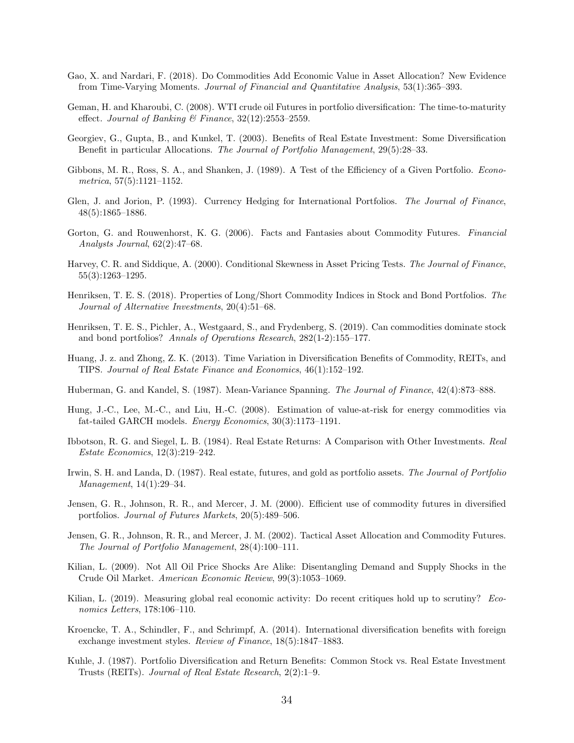- Gao, X. and Nardari, F. (2018). Do Commodities Add Economic Value in Asset Allocation? New Evidence from Time-Varying Moments. Journal of Financial and Quantitative Analysis, 53(1):365–393.
- Geman, H. and Kharoubi, C. (2008). WTI crude oil Futures in portfolio diversification: The time-to-maturity effect. Journal of Banking & Finance,  $32(12):2553-2559$ .
- Georgiev, G., Gupta, B., and Kunkel, T. (2003). Benefits of Real Estate Investment: Some Diversification Benefit in particular Allocations. The Journal of Portfolio Management, 29(5):28–33.
- Gibbons, M. R., Ross, S. A., and Shanken, J. (1989). A Test of the Efficiency of a Given Portfolio. Econometrica, 57(5):1121–1152.
- Glen, J. and Jorion, P. (1993). Currency Hedging for International Portfolios. The Journal of Finance, 48(5):1865–1886.
- Gorton, G. and Rouwenhorst, K. G. (2006). Facts and Fantasies about Commodity Futures. Financial Analysts Journal, 62(2):47–68.
- Harvey, C. R. and Siddique, A. (2000). Conditional Skewness in Asset Pricing Tests. The Journal of Finance, 55(3):1263–1295.
- Henriksen, T. E. S. (2018). Properties of Long/Short Commodity Indices in Stock and Bond Portfolios. The Journal of Alternative Investments, 20(4):51–68.
- Henriksen, T. E. S., Pichler, A., Westgaard, S., and Frydenberg, S. (2019). Can commodities dominate stock and bond portfolios? Annals of Operations Research, 282(1-2):155–177.
- Huang, J. z. and Zhong, Z. K. (2013). Time Variation in Diversification Benefits of Commodity, REITs, and TIPS. Journal of Real Estate Finance and Economics, 46(1):152–192.
- Huberman, G. and Kandel, S. (1987). Mean-Variance Spanning. The Journal of Finance, 42(4):873–888.
- Hung, J.-C., Lee, M.-C., and Liu, H.-C. (2008). Estimation of value-at-risk for energy commodities via fat-tailed GARCH models. Energy Economics, 30(3):1173–1191.
- Ibbotson, R. G. and Siegel, L. B. (1984). Real Estate Returns: A Comparison with Other Investments. Real Estate Economics, 12(3):219–242.
- Irwin, S. H. and Landa, D. (1987). Real estate, futures, and gold as portfolio assets. The Journal of Portfolio Management, 14(1):29–34.
- Jensen, G. R., Johnson, R. R., and Mercer, J. M. (2000). Efficient use of commodity futures in diversified portfolios. Journal of Futures Markets, 20(5):489–506.
- Jensen, G. R., Johnson, R. R., and Mercer, J. M. (2002). Tactical Asset Allocation and Commodity Futures. The Journal of Portfolio Management, 28(4):100–111.
- Kilian, L. (2009). Not All Oil Price Shocks Are Alike: Disentangling Demand and Supply Shocks in the Crude Oil Market. American Economic Review, 99(3):1053–1069.
- Kilian, L. (2019). Measuring global real economic activity: Do recent critiques hold up to scrutiny? Economics Letters, 178:106–110.
- Kroencke, T. A., Schindler, F., and Schrimpf, A. (2014). International diversification benefits with foreign exchange investment styles. Review of Finance, 18(5):1847–1883.
- Kuhle, J. (1987). Portfolio Diversification and Return Benefits: Common Stock vs. Real Estate Investment Trusts (REITs). Journal of Real Estate Research, 2(2):1–9.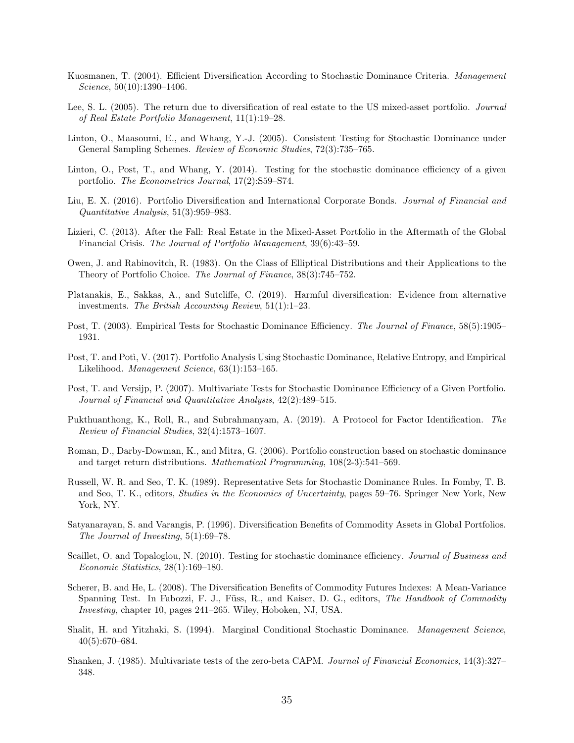- Kuosmanen, T. (2004). Efficient Diversification According to Stochastic Dominance Criteria. Management Science, 50(10):1390–1406.
- Lee, S. L. (2005). The return due to diversification of real estate to the US mixed-asset portfolio. Journal of Real Estate Portfolio Management, 11(1):19–28.
- Linton, O., Maasoumi, E., and Whang, Y.-J. (2005). Consistent Testing for Stochastic Dominance under General Sampling Schemes. Review of Economic Studies, 72(3):735–765.
- Linton, O., Post, T., and Whang, Y. (2014). Testing for the stochastic dominance efficiency of a given portfolio. The Econometrics Journal, 17(2):S59–S74.
- Liu, E. X. (2016). Portfolio Diversification and International Corporate Bonds. Journal of Financial and Quantitative Analysis, 51(3):959–983.
- Lizieri, C. (2013). After the Fall: Real Estate in the Mixed-Asset Portfolio in the Aftermath of the Global Financial Crisis. The Journal of Portfolio Management, 39(6):43–59.
- Owen, J. and Rabinovitch, R. (1983). On the Class of Elliptical Distributions and their Applications to the Theory of Portfolio Choice. The Journal of Finance, 38(3):745–752.
- Platanakis, E., Sakkas, A., and Sutcliffe, C. (2019). Harmful diversification: Evidence from alternative investments. The British Accounting Review, 51(1):1–23.
- Post, T. (2003). Empirical Tests for Stochastic Dominance Efficiency. The Journal of Finance, 58(5):1905– 1931.
- Post, T. and Poti, V. (2017). Portfolio Analysis Using Stochastic Dominance, Relative Entropy, and Empirical Likelihood. Management Science, 63(1):153–165.
- Post, T. and Versijp, P. (2007). Multivariate Tests for Stochastic Dominance Efficiency of a Given Portfolio. Journal of Financial and Quantitative Analysis, 42(2):489–515.
- Pukthuanthong, K., Roll, R., and Subrahmanyam, A. (2019). A Protocol for Factor Identification. The Review of Financial Studies, 32(4):1573–1607.
- Roman, D., Darby-Dowman, K., and Mitra, G. (2006). Portfolio construction based on stochastic dominance and target return distributions. Mathematical Programming, 108(2-3):541–569.
- Russell, W. R. and Seo, T. K. (1989). Representative Sets for Stochastic Dominance Rules. In Fomby, T. B. and Seo, T. K., editors, *Studies in the Economics of Uncertainty*, pages 59–76. Springer New York, New York, NY.
- Satyanarayan, S. and Varangis, P. (1996). Diversification Benefits of Commodity Assets in Global Portfolios. The Journal of Investing, 5(1):69–78.
- Scaillet, O. and Topaloglou, N. (2010). Testing for stochastic dominance efficiency. Journal of Business and Economic Statistics, 28(1):169–180.
- Scherer, B. and He, L. (2008). The Diversification Benefits of Commodity Futures Indexes: A Mean-Variance Spanning Test. In Fabozzi, F. J., Füss, R., and Kaiser, D. G., editors, The Handbook of Commodity Investing, chapter 10, pages 241–265. Wiley, Hoboken, NJ, USA.
- Shalit, H. and Yitzhaki, S. (1994). Marginal Conditional Stochastic Dominance. Management Science, 40(5):670–684.
- Shanken, J. (1985). Multivariate tests of the zero-beta CAPM. Journal of Financial Economics, 14(3):327– 348.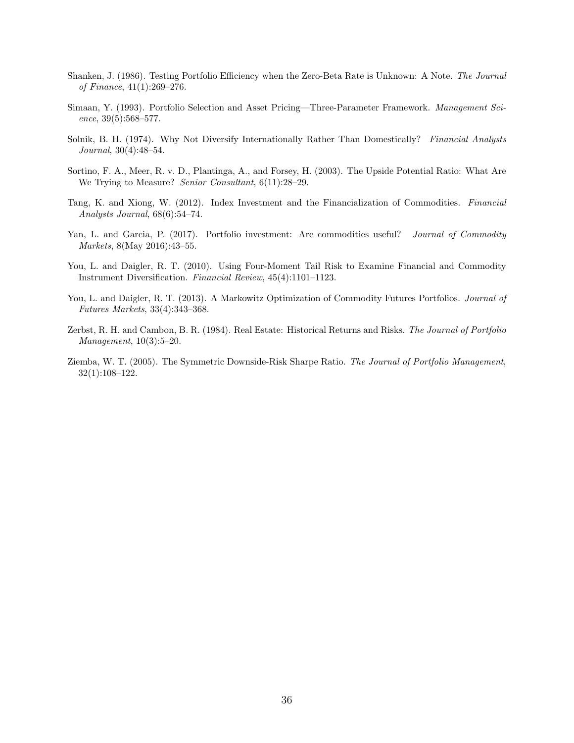- Shanken, J. (1986). Testing Portfolio Efficiency when the Zero-Beta Rate is Unknown: A Note. The Journal of Finance, 41(1):269–276.
- Simaan, Y. (1993). Portfolio Selection and Asset Pricing—Three-Parameter Framework. Management Science, 39(5):568–577.
- Solnik, B. H. (1974). Why Not Diversify Internationally Rather Than Domestically? Financial Analysts Journal, 30(4):48–54.
- Sortino, F. A., Meer, R. v. D., Plantinga, A., and Forsey, H. (2003). The Upside Potential Ratio: What Are We Trying to Measure? Senior Consultant, 6(11):28–29.
- Tang, K. and Xiong, W. (2012). Index Investment and the Financialization of Commodities. Financial Analysts Journal, 68(6):54–74.
- Yan, L. and Garcia, P. (2017). Portfolio investment: Are commodities useful? *Journal of Commodity* Markets, 8(May 2016):43–55.
- You, L. and Daigler, R. T. (2010). Using Four-Moment Tail Risk to Examine Financial and Commodity Instrument Diversification. Financial Review, 45(4):1101–1123.
- You, L. and Daigler, R. T. (2013). A Markowitz Optimization of Commodity Futures Portfolios. Journal of Futures Markets, 33(4):343–368.
- Zerbst, R. H. and Cambon, B. R. (1984). Real Estate: Historical Returns and Risks. The Journal of Portfolio Management, 10(3):5–20.
- Ziemba, W. T. (2005). The Symmetric Downside-Risk Sharpe Ratio. The Journal of Portfolio Management, 32(1):108–122.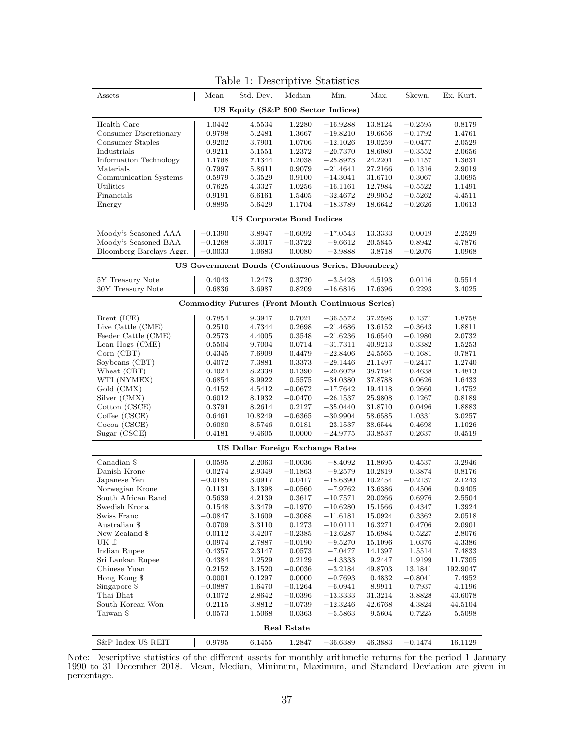| Assets                                             | Mean      | Std. Dev.                        | Median      | Min.                                              | Max.        | Skewn.    | Ex. Kurt. |  |  |  |
|----------------------------------------------------|-----------|----------------------------------|-------------|---------------------------------------------------|-------------|-----------|-----------|--|--|--|
|                                                    |           |                                  |             | US Equity (S&P 500 Sector Indices)                |             |           |           |  |  |  |
| Health Care                                        | 1.0442    | 4.5534                           | 1.2280      | $-16.9288$                                        | 13.8124     | $-0.2595$ | 0.8179    |  |  |  |
| Consumer Discretionary                             | 0.9798    | 5.2481                           | 1.3667      | $-19.8210$                                        | 19.6656     | $-0.1792$ | 1.4761    |  |  |  |
| Consumer Staples                                   | 0.9202    | 3.7901                           | 1.0706      | $-12.1026$                                        | 19.0259     | $-0.0477$ | 2.0529    |  |  |  |
| Industrials                                        | 0.9211    | 5.1551                           | 1.2372      | $-20.7370$                                        | 18.6080     | $-0.3552$ | 2.0656    |  |  |  |
| Information Technology                             | 1.1768    | 7.1344                           | 1.2038      | $-25.8973$                                        | 24.2201     | $-0.1157$ | 1.3631    |  |  |  |
| Materials                                          | 0.7997    | 5.8611                           | 0.9079      | $-21.4641$                                        | 27.2166     | 0.1316    | 2.9019    |  |  |  |
| Communication Systems                              | 0.5979    | 5.3529                           | 0.9100      | $-14.3041$                                        | 31.6710     | 0.3067    | 3.0695    |  |  |  |
| Utilities                                          | 0.7625    | 4.3327                           | 1.0256      | $-16.1161$                                        | 12.7984     | $-0.5522$ | 1.1491    |  |  |  |
| Financials                                         | 0.9191    | 6.6161                           | 1.5405      | $-32.4672$                                        | 29.9052     | $-0.5262$ | 4.4511    |  |  |  |
| Energy                                             | 0.8895    | 5.6429                           | 1.1704      | $-18.3789$                                        | 18.6642     | $-0.2626$ | 1.0613    |  |  |  |
|                                                    |           | <b>US Corporate Bond Indices</b> |             |                                                   |             |           |           |  |  |  |
| Moody's Seasoned AAA                               | $-0.1390$ | 3.8947                           | $-0.6092$   | $-17.0543$                                        | 13.3333     | 0.0019    | 2.2529    |  |  |  |
| Moody's Seasoned BAA                               | $-0.1268$ | 3.3017                           | $-0.3722$   | $-9.6612$                                         | 20.5845     | 0.8942    | 4.7876    |  |  |  |
| Bloomberg Barclays Aggr.                           | $-0.0033$ | 1.0683                           | 0.0080      | $-3.9888$                                         | 3.8718      | $-0.2076$ | 1.0968    |  |  |  |
| US Government Bonds (Continuous Series, Bloomberg) |           |                                  |             |                                                   |             |           |           |  |  |  |
| 5Y Treasury Note                                   | 0.4043    | 1.2473                           | 0.3720      | $-3.5428$                                         | 4.5193      | 0.0116    | 0.5514    |  |  |  |
| 30Y Treasury Note                                  | 0.6836    | 3.6987                           | 0.8209      | $-16.6816$                                        | 17.6396     | 0.2293    | 3.4025    |  |  |  |
|                                                    |           |                                  |             | Commodity Futures (Front Month Continuous Series) |             |           |           |  |  |  |
| Brent (ICE)                                        | 0.7854    | 9.3947                           | 0.7021      | $-36.5572$                                        | 37.2596     | 0.1371    | 1.8758    |  |  |  |
| Live Cattle (CME)                                  | 0.2510    | 4.7344                           | 0.2698      | $-21.4686$                                        | 13.6152     | $-0.3643$ | 1.8811    |  |  |  |
| Feeder Cattle (CME)                                | 0.2573    | 4.4005                           | 0.3548      | $-21.6236$                                        | 16.6540     | $-0.1980$ | 2.0732    |  |  |  |
| Lean Hogs (CME)                                    | 0.5504    | 9.7004                           | 0.0714      | $-31.7311$                                        | 40.9213     | 0.3382    | 1.5253    |  |  |  |
| Corn (CBT)                                         | 0.4345    | 7.6909                           | 0.4479      | $-22.8406$                                        | 24.5565     | $-0.1681$ | 0.7871    |  |  |  |
| Soybeans (CBT)                                     | 0.4072    | 7.3881                           | 0.3373      | $-29.1446$                                        | 21.1497     | $-0.2417$ | 1.2740    |  |  |  |
| Wheat (CBT)                                        | 0.4024    | 8.2338                           | 0.1390      | $-20.6079$                                        | 38.7194     | 0.4638    | 1.4813    |  |  |  |
| WTI (NYMEX)                                        | 0.6854    | 8.9922                           | 0.5575      | $-34.0380$                                        | 37.8788     | 0.0626    | 1.6433    |  |  |  |
| Gold (CMX)                                         | 0.4152    | 4.5412                           | $-0.0672$   | $-17.7642$                                        | 19.4118     | 0.2660    | 1.4752    |  |  |  |
| Silver (CMX)                                       | 0.6012    | 8.1932                           | $-0.0470$   | $-26.1537$                                        | 25.9808     | 0.1267    | 0.8189    |  |  |  |
| Cotton (CSCE)                                      | 0.3791    | 8.2614                           | 0.2127      | $-35.0440$                                        | 31.8710     | 0.0496    | 1.8883    |  |  |  |
| Coffee (CSCE)                                      | 0.6461    | 10.8249                          | $-0.6365$   | $-30.9904$                                        | 58.6585     | 1.0331    | 3.0257    |  |  |  |
| Cocoa (CSCE)                                       | 0.6080    | 8.5746                           | $-0.0181$   | $-23.1537$                                        | 38.6544     | 0.4698    | 1.1026    |  |  |  |
| Sugar (CSCE)                                       | 0.4181    | 9.4605                           | 0.0000      | $-24.9775$                                        | 33.8537     | 0.2637    | 0.4519    |  |  |  |
|                                                    |           | US Dollar Foreign Exchange Rates |             |                                                   |             |           |           |  |  |  |
| Canadian \$                                        | 0.0595    | 2.2063                           | $-0.0036$   | $-8.4092$                                         | 11.8695     | 0.4537    | 3.2946    |  |  |  |
| Danish Krone                                       | 0.0274    | 2.9349                           | $-0.1863$   | $-9.2579$                                         | 10.2819     | 0.3874    | 0.8176    |  |  |  |
| Japanese Yen                                       | $-0.0185$ | 3.0917                           | 0.0417      | $-15.6390$                                        | 10.2454     | $-0.2137$ | 2.1243    |  |  |  |
| Norwegian Krone                                    | 0.1131    | 3.1398                           | $-0.0560$   | $-7.9762$                                         | 13.6386     | 0.4506    | 0.9405    |  |  |  |
| South African Rand                                 | 0.5639    | 4.2139                           | 0.3617      | $-10.7571$                                        | 20.0266     | 0.6976    | 2.5504    |  |  |  |
| Swedish Krona                                      | 0.1548    | 3.3479                           | $-0.1970$   | $-10.6280$                                        | 15.1566     | 0.4347    | 1.3924    |  |  |  |
| Swiss Franc                                        | $-0.0847$ | 3.1609                           | $-0.3088$   | $-11.6181$                                        | 15.0924     | 0.3362    | 2.0518    |  |  |  |
| Australian \$                                      | 0.0709    | 3.3110                           | 0.1273      | $-10.0111$                                        | 16.3271     | 0.4706    | 2.0901    |  |  |  |
| New Zealand \$                                     | 0.0112    | 3.4207                           | $-0.2385$   | $-12.6287$                                        | 15.6984     | 0.5227    | 2.8076    |  |  |  |
| UK £                                               | 0.0974    | 2.7887                           | $-0.0190$   | $-9.5270$                                         | 15.1096     | 1.0376    | 4.3386    |  |  |  |
| Indian Rupee                                       | 0.4357    | 2.3147                           | 0.0573      | $-7.0477$                                         | 14.1397     | 1.5514    | 7.4833    |  |  |  |
| Sri Lankan Rupee                                   | 0.4384    | 1.2529                           | 0.2129      | $-4.3333$                                         | 9.2447      | 1.9199    | 11.7305   |  |  |  |
| Chinese Yuan                                       | 0.2152    | 3.1520                           | $-0.0036$   | $-3.2184$                                         | 49.8703     | 13.1841   | 192.9047  |  |  |  |
| Hong Kong \$                                       | 0.0001    | 0.1297                           | 0.0000      | $-0.7693$                                         | 0.4832      | $-0.8041$ | 7.4952    |  |  |  |
| Singapore \$                                       | $-0.0887$ | 1.6470                           | $-0.1264$   | $-6.0941$                                         | 8.9911      | 0.7937    | 4.1196    |  |  |  |
| Thai Bhat                                          | 0.1072    | 2.8642                           | $-0.0396$   | $-13.3333$                                        | 31.3214     | 3.8828    | 43.6078   |  |  |  |
| South Korean Won                                   | 0.2115    | 3.8812                           | $-0.0739$   | $-12.3246$                                        | 42.6768     | 4.3824    | 44.5104   |  |  |  |
| Taiwan \$                                          | 0.0573    | 1.5068                           | 0.0363      | $-5.5863$                                         | 9.5604      | 0.7225    | 5.5098    |  |  |  |
|                                                    |           |                                  | Real Estate |                                                   |             |           |           |  |  |  |
| S&P Index US REIT                                  | 0.9795    | 6.1455                           | 1.2847      | $-36.6389$                                        | $46.3883\,$ | $-0.1474$ | 16.1129   |  |  |  |

Table 1: Descriptive Statistics

Note: Descriptive statistics of the different assets for monthly arithmetic returns for the period 1 January 1990 to 31 December 2018. Mean, Median, Minimum, Maximum, and Standard Deviation are given in percentage.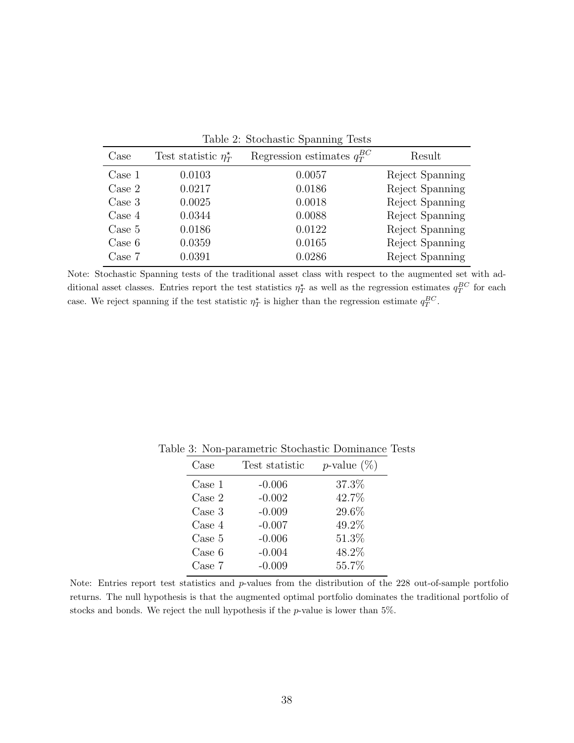|        |                                       | $\overline{\phantom{0}}$        |                 |
|--------|---------------------------------------|---------------------------------|-----------------|
| Case   | Test statistic $\eta^*_{\mathcal{T}}$ | Regression estimates $q_T^{BC}$ | Result          |
| Case 1 | 0.0103                                | 0.0057                          | Reject Spanning |
| Case 2 | 0.0217                                | 0.0186                          | Reject Spanning |
| Case 3 | 0.0025                                | 0.0018                          | Reject Spanning |
| Case 4 | 0.0344                                | 0.0088                          | Reject Spanning |
| Case 5 | 0.0186                                | 0.0122                          | Reject Spanning |
| Case 6 | 0.0359                                | 0.0165                          | Reject Spanning |
| Case 7 | 0.0391                                | 0.0286                          | Reject Spanning |
|        |                                       |                                 |                 |

Table 2: Stochastic Spanning Tests

Note: Stochastic Spanning tests of the traditional asset class with respect to the augmented set with additional asset classes. Entries report the test statistics  $\eta_T^{\star}$  as well as the regression estimates  $q_T^{BC}$  for each case. We reject spanning if the test statistic  $\eta_T^*$  is higher than the regression estimate  $q_T^{BC}$ .

| Case             | Test statistic | <i>p</i> -value $(\%)$ |
|------------------|----------------|------------------------|
| Case 1           | $-0.006$       | 37.3%                  |
| Case 2           | $-0.002$       | 42.7%                  |
| Case 3           | $-0.009$       | 29.6%                  |
| Case 4           | $-0.007$       | 49.2%                  |
| $\text{Case } 5$ | $-0.006$       | 51.3%                  |
| Case 6           | $-0.004$       | 48.2%                  |
| Case 7           | $-0.009$       | 55.7%                  |

Table 3: Non-parametric Stochastic Dominance Tests

Note: Entries report test statistics and p-values from the distribution of the 228 out-of-sample portfolio returns. The null hypothesis is that the augmented optimal portfolio dominates the traditional portfolio of stocks and bonds. We reject the null hypothesis if the  $p$ -value is lower than 5%.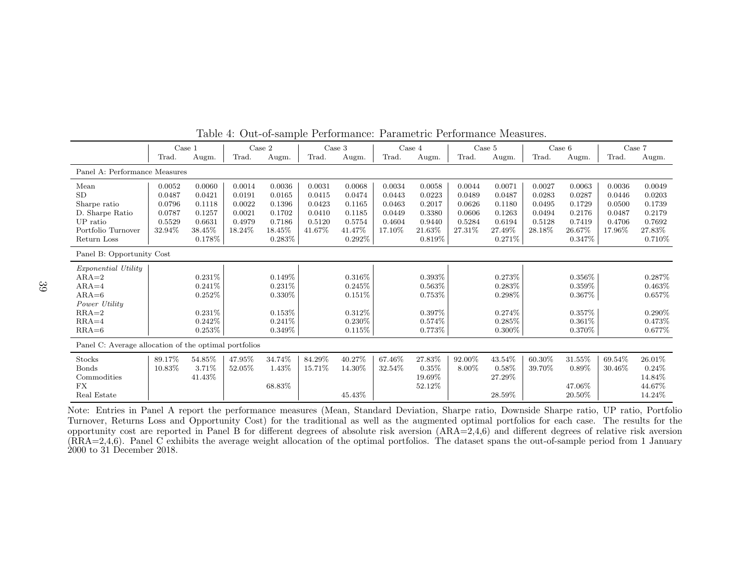|                                                       | Case 1 |           | Case 2 |           | Case 3 |           |        | Case 4    |        | Case 5    |        | Case 6    | Case 7 |           |
|-------------------------------------------------------|--------|-----------|--------|-----------|--------|-----------|--------|-----------|--------|-----------|--------|-----------|--------|-----------|
|                                                       | Trad.  | Augm.     | Trad.  | Augm.     | Trad.  | Augm.     | Trad.  | Augm.     | Trad.  | Augm.     | Trad   | Augm.     | Trad.  | Augm.     |
| Panel A: Performance Measures                         |        |           |        |           |        |           |        |           |        |           |        |           |        |           |
| Mean                                                  | 0.0052 | 0.0060    | 0.0014 | 0.0036    | 0.0031 | 0.0068    | 0.0034 | 0.0058    | 0.0044 | 0.0071    | 0.0027 | 0.0063    | 0.0036 | 0.0049    |
| <b>SD</b>                                             | 0.0487 | 0.0421    | 0.0191 | 0.0165    | 0.0415 | 0.0474    | 0.0443 | 0.0223    | 0.0489 | 0.0487    | 0.0283 | 0.0287    | 0.0446 | 0.0203    |
| Sharpe ratio                                          | 0.0796 | 0.1118    | 0.0022 | 0.1396    | 0.0423 | 0.1165    | 0.0463 | 0.2017    | 0.0626 | 0.1180    | 0.0495 | 0.1729    | 0.0500 | 0.1739    |
| D. Sharpe Ratio                                       | 0.0787 | 0.1257    | 0.0021 | 0.1702    | 0.0410 | 0.1185    | 0.0449 | 0.3380    | 0.0606 | 0.1263    | 0.0494 | 0.2176    | 0.0487 | 0.2179    |
| UP ratio                                              | 0.5529 | 0.6631    | 0.4979 | 0.7186    | 0.5120 | 0.5754    | 0.4604 | 0.9440    | 0.5284 | 0.6194    | 0.5128 | 0.7419    | 0.4706 | 0.7692    |
| Portfolio Turnover                                    | 32.94% | 38.45%    | 18.24% | 18.45%    | 41.67% | 41.47%    | 17.10% | 21.63%    | 27.31% | 27.49%    | 28.18% | 26.67%    | 17.96% | 27.83%    |
| Return Loss                                           |        | 0.178%    |        | 0.283%    |        | $0.292\%$ |        | $0.819\%$ |        | 0.271\%   |        | 0.347%    |        | 0.710\%   |
| Panel B: Opportunity Cost                             |        |           |        |           |        |           |        |           |        |           |        |           |        |           |
| <i>Exponential Utility</i>                            |        |           |        |           |        |           |        |           |        |           |        |           |        |           |
| $ARA=2$                                               |        | $0.231\%$ |        | 0.149%    |        | $0.316\%$ |        | $0.393\%$ |        | 0.273%    |        | $0.356\%$ |        | $0.287\%$ |
| $ARA = 4$                                             |        | 0.241%    |        | 0.231%    |        | 0.245%    |        | 0.563%    |        | $0.283\%$ |        | $0.359\%$ |        | $0.463\%$ |
| $ARA=6$                                               |        | 0.252%    |        | $0.330\%$ |        | $0.151\%$ |        | 0.753%    |        | 0.298%    |        | 0.367%    |        | $0.657\%$ |
| Power Utility                                         |        |           |        |           |        |           |        |           |        |           |        |           |        |           |
| $RRA=2$                                               |        | 0.231%    |        | 0.153%    |        | $0.312\%$ |        | $0.397\%$ |        | 0.274\%   |        | 0.357%    |        | $0.290\%$ |
| $RRA=4$                                               |        | 0.242%    |        | 0.241%    |        | $0.230\%$ |        | 0.574\%   |        | $0.285\%$ |        | 0.361%    |        | $0.473\%$ |
| $RRA=6$                                               |        | 0.253%    |        | 0.349%    |        | $0.115\%$ |        | 0.773%    |        | $0.300\%$ |        | 0.370%    |        | 0.677%    |
| Panel C: Average allocation of the optimal portfolios |        |           |        |           |        |           |        |           |        |           |        |           |        |           |
| Stocks                                                | 89.17% | 54.85%    | 47.95% | 34.74%    | 84.29% | 40.27%    | 67.46% | 27.83%    | 92.00% | 43.54%    | 60.30% | 31.55%    | 69.54% | 26.01%    |
| <b>Bonds</b>                                          | 10.83% | 3.71%     | 52.05% | 1.43%     | 15.71% | 14.30%    | 32.54% | 0.35%     | 8.00%  | 0.58%     | 39.70% | 0.89%     | 30.46% | 0.24%     |
| Commodities                                           |        | 41.43%    |        |           |        |           |        | 19.69%    |        | 27.29%    |        |           |        | 14.84%    |
| <b>FX</b>                                             |        |           |        | 68.83%    |        |           |        | 52.12%    |        |           |        | 47.06%    |        | 44.67%    |
| Real Estate                                           |        |           |        |           |        | 45.43%    |        |           |        | 28.59%    |        | 20.50%    |        | 14.24%    |

Table 4: Out-of-sample Performance: Parametric Performance Measures.

Note: Entries in Panel A report the performance measures (Mean, Standard Deviation, Sharpe ratio, Downside Sharpe ratio, UP ratio, Portfolio Turnover, Returns Loss and Opportunity Cost) for the traditional as well as the augmented optimal portfolios for each case. The results for the opportunity cost are reported in Panel B for different degrees of absolute risk aversion  $(ARA=2,4,6)$  and different degrees of relative risk aversion (RRA=2,4,6). Panel C exhibits the average weight allocation of the optimal portfolios. The dataset spans the out-of-sample period from 1 January 2000 to 31 December 2018.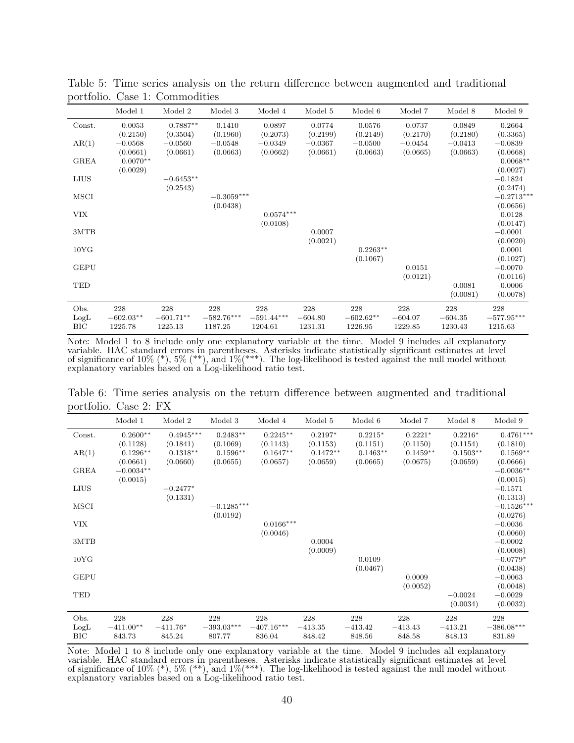|                    | Model 1                | Model 2                | Model 3                 | Model 4                 | Model 5              | Model 6                | Model 7              | Model 8              | Model 9                        |
|--------------------|------------------------|------------------------|-------------------------|-------------------------|----------------------|------------------------|----------------------|----------------------|--------------------------------|
| Const.             | 0.0053<br>(0.2150)     | $0.7887**$<br>(0.3504) | 0.1410<br>(0.1960)      | 0.0897<br>(0.2073)      | 0.0774<br>(0.2199)   | 0.0576<br>(0.2149)     | 0.0737<br>(0.2170)   | 0.0849<br>(0.2180)   | 0.2664<br>(0.3365)             |
| AR(1)              | $-0.0568$              | $-0.0560$              | $-0.0548$               | $-0.0349$               | $-0.0367$            | $-0.0500$              | $-0.0454$            | $-0.0413$            | $-0.0839$                      |
| <b>GREA</b>        | (0.0661)<br>$0.0070**$ | (0.0661)               | (0.0663)                | (0.0662)                | (0.0661)             | (0.0663)               | (0.0665)             | (0.0663)             | (0.0668)<br>$0.0068**$         |
| <b>LIUS</b>        | (0.0029)               | $-0.6453**$            |                         |                         |                      |                        |                      |                      | (0.0027)<br>$-0.1824$          |
| <b>MSCI</b>        |                        | (0.2543)               | $-0.3059***$            |                         |                      |                        |                      |                      | (0.2474)<br>$-0.2713***$       |
| <b>VIX</b>         |                        |                        | (0.0438)                | $0.0574***$             |                      |                        |                      |                      | (0.0656)<br>0.0128             |
| 3MTB               |                        |                        |                         | (0.0108)                | 0.0007               |                        |                      |                      | (0.0147)<br>$-0.0001$          |
| 10YG               |                        |                        |                         |                         | (0.0021)             | $0.2263**$             |                      |                      | (0.0020)<br>0.0001             |
| <b>GEPU</b>        |                        |                        |                         |                         |                      | (0.1067)               | 0.0151               |                      | (0.1027)<br>$-0.0070$          |
| TED                |                        |                        |                         |                         |                      |                        | (0.0121)             | 0.0081<br>(0.0081)   | (0.0116)<br>0.0006<br>(0.0078) |
| Obs.               | 228                    | 228                    | 228                     | 228                     | 228                  | 228                    | 228                  | 228                  | 228                            |
| LogL<br><b>BIC</b> | $-602.03**$<br>1225.78 | $-601.71**$<br>1225.13 | $-582.76***$<br>1187.25 | $-591.44***$<br>1204.61 | $-604.80$<br>1231.31 | $-602.62**$<br>1226.95 | $-604.07$<br>1229.85 | $-604.35$<br>1230.43 | $-577.95***$<br>1215.63        |

Table 5: Time series analysis on the return difference between augmented and traditional portfolio. Case 1: Commodities

Note: Model 1 to 8 include only one explanatory variable at the time. Model 9 includes all explanatory variable. HAC standard errors in parentheses. Asterisks indicate statistically significant estimates at level of significance of  $10\%$  (\*),  $5\%$  (\*\*), and  $1\%$ (\*\*\*). The log-likelihood is tested against the null model without explanatory variables based on a Log-likelihood ratio test.

Table 6: Time series analysis on the return difference between augmented and traditional portfolio. Case 2: FX

|                     | Model 1                      | Model 2                     | Model 3                       | Model 4                       | Model 5                    | Model 6                    | Model 7                    | Model 8                    | Model 9                       |
|---------------------|------------------------------|-----------------------------|-------------------------------|-------------------------------|----------------------------|----------------------------|----------------------------|----------------------------|-------------------------------|
| Const.              | $0.2600**$<br>(0.1128)       | $0.4945***$<br>(0.1841)     | $0.2483**$<br>(0.1069)        | $0.2245**$<br>(0.1143)        | $0.2197*$<br>(0.1153)      | $0.2215*$<br>(0.1151)      | $0.2221*$<br>(0.1150)      | $0.2216*$<br>(0.1154)      | $0.4761***$<br>(0.1810)       |
| AR(1)               | $0.1296**$<br>(0.0661)       | $0.1318**$<br>(0.0660)      | $0.1596**$<br>(0.0655)        | $0.1647**$<br>(0.0657)        | $0.1472**$<br>(0.0659)     | $0.1463**$<br>(0.0665)     | $0.1459**$<br>(0.0675)     | $0.1503**$<br>(0.0659)     | $0.1569**$<br>(0.0666)        |
| <b>GREA</b>         | $-0.0034**$<br>(0.0015)      |                             |                               |                               |                            |                            |                            |                            | $-0.0036**$<br>(0.0015)       |
| <b>LIUS</b>         |                              | $-0.2477*$<br>(0.1331)      |                               |                               |                            |                            |                            |                            | $-0.1571$<br>(0.1313)         |
| MSCI                |                              |                             | $-0.1285***$<br>(0.0192)      |                               |                            |                            |                            |                            | $-0.1526***$<br>(0.0276)      |
| <b>VIX</b>          |                              |                             |                               | $0.0166***$<br>(0.0046)       |                            |                            |                            |                            | $-0.0036$<br>(0.0060)         |
| 3MTB                |                              |                             |                               |                               | 0.0004<br>(0.0009)         |                            |                            |                            | $-0.0002$<br>(0.0008)         |
| 10 <sub>Y</sub> G   |                              |                             |                               |                               |                            | 0.0109<br>(0.0467)         |                            |                            | $-0.0779*$<br>(0.0438)        |
| <b>GEPU</b>         |                              |                             |                               |                               |                            |                            | 0.0009<br>(0.0052)         |                            | $-0.0063$<br>(0.0048)         |
| TED                 |                              |                             |                               |                               |                            |                            |                            | $-0.0024$<br>(0.0034)      | $-0.0029$<br>(0.0032)         |
| Obs.<br>LogL<br>BIC | 228<br>$-411.00**$<br>843.73 | 228<br>$-411.76*$<br>845.24 | 228<br>$-393.03***$<br>807.77 | 228<br>$-407.16***$<br>836.04 | 228<br>$-413.35$<br>848.42 | 228<br>$-413.42$<br>848.56 | 228<br>$-413.43$<br>848.58 | 228<br>$-413.21$<br>848.13 | 228<br>$-386.08***$<br>831.89 |

Note: Model 1 to 8 include only one explanatory variable at the time. Model 9 includes all explanatory variable. HAC standard errors in parentheses. Asterisks indicate statistically significant estimates at level of significance of  $10\%$  (\*),  $5\%$  (\*\*), and  $1\%$ (\*\*\*). The log-likelihood is tested against the null model without explanatory variables based on a Log-likelihood ratio test.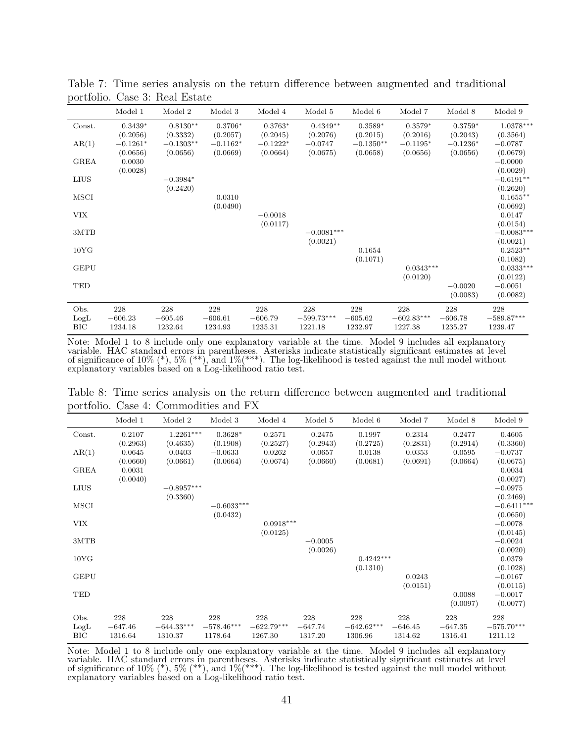|                     | Model 1                     | Model 2                     | Model 3                     | Model 4                     | Model 5                        | Model 6                     | Model 7                        | Model 8                     | Model 9                        |
|---------------------|-----------------------------|-----------------------------|-----------------------------|-----------------------------|--------------------------------|-----------------------------|--------------------------------|-----------------------------|--------------------------------|
| Const.              | $0.3439*$<br>(0.2056)       | $0.8130**$<br>(0.3332)      | $0.3706*$<br>(0.2057)       | $0.3763*$<br>(0.2045)       | $0.4349**$<br>(0.2076)         | $0.3589*$<br>(0.2015)       | $0.3579*$<br>(0.2016)          | $0.3759*$<br>(0.2043)       | $1.0378***$<br>(0.3564)        |
| AR(1)               | $-0.1261*$<br>(0.0656)      | $-0.1303**$<br>(0.0656)     | $-0.1162*$<br>(0.0669)      | $-0.1222*$<br>(0.0664)      | $-0.0747$<br>(0.0675)          | $-0.1350**$<br>(0.0658)     | $-0.1195*$<br>(0.0656)         | $-0.1236*$<br>(0.0656)      | $-0.0787$<br>(0.0679)          |
| <b>GREA</b>         | 0.0030<br>(0.0028)          |                             |                             |                             |                                |                             |                                |                             | $-0.0000$<br>(0.0029)          |
| LIUS                |                             | $-0.3984*$<br>(0.2420)      |                             |                             |                                |                             |                                |                             | $-0.6191**$<br>(0.2620)        |
| MSCI                |                             |                             | 0.0310<br>(0.0490)          |                             |                                |                             |                                |                             | $0.1655**$<br>(0.0692)         |
| <b>VIX</b>          |                             |                             |                             | $-0.0018$<br>(0.0117)       |                                |                             |                                |                             | 0.0147<br>(0.0154)             |
| 3MTB                |                             |                             |                             |                             | $-0.0081***$<br>(0.0021)       |                             |                                |                             | $-0.0083***$<br>(0.0021)       |
| 10YG                |                             |                             |                             |                             |                                | 0.1654<br>(0.1071)          |                                |                             | $0.2523**$<br>(0.1082)         |
| <b>GEPU</b>         |                             |                             |                             |                             |                                |                             | $0.0343***$<br>(0.0120)        |                             | $0.0333***$<br>(0.0122)        |
| TED                 |                             |                             |                             |                             |                                |                             |                                | $-0.0020$<br>(0.0083)       | $-0.0051$<br>(0.0082)          |
| Obs.<br>LogL<br>BIC | 228<br>$-606.23$<br>1234.18 | 228<br>$-605.46$<br>1232.64 | 228<br>$-606.61$<br>1234.93 | 228<br>$-606.79$<br>1235.31 | 228<br>$-599.73***$<br>1221.18 | 228<br>$-605.62$<br>1232.97 | 228<br>$-602.83***$<br>1227.38 | 228<br>$-606.78$<br>1235.27 | 228<br>$-589.87***$<br>1239.47 |

Table 7: Time series analysis on the return difference between augmented and traditional portfolio. Case 3: Real Estate

Note: Model 1 to 8 include only one explanatory variable at the time. Model 9 includes all explanatory variable. HAC standard errors in parentheses. Asterisks indicate statistically significant estimates at level of significance of 10%  $(*)$ , 5%  $(**)$ , and 1% $(**)$ . The log-likelihood is tested against the null model without explanatory variables based on a Log-likelihood ratio test.

Table 8: Time series analysis on the return difference between augmented and traditional portfolio. Case 4: Commodities and FX

|             | Model 1            | Model 2      | Model 3               | Model 4            | Model 5   | Model 6            | Model 7            | Model 8            | Model 9               |
|-------------|--------------------|--------------|-----------------------|--------------------|-----------|--------------------|--------------------|--------------------|-----------------------|
| Const.      | 0.2107             | $1.2261***$  | $0.3628*$             | 0.2571             | 0.2475    | 0.1997             | 0.2314             | 0.2477             | 0.4605                |
|             | (0.2963)           | (0.4635)     | (0.1908)              | (0.2527)           | (0.2943)  | (0.2725)           | (0.2831)           | (0.2914)           | (0.3360)              |
| AR(1)       | 0.0645<br>(0.0660) | 0.0403       | $-0.0633$<br>(0.0664) | 0.0262<br>(0.0674) | 0.0657    | 0.0138<br>(0.0681) | 0.0353<br>(0.0691) | 0.0595<br>(0.0664) | $-0.0737$<br>(0.0675) |
| <b>GREA</b> | 0.0031             | (0.0661)     |                       |                    | (0.0660)  |                    |                    |                    | 0.0034                |
|             | (0.0040)           |              |                       |                    |           |                    |                    |                    | (0.0027)              |
| <b>LIUS</b> |                    | $-0.8957***$ |                       |                    |           |                    |                    |                    | $-0.0975$             |
|             |                    | (0.3360)     |                       |                    |           |                    |                    |                    | (0.2469)              |
| MSCI        |                    |              | $-0.6033***$          |                    |           |                    |                    |                    | $-0.6411***$          |
|             |                    |              | (0.0432)              |                    |           |                    |                    |                    | (0.0650)              |
| <b>VIX</b>  |                    |              |                       | $0.0918***$        |           |                    |                    |                    | $-0.0078$             |
|             |                    |              |                       | (0.0125)           |           |                    |                    |                    | (0.0145)              |
| 3MTB        |                    |              |                       |                    | $-0.0005$ |                    |                    |                    | $-0.0024$             |
|             |                    |              |                       |                    | (0.0026)  |                    |                    |                    | (0.0020)              |
| 10YG        |                    |              |                       |                    |           | $0.4242***$        |                    |                    | 0.0379                |
|             |                    |              |                       |                    |           | (0.1310)           |                    |                    | (0.1028)              |
| <b>GEPU</b> |                    |              |                       |                    |           |                    | 0.0243<br>(0.0151) |                    | $-0.0167$<br>(0.0115) |
| TED         |                    |              |                       |                    |           |                    |                    | 0.0088             | $-0.0017$             |
|             |                    |              |                       |                    |           |                    |                    | (0.0097)           | (0.0077)              |
|             |                    |              |                       |                    |           |                    |                    |                    |                       |
| Obs.        | 228                | 228          | 228                   | 228                | 228       | 228                | 228                | 228                | 228                   |
| LogL        | $-647.46$          | $-644.33***$ | $-578.46***$          | $-622.79***$       | $-647.74$ | $-642.62***$       | $-646.45$          | $-647.35$          | $-575.70***$          |
| BIC         | 1316.64            | 1310.37      | 1178.64               | 1267.30            | 1317.20   | 1306.96            | 1314.62            | 1316.41            | 1211.12               |

Note: Model 1 to 8 include only one explanatory variable at the time. Model 9 includes all explanatory variable. HAC standard errors in parentheses. Asterisks indicate statistically significant estimates at level of significance of 10% (\*), 5% (\*\*), and 1%(\*\*\*). The log-likelihood is tested against the null model without explanatory variables based on a Log-likelihood ratio test.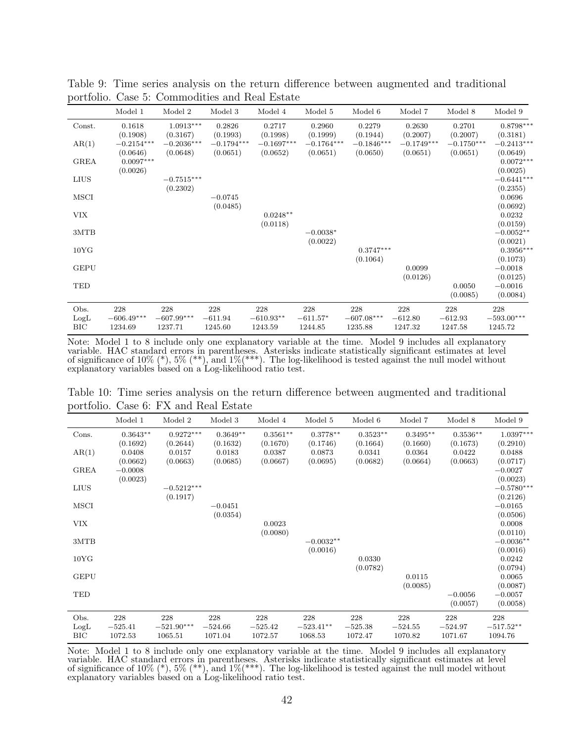|                            | Model 1                        | Model 2                        | Model 3                     | Model 4                       | Model 5                      | Model 6                        | Model 7                     | Model 8                     | Model 9                        |
|----------------------------|--------------------------------|--------------------------------|-----------------------------|-------------------------------|------------------------------|--------------------------------|-----------------------------|-----------------------------|--------------------------------|
| Const.                     | 0.1618<br>(0.1908)             | $1.0913***$<br>(0.3167)        | 0.2826<br>(0.1993)          | 0.2717<br>(0.1998)            | 0.2960<br>(0.1999)           | 0.2279<br>(0.1944)             | 0.2630<br>(0.2007)          | 0.2701<br>(0.2007)          | $0.8798***$<br>(0.3181)        |
| AR(1)                      | $-0.2154***$<br>(0.0646)       | $-0.2036***$<br>(0.0648)       | $-0.1794***$<br>(0.0651)    | $-0.1697***$<br>(0.0652)      | $-0.1764***$<br>(0.0651)     | $-0.1846***$<br>(0.0650)       | $-0.1749***$<br>(0.0651)    | $-0.1750***$<br>(0.0651)    | $-0.2413***$<br>(0.0649)       |
| <b>GREA</b>                | $0.0097***$<br>(0.0026)        |                                |                             |                               |                              |                                |                             |                             | $0.0072***$<br>(0.0025)        |
| <b>LIUS</b>                |                                | $-0.7515***$                   |                             |                               |                              |                                |                             |                             | $-0.6441***$                   |
| MSCI                       |                                | (0.2302)                       | $-0.0745$                   |                               |                              |                                |                             |                             | (0.2355)<br>0.0696             |
| <b>VIX</b>                 |                                |                                | (0.0485)                    | $0.0248**$                    |                              |                                |                             |                             | (0.0692)<br>0.0232             |
| 3MTB                       |                                |                                |                             | (0.0118)                      | $-0.0038*$                   |                                |                             |                             | (0.0159)<br>$-0.0052**$        |
| 10 <sub>Y</sub> G          |                                |                                |                             |                               | (0.0022)                     | $0.3747***$                    |                             |                             | (0.0021)<br>$0.3956***$        |
| <b>GEPU</b>                |                                |                                |                             |                               |                              | (0.1064)                       | 0.0099                      |                             | (0.1073)<br>$-0.0018$          |
| TED                        |                                |                                |                             |                               |                              |                                | (0.0126)                    | 0.0050                      | (0.0125)<br>$-0.0016$          |
|                            |                                |                                |                             |                               |                              |                                |                             | (0.0085)                    | (0.0084)                       |
| Obs.<br>LogL<br><b>BIC</b> | 228<br>$-606.49***$<br>1234.69 | 228<br>$-607.99***$<br>1237.71 | 228<br>$-611.94$<br>1245.60 | 228<br>$-610.93**$<br>1243.59 | 228<br>$-611.57*$<br>1244.85 | 228<br>$-607.08***$<br>1235.88 | 228<br>$-612.80$<br>1247.32 | 228<br>$-612.93$<br>1247.58 | 228<br>$-593.00***$<br>1245.72 |

Table 9: Time series analysis on the return difference between augmented and traditional portfolio. Case 5: Commodities and Real Estate

Note: Model 1 to 8 include only one explanatory variable at the time. Model 9 includes all explanatory variable. HAC standard errors in parentheses. Asterisks indicate statistically significant estimates at level of significance of 10%  $(*)$ , 5%  $(**)$ , and 1% $(**)$ . The log-likelihood is tested against the null model without explanatory variables based on a Log-likelihood ratio test.

Table 10: Time series analysis on the return difference between augmented and traditional portfolio. Case 6: FX and Real Estate

|                     | Model 1                     | Model 2                        | Model 3                     | Model 4                     | Model 5                       | Model 6                     | Model 7                     | Model 8                     | Model 9                       |
|---------------------|-----------------------------|--------------------------------|-----------------------------|-----------------------------|-------------------------------|-----------------------------|-----------------------------|-----------------------------|-------------------------------|
| Cons.               | $0.3643**$<br>(0.1692)      | $0.9272***$<br>(0.2644)        | $0.3649**$<br>(0.1632)      | $0.3561**$<br>(0.1670)      | $0.3778**$<br>(0.1746)        | $0.3523**$<br>(0.1664)      | $0.3495**$<br>(0.1660)      | $0.3536**$<br>(0.1673)      | $1.0397***$<br>(0.2910)       |
| AR(1)               | 0.0408<br>(0.0662)          | 0.0157<br>(0.0663)             | 0.0183<br>(0.0685)          | 0.0387<br>(0.0667)          | 0.0873<br>(0.0695)            | 0.0341<br>(0.0682)          | 0.0364<br>(0.0664)          | 0.0422<br>(0.0663)          | 0.0488<br>(0.0717)            |
| <b>GREA</b>         | $-0.0008$<br>(0.0023)       |                                |                             |                             |                               |                             |                             |                             | $-0.0027$<br>(0.0023)         |
| <b>LIUS</b>         |                             | $-0.5212***$<br>(0.1917)       |                             |                             |                               |                             |                             |                             | $-0.5780***$<br>(0.2126)      |
| MSCI                |                             |                                | $-0.0451$<br>(0.0354)       |                             |                               |                             |                             |                             | $-0.0165$<br>(0.0506)         |
| <b>VIX</b>          |                             |                                |                             | 0.0023<br>(0.0080)          |                               |                             |                             |                             | 0.0008<br>(0.0110)            |
| 3MTB                |                             |                                |                             |                             | $-0.0032**$<br>(0.0016)       |                             |                             |                             | $-0.0036**$<br>(0.0016)       |
| 10YG                |                             |                                |                             |                             |                               | 0.0330<br>(0.0782)          |                             |                             | 0.0242<br>(0.0794)            |
| <b>GEPU</b>         |                             |                                |                             |                             |                               |                             | 0.0115<br>(0.0085)          |                             | 0.0065<br>(0.0087)            |
| TED                 |                             |                                |                             |                             |                               |                             |                             | $-0.0056$<br>(0.0057)       | $-0.0057$<br>(0.0058)         |
| Obs.<br>LogL<br>BIC | 228<br>$-525.41$<br>1072.53 | 228<br>$-521.90***$<br>1065.51 | 228<br>$-524.66$<br>1071.04 | 228<br>$-525.42$<br>1072.57 | 228<br>$-523.41**$<br>1068.53 | 228<br>$-525.38$<br>1072.47 | 228<br>$-524.55$<br>1070.82 | 228<br>$-524.97$<br>1071.67 | 228<br>$-517.52**$<br>1094.76 |

Note: Model 1 to 8 include only one explanatory variable at the time. Model 9 includes all explanatory variable. HAC standard errors in parentheses. Asterisks indicate statistically significant estimates at level of significance of 10% (\*), 5% (\*\*), and 1%(\*\*\*). The log-likelihood is tested against the null model without explanatory variables based on a Log-likelihood ratio test.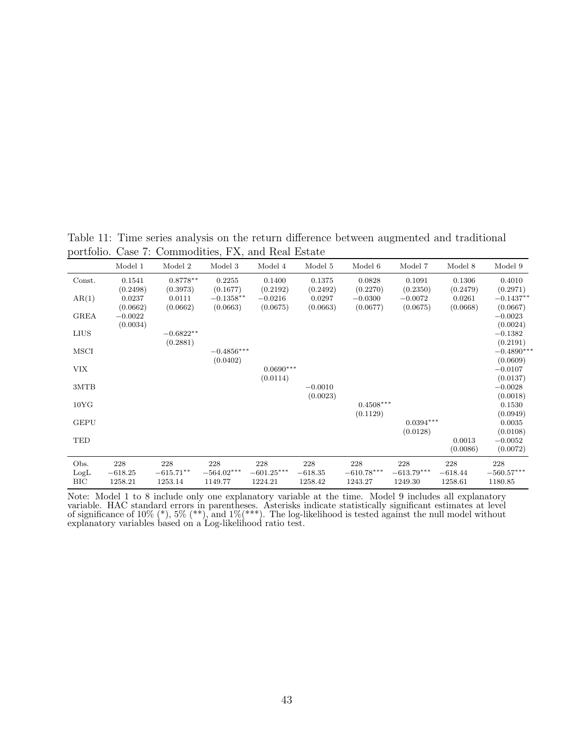Table 11: Time series analysis on the return difference between augmented and traditional portfolio. Case 7: Commodities, FX, and Real Estate

|                   | Model 1   | Model 2     | Model 3      | Model 4      | Model 5   | Model 6      | Model 7      | Model 8   | Model 9            |
|-------------------|-----------|-------------|--------------|--------------|-----------|--------------|--------------|-----------|--------------------|
| Const.            | 0.1541    | $0.8778**$  | 0.2255       | 0.1400       | 0.1375    | 0.0828       | 0.1091       | 0.1306    | 0.4010             |
|                   | (0.2498)  | (0.3973)    | (0.1677)     | (0.2192)     | (0.2492)  | (0.2270)     | (0.2350)     | (0.2479)  | (0.2971)           |
| AR(1)             | 0.0237    | 0.0111      | $-0.1358**$  | $-0.0216$    | 0.0297    | $-0.0300$    | $-0.0072$    | 0.0261    | $-0.1437**$        |
|                   | (0.0662)  | (0.0662)    | (0.0663)     | (0.0675)     | (0.0663)  | (0.0677)     | (0.0675)     | (0.0668)  | (0.0667)           |
| <b>GREA</b>       | $-0.0022$ |             |              |              |           |              |              |           | $-0.0023$          |
|                   | (0.0034)  |             |              |              |           |              |              |           | (0.0024)           |
| <b>LIUS</b>       |           | $-0.6822**$ |              |              |           |              |              |           | $-0.1382$          |
|                   |           | (0.2881)    |              |              |           |              |              |           | (0.2191)           |
| MSCI              |           |             | $-0.4856***$ |              |           |              |              |           | $-0.4890***$       |
|                   |           |             | (0.0402)     |              |           |              |              |           | (0.0609)           |
| <b>VIX</b>        |           |             |              | $0.0690***$  |           |              |              |           | $-0.0107$          |
|                   |           |             |              | (0.0114)     |           |              |              |           | (0.0137)           |
| 3MTB              |           |             |              |              | $-0.0010$ |              |              |           | $-0.0028$          |
|                   |           |             |              |              | (0.0023)  | $0.4508***$  |              |           | (0.0018)           |
| 10 <sub>Y</sub> G |           |             |              |              |           | (0.1129)     |              |           | 0.1530<br>(0.0949) |
| <b>GEPU</b>       |           |             |              |              |           |              | $0.0394***$  |           | 0.0035             |
|                   |           |             |              |              |           |              | (0.0128)     |           | (0.0108)           |
| TED               |           |             |              |              |           |              |              | 0.0013    | $-0.0052$          |
|                   |           |             |              |              |           |              |              | (0.0086)  | (0.0072)           |
|                   |           |             |              |              |           |              |              |           |                    |
| Obs.              | 228       | 228         | 228          | 228          | 228       | 228          | 228          | 228       | 228                |
| LogL              | $-618.25$ | $-615.71**$ | $-564.02***$ | $-601.25***$ | $-618.35$ | $-610.78***$ | $-613.79***$ | $-618.44$ | $-560.57***$       |
| <b>BIC</b>        | 1258.21   | 1253.14     | 1149.77      | 1224.21      | 1258.42   | 1243.27      | 1249.30      | 1258.61   | 1180.85            |

Note: Model 1 to 8 include only one explanatory variable at the time. Model 9 includes all explanatory variable. HAC standard errors in parentheses. Asterisks indicate statistically significant estimates at level of significance of  $10\%$  (\*),  $5\%$  (\*\*), and  $1\%$ (\*\*\*). The log-likelihood is tested against the null model without explanatory variables based on a Log-likelihood ratio test.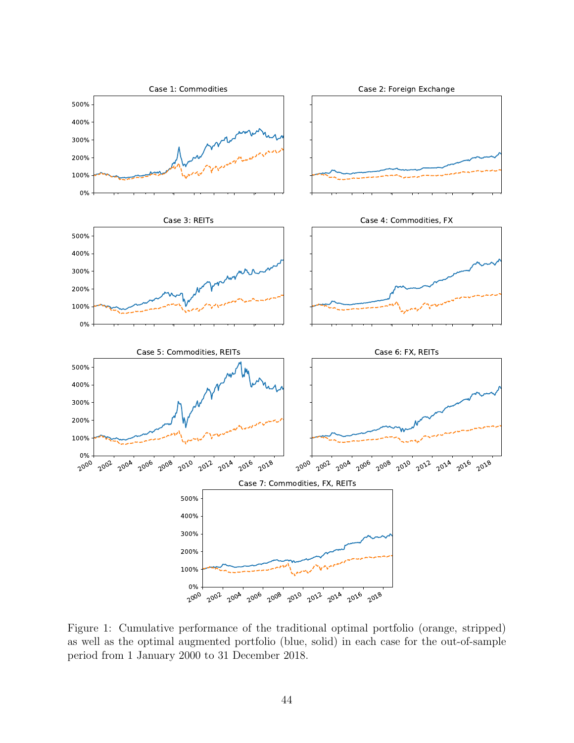

Figure 1: Cumulative performance of the traditional optimal portfolio (orange, stripped) as well as the optimal augmented portfolio (blue, solid) in each case for the out-of-sample period from 1 January 2000 to 31 December 2018.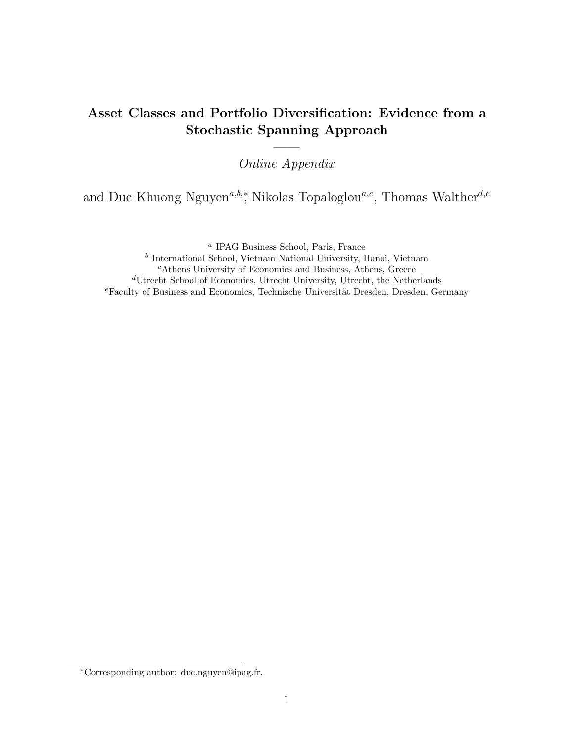## Asset Classes and Portfolio Diversification: Evidence from a Stochastic Spanning Approach

—— Online Appendix

and Duc Khuong Nguyen<sup>a,b,</sup>\*, Nikolas Topaloglou<sup>a,c</sup>, Thomas Walther<sup>d,e</sup>

a IPAG Business School, Paris, France

b International School, Vietnam National University, Hanoi, Vietnam <sup>c</sup>Athens University of Economics and Business, Athens, Greece <sup>d</sup>Utrecht School of Economics, Utrecht University, Utrecht, the Netherlands  $e$ Faculty of Business and Economics, Technische Universität Dresden, Dresden, Germany

<sup>∗</sup>Corresponding author: duc.nguyen@ipag.fr.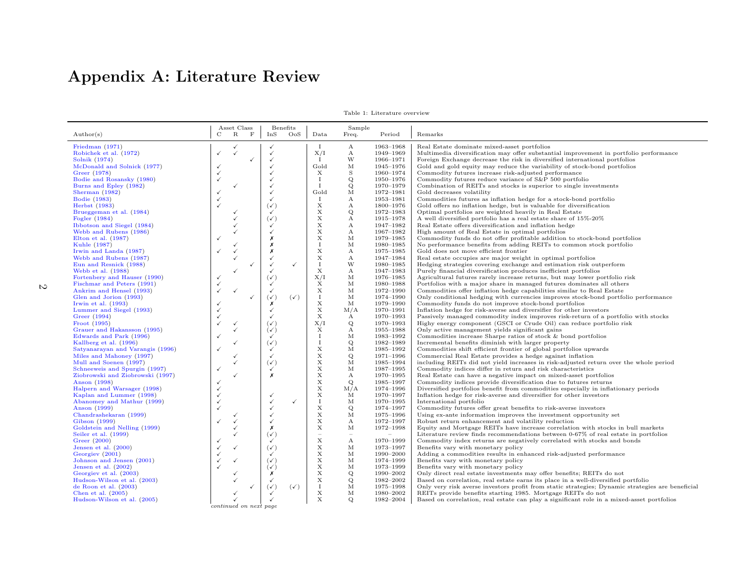# Appendix A: Literature Review

|                                  |                        | Asset Class  |              | Benefits         |                |                           | Sample                                                |           |                                                                                                  |
|----------------------------------|------------------------|--------------|--------------|------------------|----------------|---------------------------|-------------------------------------------------------|-----------|--------------------------------------------------------------------------------------------------|
| $\text{Author}(s)$               | C                      | $\mathbf R$  | $\mathbf F$  | InS              | OoS            | Data                      | Freq.                                                 | Period    | Remarks                                                                                          |
|                                  |                        |              |              |                  |                |                           |                                                       |           |                                                                                                  |
| Friedman (1971)                  |                        |              |              |                  |                | $\bf{I}$                  | $\mathbf{A}$                                          | 1963-1968 | Real Estate dominate mixed-asset portfolios                                                      |
| Robichek et al. (1972)           | ✓                      |              |              | $\checkmark$     |                | X/I                       | $\mathbf{A}$                                          | 1949-1969 | Multimedia diversification may offer substantial improvement in portfolio performance            |
| Solnik (1974)                    |                        |              | $\checkmark$ |                  |                | П.                        | W                                                     | 1966-1971 | Foreign Exchange decrease the risk in diversified international portfolios                       |
| McDonald and Solnick (1977)      |                        |              |              |                  |                | Gold                      | М                                                     | 1945-1976 | Gold and gold equity may reduce the variability of stock-bond portfolios                         |
| Greer (1978)                     |                        |              |              |                  |                | X                         | $\,$ S                                                | 1960-1974 | Commodity futures increase risk-adjusted performance                                             |
| Bodie and Rosansky (1980)        | √                      |              |              |                  |                | $\bf{I}$                  | Q                                                     | 1950-1976 | Commodity futures reduce variance of S&P 500 portfolio                                           |
| Burns and Epley (1982)           |                        |              |              |                  |                | $\mathbf{I}$              | Q                                                     | 1970-1979 | Combination of REITs and stocks is superior to single investments                                |
| Sherman $(1982)$                 |                        |              |              | $\checkmark$     |                | Gold                      | M                                                     | 1972-1981 | Gold decreases volatility                                                                        |
| <b>Bodie</b> (1983)              |                        |              |              | $\checkmark$     |                | $\bf{I}$                  | $\mathbf{A}$                                          | 1953-1981 | Commodities futures as inflation hedge for a stock-bond portfolio                                |
| Herbst (1983)                    |                        |              |              | $(\checkmark)$   |                | X                         | А                                                     | 1800-1976 | Gold offers no inflation hedge, but is valuable for diversification                              |
| Brueggeman et al. (1984)         |                        |              |              | $\checkmark$     |                | X                         | Q                                                     | 1972-1983 | Optimal portfolios are weighted heavily in Real Estate                                           |
| Fogler (1984)                    |                        |              |              | $(\checkmark)$   |                | X                         | $\boldsymbol{A}$                                      | 1915-1978 | A well diversified portfolio has a real estate share of 15%-20%                                  |
| Ibbotson and Siegel (1984)       |                        |              |              | $\checkmark$     |                | X                         | $\mathbf{A}$                                          | 1947-1982 | Real Estate offers diversification and inflation hedge                                           |
| Webb and Rubens (1986)           |                        |              |              |                  |                | $\mathbf X$               | $\boldsymbol{A}$                                      | 1967-1982 | High amount of Real Estate in optimal portfolios                                                 |
| Elton et al. $(1987)$            |                        |              |              | Х                |                | X                         | М                                                     | 1979-1985 | Commodity funds do not offer profitable addition to stock-bond portfolios                        |
| Kuhle (1987)                     |                        |              |              | х                |                | $\bf{I}$                  | M                                                     | 1980-1985 | No performance benefits from adding REITs to common stock portfolio                              |
| Irwin and Landa (1987)           | $\checkmark$           |              |              | Х                |                | $\mathbf X$               | $\mathbf{A}$                                          | 1975-1985 | Gold does not move efficient frontier                                                            |
| Webb and Rubens (1987)           |                        |              |              | $\checkmark$     |                | X                         | $\mathbf{A}$                                          | 1947-1984 | Real estate occupies are major weight in optimal portfolios                                      |
| Eun and Resnick (1988)           |                        |              |              | $\checkmark$     | $\checkmark$   | $\bf{I}$                  | W                                                     | 1980-1985 | Hedging strategies covering exchange and estimation risk outperform                              |
| Webb et al. (1988)               |                        |              |              |                  |                | $\mathbf X$               | $\mathbf{A}$                                          | 1947-1983 | Purely financial diversification produces inefficient portfolios                                 |
| Fortenbery and Hauser (1990)     |                        |              |              | $(\checkmark)$   |                | X/I                       | M                                                     | 1976-1985 | Agricultural futures rarely increase returns, but may lower portfolio risk                       |
| Fischmar and Peters (1991)       |                        |              |              | ✓                |                | X                         | M                                                     | 1980-1988 | Portfolios with a major share in managed futures dominates all others                            |
| Ankrim and Hensel (1993)         |                        | $\checkmark$ |              | $\checkmark$     |                | $\mathbf X$               | М                                                     | 1972-1990 | Commodities offer inflation hedge capabilities similar to Real Estate                            |
| Glen and Jorion (1993)           |                        |              | $\checkmark$ | $(\sqrt{ } )$    | $(\checkmark)$ | $\mathbf{I}$              | M                                                     | 1974-1990 | Only conditional hedging with currencies improves stock-bond portfolio performance               |
| Irwin et al. $(1993)$            |                        |              |              | х                |                | X                         | $_{\rm M}$                                            | 1979-1990 | Commodity funds do not improve stock-bond portfolios                                             |
| Lummer and Siegel (1993)         |                        |              |              | $\checkmark$     |                | X                         | M/A                                                   | 1970-1991 | Inflation hedge for risk-averse and diversifier for other investors                              |
| Greer (1994)                     |                        |              |              |                  |                | $\boldsymbol{\mathrm{X}}$ | $\mathbf{A}$                                          | 1970-1993 | Passively managed commodity index improves risk-return of a portfolio with stocks                |
| Froot (1995)                     |                        |              |              | $(\checkmark)$   |                | X/I                       | Q                                                     | 1970-1993 | Highy energy component (GSCI or Crude Oil) can reduce portfolio risk                             |
| Grauer and Hakansson (1995)      |                        |              |              | $(\checkmark)$   |                | $\boldsymbol{\mathrm{X}}$ | $\boldsymbol{A}$                                      | 1955-1988 | Only active management yields significant gains                                                  |
| Edwards and Park (1996)          |                        |              |              | $\checkmark$     |                | $\mathbf I$               | M                                                     | 1983-1992 | Commodities increase Sharpe ratios of stock & bond portfolios                                    |
| Kallberg et al. (1996)           |                        |              |              | $(\checkmark)$   |                | 1                         | Q                                                     | 1982-1989 | Incremental benefits diminish with larger property                                               |
| Satyanarayan and Varangis (1996) |                        |              |              | $\checkmark$     |                | $\mathbf X$               | M                                                     | 1985-1992 | Commodities shift efficient frontier of global portfolios upwards                                |
| Miles and Mahoney (1997)         |                        |              |              | $\checkmark$     |                | X                         | $\mathbf Q$                                           | 1971-1996 | Commercial Real Estate provides a hedge against inflation                                        |
| Mull and Soenen (1997)           |                        |              |              | $(\checkmark)$   |                | $\mathbf X$               | M                                                     | 1985-1994 | including REITs did not yield increases in risk-adjusted return over the whole period            |
| Schneeweis and Spurgin (1997)    | $\checkmark$           |              |              |                  |                | $\mathbf X$               | M                                                     | 1987-1995 | Commodity indices differ in return and risk characteristics                                      |
| Ziobrowski and Ziobrowski (1997) |                        |              |              | $\boldsymbol{x}$ |                | $\boldsymbol{\mathrm{X}}$ | $\mathbf{A}$                                          | 1970-1995 | Real Estate can have a negative impact on mixed-asset portfolios                                 |
| Anson (1998)                     |                        |              |              |                  |                | $\mathbf X$               | Q                                                     | 1985-1997 | Commodity indices provide diversification due to futures returns                                 |
| Halpern and Warsager (1998)      |                        |              |              |                  |                | $\mathbf X$               | M/A                                                   | 1974-1996 | Diversified portfolios benefit from commodities especially in inflationary periods               |
| Kaplan and Lummer (1998)         |                        |              |              |                  |                | $\mathbf X$               | М                                                     | 1970-1997 | Inflation hedge for risk-averse and diversifier for other investors                              |
| Abanomey and Mathur (1999)       |                        |              |              | $\checkmark$     | $\checkmark$   | $\bf{I}$                  | М                                                     | 1970-1995 | International portfolio                                                                          |
| Anson (1999)                     |                        |              |              | $\checkmark$     |                | X                         | $\mathbf Q$                                           | 1974-1997 | Commodity futures offer great benefits to risk-averse investors                                  |
| Chandrashekaran (1999)           |                        |              |              |                  |                | $\mathbf X$               | M                                                     | 1975-1996 | Using ex-ante information improves the investment opportunity set                                |
| Gibson (1999)                    | ✓                      |              |              |                  |                | X                         | $\mathbf{A}$                                          | 1972-1997 | Robust return enhancement and volatility reduction                                               |
| Goldstein and Nelling (1999)     |                        |              |              | Х                |                | $\mathbf X$               | M                                                     | 1972-1998 | Equity and Mortgage REITs have increase correlation with stocks in bull markets                  |
| Seiler et al. (1999)             |                        |              |              | $(\checkmark)$   |                | $\equiv$                  | $\sim$                                                | $\equiv$  | Literature review finds recommendations between 0-67% of real estate in portfolios               |
| Greer (2000)                     |                        |              |              |                  |                | $\mathbf x$               | $\mathbf{A}$                                          | 1970–1999 | Commodity index returns are negatively correlated with stocks and bonds                          |
| Jensen et al. (2000)             |                        |              |              | $(\checkmark)$   |                | $\mathbf X$               | М                                                     | 1973-1997 | Benefits vary with monetary policy                                                               |
| Georgiev (2001)                  |                        |              |              |                  |                | X                         | M                                                     | 1990-2000 | Adding a commodities results in enhanced risk-adjusted performance                               |
| Johnson and Jensen (2001)        |                        |              |              | $(\sqrt{ } )$    |                | X                         | М                                                     | 1974-1999 | Benefits vary with monetary policy                                                               |
| Jensen et al. $(2002)$           |                        |              |              | $(\checkmark)$   |                | $\mathbf X$               | М                                                     | 1973-1999 | Benefits vary with monetary policy                                                               |
| Georgiev et al. (2003)           |                        |              |              | Х                |                | $\mathbf x$               | Q                                                     | 1990-2002 | Only direct real estate investments may offer benefits; REITs do not                             |
| Hudson-Wilson et al. (2003)      |                        |              |              | $\checkmark$     |                | X                         | Q                                                     | 1982-2002 | Based on correlation, real estate earns its place in a well-diversified portfolio                |
| de Roon et al. $(2003)$          |                        |              | $\checkmark$ | $(\checkmark)$   | $(\checkmark)$ | $\bf{I}$                  | $\mathbf{M}% _{T}=\mathbf{M}_{T}\times\mathbf{M}_{T}$ | 1975-1998 | Only very risk averse investors profit from static strategies; Dynamic strategies are beneficial |
| Chen et al. $(2005)$             |                        |              |              | $\checkmark$     |                | $\mathbf X$<br>X          | $\mathbf{M}$                                          | 1980-2002 | REITs provide benefits starting 1985. Mortgage REITs do not                                      |
| Hudson-Wilson et al. (2005)      |                        |              |              | $\checkmark$     |                |                           | Q                                                     | 1982-2004 | Based on correlation, real estate can play a significant role in a mixed-asset portfolios        |
|                                  | continued on next page |              |              |                  |                |                           |                                                       |           |                                                                                                  |

Table 1: Literature overview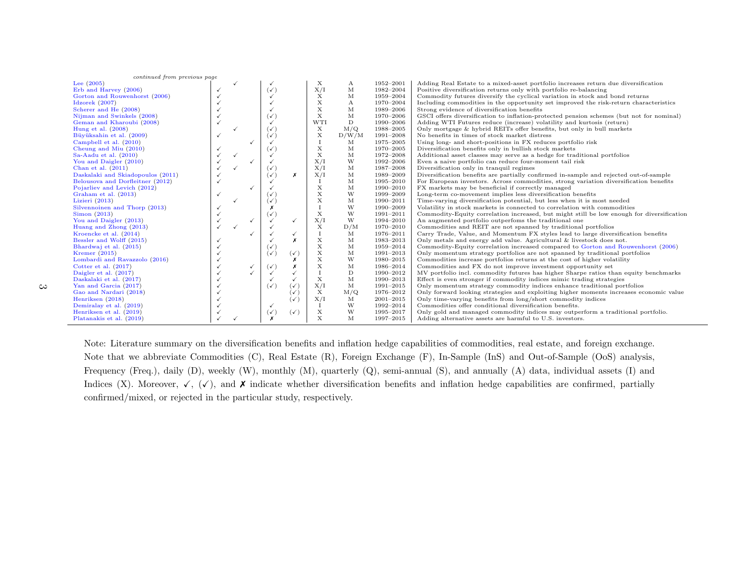| continued from previous page      |              |              |   |                |                |             |              |               |                                                                                           |
|-----------------------------------|--------------|--------------|---|----------------|----------------|-------------|--------------|---------------|-------------------------------------------------------------------------------------------|
| Lee $(2005)$                      |              |              |   |                |                | Х           | А            | 1952-2001     | Adding Real Estate to a mixed-asset portfolio increases return due diversification        |
| Erb and Harvey (2006)             |              |              |   | $(\checkmark)$ |                | X/I         | М            | 1982-2004     | Positive diversification returns only with portfolio re-balancing                         |
| Gorton and Rouwenhorst (2006)     |              |              |   |                |                | X           | М            | 1959-2004     | Commodity futures diversify the cyclical variation in stock and bond returns              |
| Idzorek $(2007)$                  |              |              |   |                |                | $\mathbf X$ | $\mathbf{A}$ | 1970-2004     | Including commodities in the opportunity set improved the risk-return characteristics     |
| Scherer and He (2008)             |              |              |   |                |                | $\mathbf X$ | M            | 1989-2006     | Strong evidence of diversification benefits                                               |
| Nijman and Swinkels (2008)        |              |              |   | $(\checkmark)$ |                | $\mathbf X$ | M            | 1970-2006     | GSCI offers diversification to inflation-protected pension schemes (but not for nominal)  |
| Geman and Kharoubi (2008)         |              |              |   |                |                | WTI         | D            | 1990-2006     | Adding WTI Futures reduce (increase) volatility and kurtosis (return)                     |
| Hung et al. $(2008)$              |              |              |   | $(\checkmark)$ |                | X           | M/Q          | 1988-2005     | Only mortgage & hybrid REITs offer benefits, but only in bull markets                     |
| Büyüksahin et al. (2009)          |              |              |   | $(\checkmark)$ |                | X           | D/W/M        | 1991-2008     | No benefits in times of stock market distress                                             |
| Campbell et al. (2010)            |              |              |   |                |                | $\bf{I}$    | М            | 1975-2005     | Using long- and short-positions in FX reduces portfolio risk                              |
| Cheung and Miu (2010)             |              |              |   | $(\checkmark)$ |                | $\mathbf X$ | M            | 1970-2005     | Diversification benefits only in bullish stock markets                                    |
| Sa-Aadu et al. $(2010)$           |              |              |   |                |                | $\mathbf x$ | M            | 1972-2008     | Additional asset classes may serve as a hedge for traditional portfolios                  |
| You and Daigler (2010)            |              |              |   |                |                | X/I         | W            | 1992-2006     | Even a naive portfolio can reduce four-moment tail risk                                   |
| Chan et al. $(2011)$              |              |              |   | $(\checkmark)$ |                | X/I         | М            | 1987-2008     | Diversification only in tranquil regimes                                                  |
| Daskalaki and Skiadopoulos (2011) |              |              |   | $(\checkmark)$ | Х              | X/I         | М            | 1989-2009     | Diversification benefits are partially confirmed in-sample and rejected out-of-sample     |
| Belousova and Dorfleitner (2012)  |              |              |   |                |                |             | M            | 1995-2010     | For European investors. Across commodities, strong variation diversification benefits     |
| Pojarliev and Levich (2012)       |              |              |   |                |                | $\mathbf X$ | M            | 1990-2010     | FX markets may be beneficial if correctly managed                                         |
| Graham et al. (2013)              | $\checkmark$ |              |   | び              |                | $\mathbf X$ | W            | 1999-2009     | Long-term co-movement implies less diversification benefits                               |
| Lizieri $(2013)$                  |              |              |   | $(\checkmark)$ |                | $\mathbf X$ | M            | 1990-2011     | Time-varying diversification potential, but less when it is most needed                   |
| Silvennoinen and Thorp (2013)     |              |              |   | Х              |                | $\mathbf I$ | W            | 1990-2009     | Volatility in stock markets is connected to correlation with commodities                  |
| Simon (2013)                      |              |              |   | $(\checkmark)$ |                | $\mathbf X$ | W            | 1991-2011     | Commodity-Equity correlation increased, but might still be low enough for diversification |
| You and Daigler (2013)            |              |              | ✓ |                | $\checkmark$   | X/I         | W            | 1994-2010     | An augmented portfolio outperfoms the traditional one                                     |
| Huang and Zhong (2013)            | $\checkmark$ | $\checkmark$ |   |                |                | X           | D/M          | 1970-2010     | Commodities and REIT are not spanned by traditional portfolios                            |
| Kroencke et al. (2014)            |              |              |   |                | $\checkmark$   | $\bf{I}$    | M            | 1976-2011     | Carry Trade, Value, and Momentum FX styles lead to large diversification benefits         |
| Bessler and Wolff (2015)          |              |              |   |                | x              | $\mathbf X$ | M            | 1983-2013     | Only metals and energy add value. Agricultural & livestock does not.                      |
| Bhardwaj et al. (2015)            |              |              |   | $(\checkmark)$ |                | $\mathbf X$ | М            | 1959-2014     | Commodity-Equity correlation increased compared to Gorton and Rouwenhorst (2006)          |
| Kremer $(2015)$                   |              |              |   | $(\checkmark)$ | $(\checkmark)$ | X           | М            | 1991-2013     | Only momentum strategy portfolios are not spanned by traditional portfolios               |
| Lombardi and Ravazzolo (2016)     |              |              |   |                |                | X           | W            | 1980-2015     | Commodities increase portfolios returns at the cost of higher volatility                  |
| Cotter et al. $(2017)$            |              |              |   | $(\checkmark)$ |                | X           | M            | 1986-2014     | Commodities and FX do not improve investment opportunity set                              |
| Daigler et al. (2017)             |              |              |   |                |                | $\mathbf I$ | D            | 1990-2012     | MV portfolio incl. commodity futures has higher Sharpe ratios than equity benchmarks      |
| Daskalaki et al. (2017)           |              |              |   |                |                | $\mathbf X$ | M            | 1990-2013     | Effect is even stronger if commodity indices mimic trading strategies                     |
| Yan and Garcia (2017)             |              |              |   | $(\checkmark)$ | $(\checkmark)$ | X/I         | M            | 1991-2015     | Only momentum strategy commodity indices enhance traditional portfolios                   |
| Gao and Nardari (2018)            |              |              |   |                | $(\checkmark)$ | X           | M/Q          | 1976-2012     | Only forward looking strategies and exploiting higher moments increases economic value    |
| Henriksen (2018)                  |              |              |   |                | $(\checkmark)$ | X/I         | M            | $2001 - 2015$ | Only time-varying benefits from long/short commodity indices                              |
| Demiralay et al. (2019)           |              |              |   |                |                | $\bf{I}$    | W            | 1992-2014     | Commodities offer conditional diversification benefits.                                   |
| Henriksen et al. (2019)           |              |              |   | $(\checkmark)$ | $(\checkmark)$ | X           | W            | 1995-2017     | Only gold and managed commodity indices may outperform a traditional portfolio.           |
| Platanakis et al. (2019)          |              |              |   | x              |                | $\mathbf x$ | М            | 1997-2015     | Adding alternative assets are harmful to U.S. investors.                                  |

Note: Literature summary on the diversification benefits and inflation hedge capabilities of commodities, real estate, and foreign exchange. Note that we abbreviate Commodities (C), Real Estate (R), Foreign Exchange (F), In-Sample (InS) and Out-of-Sample (OoS) analysis, Frequency (Freq.), daily (D), weekly (W), monthly (M), quarterly (Q), semi-annual (S), and annually (A) data, individual assets (I) and Indices (X). Moreover,  $\checkmark$ , ( $\checkmark$ ), and  $\checkmark$  indicate whether diversification benefits and inflation hedge capabilities are confirmed, partially confirmed/mixed, or rejected in the particular study, respectively.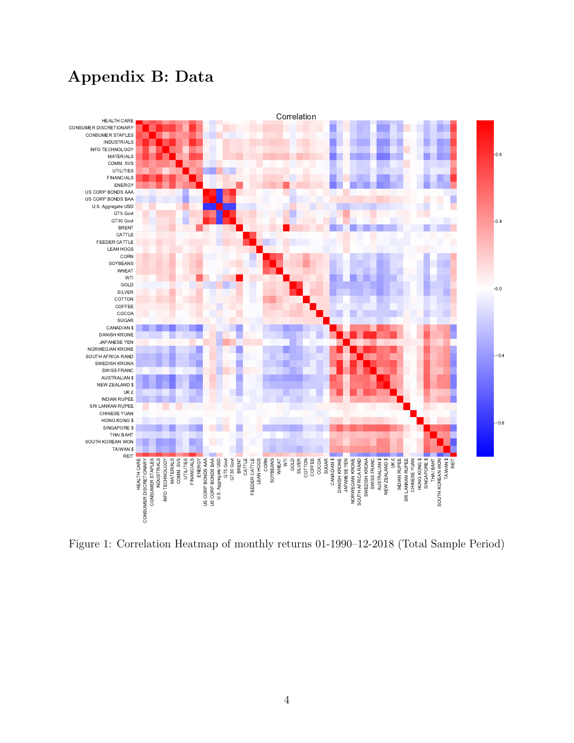# Appendix B: Data



Figure 1: Correlation Heatmap of monthly returns 01-1990–12-2018 (Total Sample Period)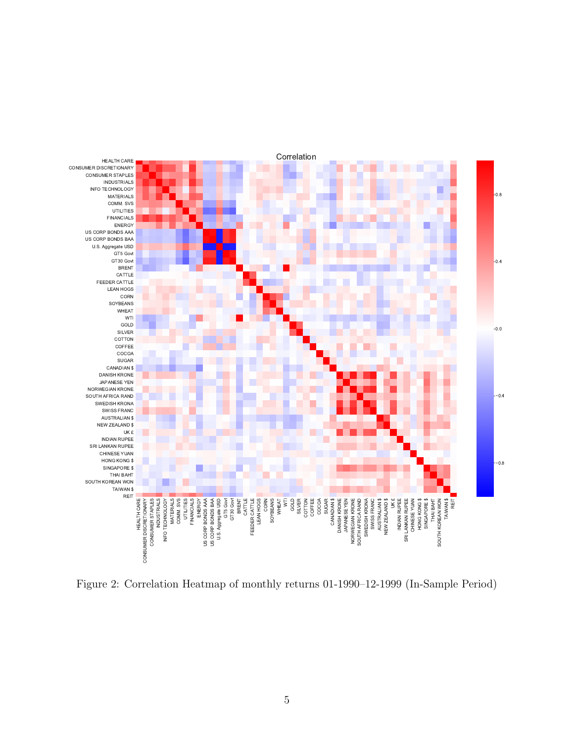

Figure 2: Correlation Heatmap of monthly returns 01-1990–12-1999 (In-Sample Period)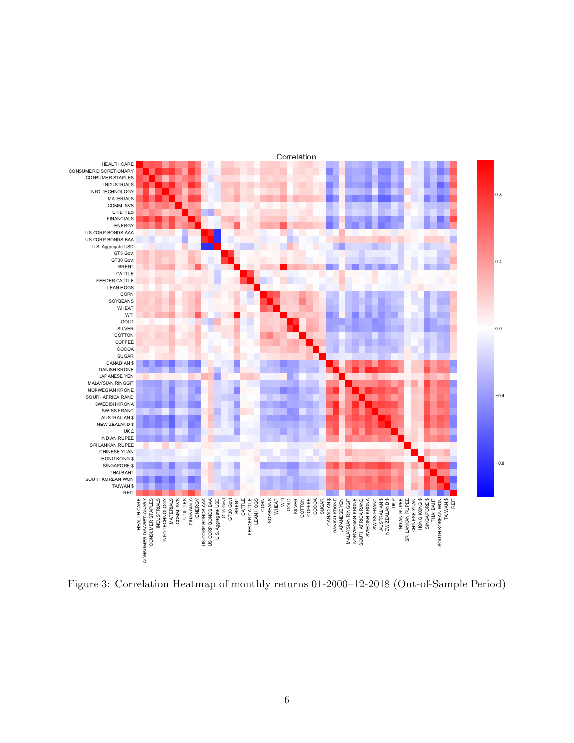

Figure 3: Correlation Heatmap of monthly returns 01-2000–12-2018 (Out-of-Sample Period)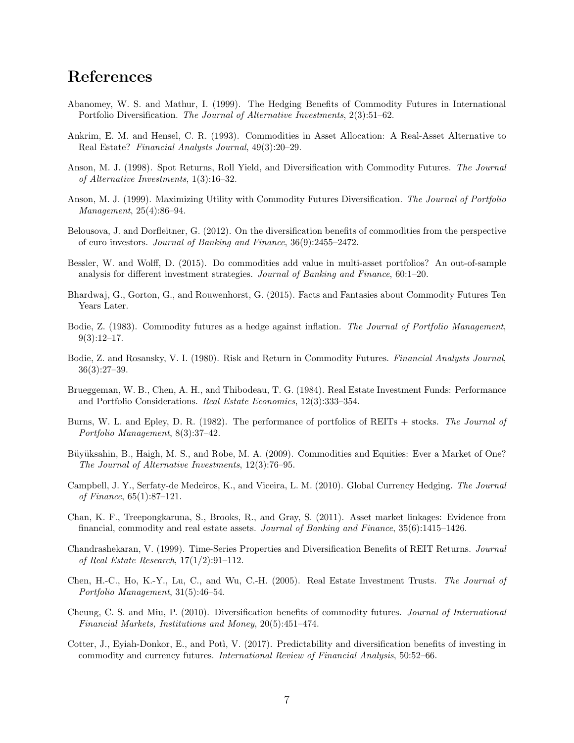## References

- Abanomey, W. S. and Mathur, I. (1999). The Hedging Benefits of Commodity Futures in International Portfolio Diversification. The Journal of Alternative Investments, 2(3):51–62.
- Ankrim, E. M. and Hensel, C. R. (1993). Commodities in Asset Allocation: A Real-Asset Alternative to Real Estate? Financial Analysts Journal, 49(3):20–29.
- Anson, M. J. (1998). Spot Returns, Roll Yield, and Diversification with Commodity Futures. The Journal of Alternative Investments, 1(3):16–32.
- Anson, M. J. (1999). Maximizing Utility with Commodity Futures Diversification. The Journal of Portfolio Management, 25(4):86–94.
- Belousova, J. and Dorfleitner, G. (2012). On the diversification benefits of commodities from the perspective of euro investors. Journal of Banking and Finance, 36(9):2455–2472.
- Bessler, W. and Wolff, D. (2015). Do commodities add value in multi-asset portfolios? An out-of-sample analysis for different investment strategies. Journal of Banking and Finance, 60:1–20.
- Bhardwaj, G., Gorton, G., and Rouwenhorst, G. (2015). Facts and Fantasies about Commodity Futures Ten Years Later.
- Bodie, Z. (1983). Commodity futures as a hedge against inflation. The Journal of Portfolio Management,  $9(3):12-17.$
- Bodie, Z. and Rosansky, V. I. (1980). Risk and Return in Commodity Futures. Financial Analysts Journal, 36(3):27–39.
- Brueggeman, W. B., Chen, A. H., and Thibodeau, T. G. (1984). Real Estate Investment Funds: Performance and Portfolio Considerations. Real Estate Economics, 12(3):333–354.
- Burns, W. L. and Epley, D. R. (1982). The performance of portfolios of REITs + stocks. The Journal of Portfolio Management, 8(3):37–42.
- Büyüksahin, B., Haigh, M. S., and Robe, M. A. (2009). Commodities and Equities: Ever a Market of One? The Journal of Alternative Investments, 12(3):76–95.
- Campbell, J. Y., Serfaty-de Medeiros, K., and Viceira, L. M. (2010). Global Currency Hedging. The Journal of Finance, 65(1):87–121.
- Chan, K. F., Treepongkaruna, S., Brooks, R., and Gray, S. (2011). Asset market linkages: Evidence from financial, commodity and real estate assets. Journal of Banking and Finance, 35(6):1415–1426.
- Chandrashekaran, V. (1999). Time-Series Properties and Diversification Benefits of REIT Returns. Journal of Real Estate Research, 17(1/2):91–112.
- Chen, H.-C., Ho, K.-Y., Lu, C., and Wu, C.-H. (2005). Real Estate Investment Trusts. The Journal of Portfolio Management, 31(5):46–54.
- Cheung, C. S. and Miu, P. (2010). Diversification benefits of commodity futures. Journal of International Financial Markets, Institutions and Money, 20(5):451–474.
- Cotter, J., Eyiah-Donkor, E., and Poti, V. (2017). Predictability and diversification benefits of investing in commodity and currency futures. International Review of Financial Analysis, 50:52–66.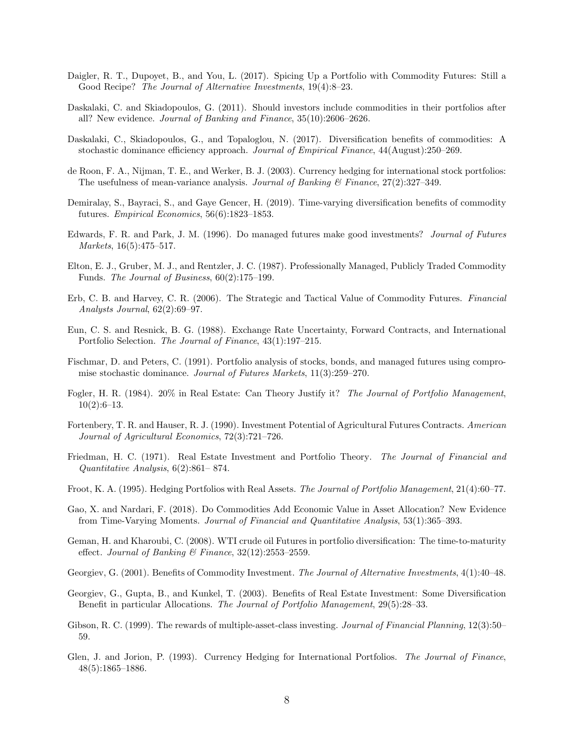- Daigler, R. T., Dupoyet, B., and You, L. (2017). Spicing Up a Portfolio with Commodity Futures: Still a Good Recipe? The Journal of Alternative Investments, 19(4):8–23.
- Daskalaki, C. and Skiadopoulos, G. (2011). Should investors include commodities in their portfolios after all? New evidence. Journal of Banking and Finance, 35(10):2606–2626.
- Daskalaki, C., Skiadopoulos, G., and Topaloglou, N. (2017). Diversification benefits of commodities: A stochastic dominance efficiency approach. Journal of Empirical Finance, 44(August):250–269.
- de Roon, F. A., Nijman, T. E., and Werker, B. J. (2003). Currency hedging for international stock portfolios: The usefulness of mean-variance analysis. Journal of Banking  $\mathcal{C}'$  Finance, 27(2):327–349.
- Demiralay, S., Bayraci, S., and Gaye Gencer, H. (2019). Time-varying diversification benefits of commodity futures. Empirical Economics, 56(6):1823–1853.
- Edwards, F. R. and Park, J. M. (1996). Do managed futures make good investments? Journal of Futures Markets, 16(5):475–517.
- Elton, E. J., Gruber, M. J., and Rentzler, J. C. (1987). Professionally Managed, Publicly Traded Commodity Funds. The Journal of Business, 60(2):175–199.
- Erb, C. B. and Harvey, C. R. (2006). The Strategic and Tactical Value of Commodity Futures. Financial Analysts Journal, 62(2):69–97.
- Eun, C. S. and Resnick, B. G. (1988). Exchange Rate Uncertainty, Forward Contracts, and International Portfolio Selection. The Journal of Finance, 43(1):197–215.
- Fischmar, D. and Peters, C. (1991). Portfolio analysis of stocks, bonds, and managed futures using compromise stochastic dominance. Journal of Futures Markets, 11(3):259–270.
- Fogler, H. R. (1984). 20% in Real Estate: Can Theory Justify it? The Journal of Portfolio Management,  $10(2):6-13.$
- Fortenbery, T. R. and Hauser, R. J. (1990). Investment Potential of Agricultural Futures Contracts. American Journal of Agricultural Economics, 72(3):721–726.
- Friedman, H. C. (1971). Real Estate Investment and Portfolio Theory. The Journal of Financial and Quantitative Analysis, 6(2):861– 874.
- Froot, K. A. (1995). Hedging Portfolios with Real Assets. The Journal of Portfolio Management, 21(4):60–77.
- Gao, X. and Nardari, F. (2018). Do Commodities Add Economic Value in Asset Allocation? New Evidence from Time-Varying Moments. Journal of Financial and Quantitative Analysis, 53(1):365–393.
- Geman, H. and Kharoubi, C. (2008). WTI crude oil Futures in portfolio diversification: The time-to-maturity effect. Journal of Banking & Finance,  $32(12):2553-2559$ .
- Georgiev, G. (2001). Benefits of Commodity Investment. The Journal of Alternative Investments, 4(1):40–48.
- Georgiev, G., Gupta, B., and Kunkel, T. (2003). Benefits of Real Estate Investment: Some Diversification Benefit in particular Allocations. The Journal of Portfolio Management, 29(5):28–33.
- Gibson, R. C. (1999). The rewards of multiple-asset-class investing. *Journal of Financial Planning*, 12(3):50– 59.
- Glen, J. and Jorion, P. (1993). Currency Hedging for International Portfolios. The Journal of Finance, 48(5):1865–1886.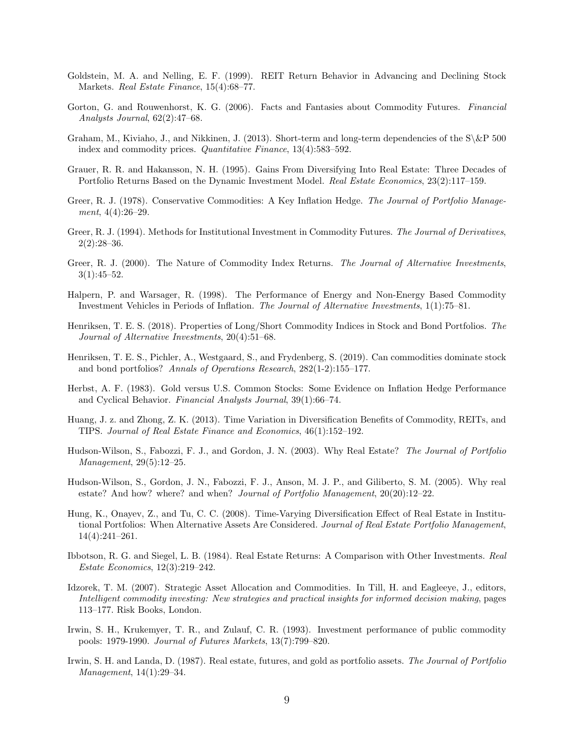- Goldstein, M. A. and Nelling, E. F. (1999). REIT Return Behavior in Advancing and Declining Stock Markets. Real Estate Finance, 15(4):68–77.
- Gorton, G. and Rouwenhorst, K. G. (2006). Facts and Fantasies about Commodity Futures. Financial Analysts Journal, 62(2):47–68.
- Graham, M., Kiviaho, J., and Nikkinen, J. (2013). Short-term and long-term dependencies of the  $\&\&P$  500 index and commodity prices. *Quantitative Finance*, 13(4):583-592.
- Grauer, R. R. and Hakansson, N. H. (1995). Gains From Diversifying Into Real Estate: Three Decades of Portfolio Returns Based on the Dynamic Investment Model. Real Estate Economics, 23(2):117-159.
- Greer, R. J. (1978). Conservative Commodities: A Key Inflation Hedge. The Journal of Portfolio Management, 4(4):26–29.
- Greer, R. J. (1994). Methods for Institutional Investment in Commodity Futures. The Journal of Derivatives.  $2(2):28-36.$
- Greer, R. J. (2000). The Nature of Commodity Index Returns. The Journal of Alternative Investments,  $3(1):45-52.$
- Halpern, P. and Warsager, R. (1998). The Performance of Energy and Non-Energy Based Commodity Investment Vehicles in Periods of Inflation. The Journal of Alternative Investments, 1(1):75–81.
- Henriksen, T. E. S. (2018). Properties of Long/Short Commodity Indices in Stock and Bond Portfolios. The Journal of Alternative Investments, 20(4):51–68.
- Henriksen, T. E. S., Pichler, A., Westgaard, S., and Frydenberg, S. (2019). Can commodities dominate stock and bond portfolios? Annals of Operations Research, 282(1-2):155–177.
- Herbst, A. F. (1983). Gold versus U.S. Common Stocks: Some Evidence on Inflation Hedge Performance and Cyclical Behavior. Financial Analysts Journal, 39(1):66–74.
- Huang, J. z. and Zhong, Z. K. (2013). Time Variation in Diversification Benefits of Commodity, REITs, and TIPS. Journal of Real Estate Finance and Economics, 46(1):152–192.
- Hudson-Wilson, S., Fabozzi, F. J., and Gordon, J. N. (2003). Why Real Estate? The Journal of Portfolio Management, 29(5):12–25.
- Hudson-Wilson, S., Gordon, J. N., Fabozzi, F. J., Anson, M. J. P., and Giliberto, S. M. (2005). Why real estate? And how? where? and when? Journal of Portfolio Management, 20(20):12–22.
- Hung, K., Onayev, Z., and Tu, C. C. (2008). Time-Varying Diversification Effect of Real Estate in Institutional Portfolios: When Alternative Assets Are Considered. Journal of Real Estate Portfolio Management, 14(4):241–261.
- Ibbotson, R. G. and Siegel, L. B. (1984). Real Estate Returns: A Comparison with Other Investments. Real Estate Economics, 12(3):219–242.
- Idzorek, T. M. (2007). Strategic Asset Allocation and Commodities. In Till, H. and Eagleeye, J., editors, Intelligent commodity investing: New strategies and practical insights for informed decision making, pages 113–177. Risk Books, London.
- Irwin, S. H., Krukemyer, T. R., and Zulauf, C. R. (1993). Investment performance of public commodity pools: 1979-1990. Journal of Futures Markets, 13(7):799–820.
- Irwin, S. H. and Landa, D. (1987). Real estate, futures, and gold as portfolio assets. The Journal of Portfolio Management, 14(1):29–34.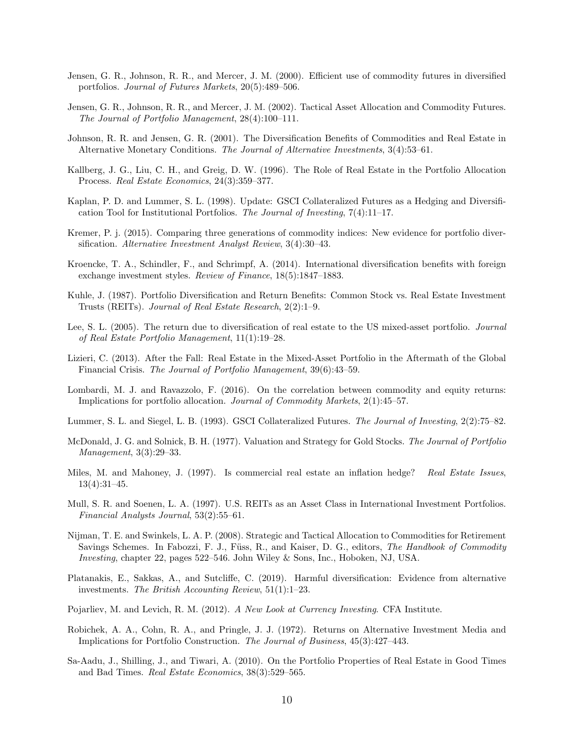- Jensen, G. R., Johnson, R. R., and Mercer, J. M. (2000). Efficient use of commodity futures in diversified portfolios. Journal of Futures Markets, 20(5):489–506.
- Jensen, G. R., Johnson, R. R., and Mercer, J. M. (2002). Tactical Asset Allocation and Commodity Futures. The Journal of Portfolio Management, 28(4):100–111.
- Johnson, R. R. and Jensen, G. R. (2001). The Diversification Benefits of Commodities and Real Estate in Alternative Monetary Conditions. The Journal of Alternative Investments, 3(4):53–61.
- Kallberg, J. G., Liu, C. H., and Greig, D. W. (1996). The Role of Real Estate in the Portfolio Allocation Process. Real Estate Economics, 24(3):359–377.
- Kaplan, P. D. and Lummer, S. L. (1998). Update: GSCI Collateralized Futures as a Hedging and Diversification Tool for Institutional Portfolios. The Journal of Investing,  $7(4)$ :11–17.
- Kremer, P. j. (2015). Comparing three generations of commodity indices: New evidence for portfolio diversification. Alternative Investment Analyst Review, 3(4):30–43.
- Kroencke, T. A., Schindler, F., and Schrimpf, A. (2014). International diversification benefits with foreign exchange investment styles. Review of Finance, 18(5):1847–1883.
- Kuhle, J. (1987). Portfolio Diversification and Return Benefits: Common Stock vs. Real Estate Investment Trusts (REITs). Journal of Real Estate Research, 2(2):1–9.
- Lee, S. L. (2005). The return due to diversification of real estate to the US mixed-asset portfolio. *Journal* of Real Estate Portfolio Management, 11(1):19–28.
- Lizieri, C. (2013). After the Fall: Real Estate in the Mixed-Asset Portfolio in the Aftermath of the Global Financial Crisis. The Journal of Portfolio Management, 39(6):43–59.
- Lombardi, M. J. and Ravazzolo, F. (2016). On the correlation between commodity and equity returns: Implications for portfolio allocation. Journal of Commodity Markets, 2(1):45–57.
- Lummer, S. L. and Siegel, L. B. (1993). GSCI Collateralized Futures. The Journal of Investing, 2(2):75–82.
- McDonald, J. G. and Solnick, B. H. (1977). Valuation and Strategy for Gold Stocks. The Journal of Portfolio Management, 3(3):29–33.
- Miles, M. and Mahoney, J. (1997). Is commercial real estate an inflation hedge? Real Estate Issues. 13(4):31–45.
- Mull, S. R. and Soenen, L. A. (1997). U.S. REITs as an Asset Class in International Investment Portfolios. Financial Analysts Journal, 53(2):55–61.
- Nijman, T. E. and Swinkels, L. A. P. (2008). Strategic and Tactical Allocation to Commodities for Retirement Savings Schemes. In Fabozzi, F. J., Füss, R., and Kaiser, D. G., editors, The Handbook of Commodity Investing, chapter 22, pages 522–546. John Wiley & Sons, Inc., Hoboken, NJ, USA.
- Platanakis, E., Sakkas, A., and Sutcliffe, C. (2019). Harmful diversification: Evidence from alternative investments. The British Accounting Review, 51(1):1–23.
- Pojarliev, M. and Levich, R. M. (2012). A New Look at Currency Investing. CFA Institute.
- Robichek, A. A., Cohn, R. A., and Pringle, J. J. (1972). Returns on Alternative Investment Media and Implications for Portfolio Construction. The Journal of Business, 45(3):427–443.
- Sa-Aadu, J., Shilling, J., and Tiwari, A. (2010). On the Portfolio Properties of Real Estate in Good Times and Bad Times. Real Estate Economics, 38(3):529–565.